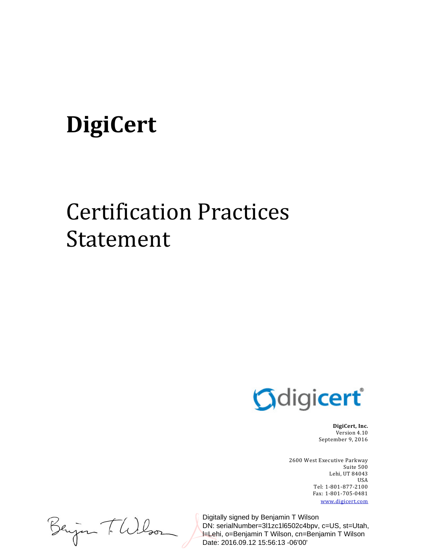# DigiCert

# Certification Practices Statement



**DigiCert, Inc.** Version 4.10 September 9, 2016

2600 West Executive Parkway Suite 500 Lehi, UT 84043 USA Tel: 1‐801‐877‐2100 Fax: 1‐801‐705‐0481 www.digicert.com 

Beijan T. Wilson

Digitally signed by Benjamin T Wilson DN: serialNumber=3l1zc1l6502c4bpv, c=US, st=Utah, l=Lehi, o=Benjamin T Wilson, cn=Benjamin T Wilson Date: 2016.09.12 15:56:13 -06'00'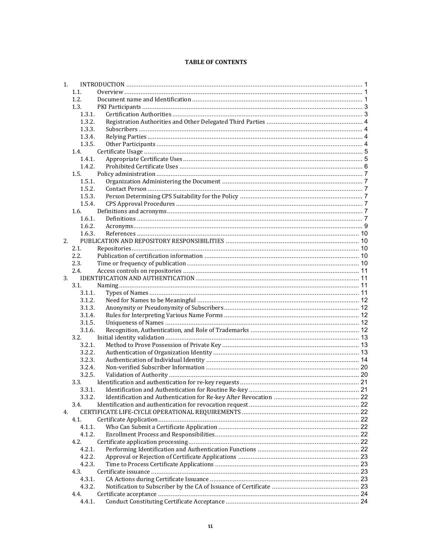#### **TABLE OF CONTENTS**

| 1. |        |  |
|----|--------|--|
|    | 1.1.   |  |
|    | 1.2.   |  |
|    | 1.3.   |  |
|    | 1.3.1. |  |
|    | 1.3.2. |  |
|    | 1.3.3. |  |
|    | 1.3.4. |  |
|    | 1.3.5. |  |
|    | 1.4.   |  |
|    | 1.4.1. |  |
|    | 1.4.2. |  |
|    | 1.5.   |  |
|    | 1.5.1. |  |
|    | 1.5.2. |  |
|    | 1.5.3. |  |
|    | 1.5.4. |  |
|    | 1.6.   |  |
|    | 1.6.1. |  |
|    | 1.6.2. |  |
|    | 1.6.3. |  |
| 2. |        |  |
|    | 2.1.   |  |
|    |        |  |
|    | 2.2.   |  |
|    | 2.3.   |  |
|    | 2.4.   |  |
| 3. |        |  |
|    | 3.1.   |  |
|    | 3.1.1. |  |
|    | 3.1.2. |  |
|    | 3.1.3. |  |
|    | 3.1.4. |  |
|    | 3.1.5. |  |
|    | 3.1.6. |  |
|    | 3.2.   |  |
|    | 3.2.1. |  |
|    | 3.2.2. |  |
|    | 3.2.3. |  |
|    | 3.2.4. |  |
|    | 3.2.5. |  |
|    | 3.3.   |  |
|    | 3.3.1. |  |
|    |        |  |
|    | 3.4.   |  |
| 4. |        |  |
|    | 4.1.   |  |
|    | 4.1.1. |  |
|    | 4.1.2. |  |
|    | 4.2.   |  |
|    | 4.2.1. |  |
|    | 4.2.2. |  |
|    | 4.2.3. |  |
|    | 4.3.   |  |
|    | 4.3.1. |  |
|    | 4.3.2. |  |
|    | 4.4.   |  |
|    | 4.4.1. |  |
|    |        |  |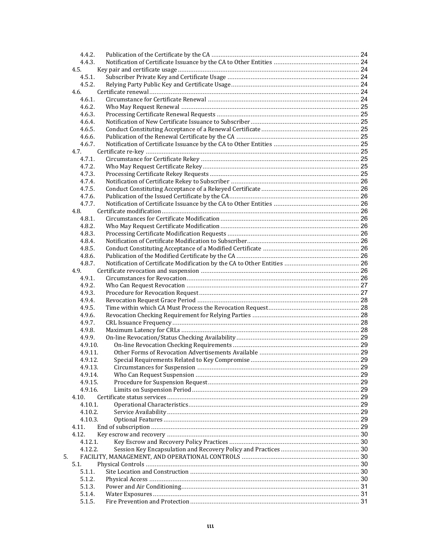|    | 4.4.2.  |  |
|----|---------|--|
|    | 4.4.3.  |  |
|    | 4.5.    |  |
|    | 4.5.1.  |  |
|    | 4.5.2.  |  |
|    | 4.6.    |  |
|    | 4.6.1.  |  |
|    | 4.6.2.  |  |
|    | 4.6.3.  |  |
|    | 4.6.4.  |  |
|    |         |  |
|    | 4.6.5.  |  |
|    | 4.6.6.  |  |
|    | 4.6.7.  |  |
|    | 4.7.    |  |
|    | 4.7.1.  |  |
|    | 4.7.2.  |  |
|    | 4.7.3.  |  |
|    | 4.7.4.  |  |
|    | 4.7.5.  |  |
|    | 4.7.6.  |  |
|    | 4.7.7.  |  |
|    | 4.8.    |  |
|    | 4.8.1.  |  |
|    | 4.8.2.  |  |
|    | 4.8.3.  |  |
|    | 4.8.4.  |  |
|    |         |  |
|    | 4.8.5.  |  |
|    | 4.8.6.  |  |
|    | 4.8.7.  |  |
|    | 4.9.    |  |
|    | 4.9.1.  |  |
|    | 4.9.2.  |  |
|    | 4.9.3.  |  |
|    | 4.9.4.  |  |
|    | 4.9.5.  |  |
|    | 4.9.6.  |  |
|    | 4.9.7.  |  |
|    | 4.9.8.  |  |
|    | 4.9.9.  |  |
|    | 4.9.10. |  |
|    | 4.9.11. |  |
|    | 4.9.12. |  |
|    | 4.9.13. |  |
|    | 4.9.14. |  |
|    | 4.9.15. |  |
|    | 4.9.16. |  |
|    |         |  |
|    | 4.10.   |  |
|    | 4.10.1. |  |
|    | 4.10.2. |  |
|    | 4.10.3. |  |
|    | 4.11.   |  |
|    | 4.12.   |  |
|    | 4.12.1. |  |
|    | 4.12.2. |  |
| 5. |         |  |
|    | 5.1.    |  |
|    | 5.1.1.  |  |
|    | 5.1.2.  |  |
|    | 5.1.3.  |  |
|    | 5.1.4.  |  |
|    | 5.1.5.  |  |
|    |         |  |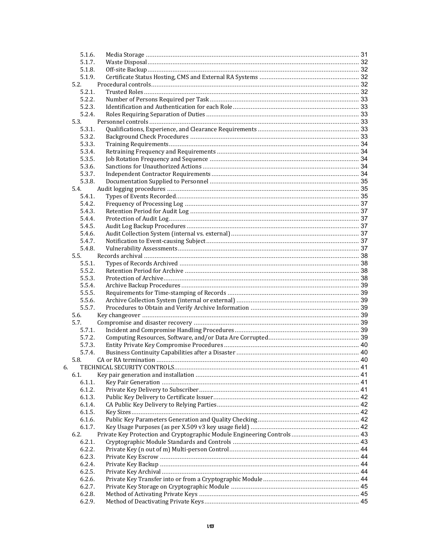| 5.1.6.           |  |
|------------------|--|
| 5.1.7.           |  |
| 5.1.8.           |  |
| 5.1.9.           |  |
| 5.2.             |  |
| 5.2.1.           |  |
| 5.2.2.           |  |
| 5.2.3.           |  |
| 5.2.4.           |  |
| 5.3.             |  |
| 5.3.1.           |  |
| 5.3.2.           |  |
| 5.3.3.           |  |
| 5.3.4.           |  |
| 5.3.5.           |  |
| 5.3.6.           |  |
| 5.3.7.           |  |
| 5.3.8.           |  |
| 5.4.             |  |
| 5.4.1.           |  |
| 5.4.2.           |  |
| 5.4.3.           |  |
| 5.4.4.           |  |
| 5.4.5.           |  |
| 5.4.6.           |  |
| 5.4.7.<br>5.4.8. |  |
| 5.5.             |  |
|                  |  |
| 5.5.1.<br>5.5.2. |  |
| 5.5.3.           |  |
| 5.5.4.           |  |
| 5.5.5.           |  |
| 5.5.6.           |  |
| 5.5.7.           |  |
| 5.6.             |  |
| 5.7.             |  |
| 5.7.1.           |  |
| 5.7.2.           |  |
| 5.7.3.           |  |
| 5.7.4.           |  |
| 5.8.             |  |
| 6.               |  |
| 6.1.             |  |
| 6.1.1.           |  |
| 6.1.2.           |  |
| 6.1.3.           |  |
| 6.1.4.           |  |
| 6.1.5.           |  |
| 6.1.6.           |  |
| 6.1.7.           |  |
| 6.2.             |  |
| 6.2.1.           |  |
| 6.2.2.           |  |
| 6.2.3.           |  |
| 6.2.4.           |  |
| 6.2.5.           |  |
| 6.2.6.           |  |
| 6.2.7.           |  |
| 6.2.8.           |  |
| 6.2.9.           |  |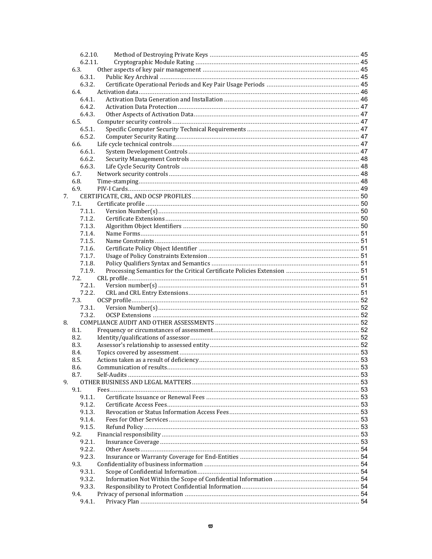|    | 6.2.10. |  |
|----|---------|--|
|    | 6.2.11. |  |
|    | 6.3.    |  |
|    | 6.3.1.  |  |
|    | 6.3.2.  |  |
|    | 6.4.    |  |
|    | 6.4.1.  |  |
|    | 6.4.2.  |  |
|    | 6.4.3.  |  |
|    | 6.5.    |  |
|    | 6.5.1.  |  |
|    | 6.5.2.  |  |
|    | 6.6.    |  |
|    | 6.6.1.  |  |
|    | 6.6.2.  |  |
|    | 6.6.3.  |  |
|    | 6.7.    |  |
|    | 6.8.    |  |
|    | 6.9.    |  |
| 7. |         |  |
|    | 7.1.    |  |
|    | 7.1.1.  |  |
|    | 7.1.2.  |  |
|    | 7.1.3.  |  |
|    | 7.1.4.  |  |
|    | 7.1.5.  |  |
|    | 7.1.6.  |  |
|    | 7.1.7.  |  |
|    | 7.1.8.  |  |
|    | 7.1.9.  |  |
|    | 7.2.    |  |
|    | 7.2.1.  |  |
|    | 7.2.2.  |  |
|    | 7.3.    |  |
|    | 7.3.1.  |  |
|    | 7.3.2.  |  |
|    |         |  |
| 8. | 8.1.    |  |
|    |         |  |
|    | 8.2.    |  |
|    | 8.3.    |  |
|    | 8.4.    |  |
|    | 8.5.    |  |
|    | 8.6.    |  |
|    | 8.7.    |  |
| 9. |         |  |
|    | 9.1.    |  |
|    | 9.1.1.  |  |
|    | 9.1.2.  |  |
|    | 9.1.3.  |  |
|    | 9.1.4.  |  |
|    | 9.1.5.  |  |
|    | 9.2.    |  |
|    | 9.2.1.  |  |
|    | 9.2.2.  |  |
|    | 9.2.3.  |  |
|    | 9.3.    |  |
|    | 9.3.1.  |  |
|    | 9.3.2.  |  |
|    | 9.3.3.  |  |
|    | 9.4.    |  |
|    | 9.4.1.  |  |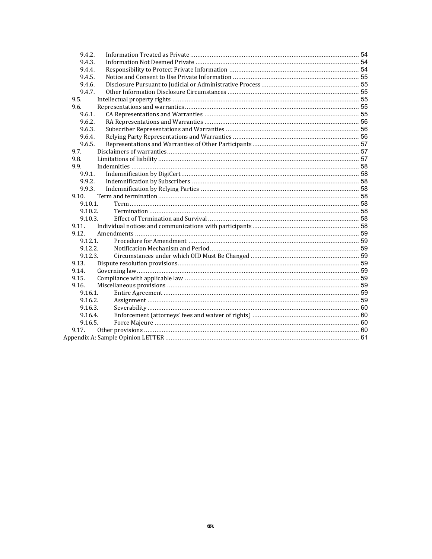| 9.4.2.     |  |
|------------|--|
| 9.4.3.     |  |
| 9.4.4.     |  |
| 9.4.5.     |  |
| 9.4.6.     |  |
| 9.4.7.     |  |
| 9.5.       |  |
| 9.6.       |  |
| 9.6.1.     |  |
| 9.6.2.     |  |
| 9.6.3.     |  |
| 9.6.4.     |  |
| 9.6.5.     |  |
| 9.7.       |  |
| 9.8.       |  |
| 9.9.       |  |
| 9.9.1.     |  |
| 9.9.2.     |  |
| 9.9.3.     |  |
| 9.10.      |  |
| $9.10.1$ . |  |
| 9.10.2.    |  |
| 9.10.3.    |  |
| 9.11.      |  |
| 9.12.      |  |
| 9.12.1.    |  |
| 9.12.2.    |  |
| 9.12.3.    |  |
| 9.13.      |  |
| 9.14.      |  |
| 9.15.      |  |
| 9.16.      |  |
| 9.16.1.    |  |
| 9.16.2.    |  |
| 9.16.3.    |  |
| 9.16.4.    |  |
| 9.16.5.    |  |
| 9.17.      |  |
|            |  |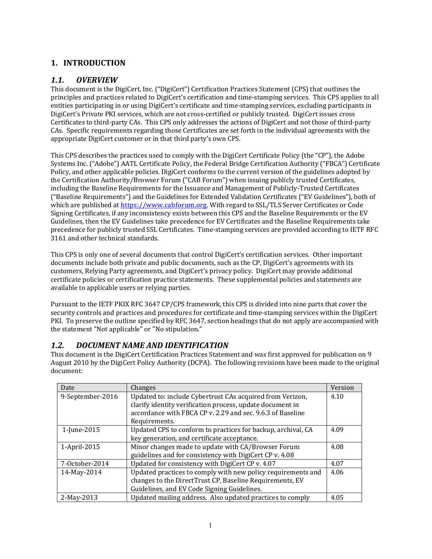# **1. INTRODUCTION**

## *1.1. OVERVIEW*

This document is the DigiCert, Inc. ("DigiCert") Certification Practices Statement (CPS) that outlines the principles and practices related to DigiCert's certification and time-stamping services. This CPS applies to all entities participating in or using DigiCert's certificate and time-stamping services, excluding participants in DigiCert's Private PKI services, which are not cross-certified or publicly trusted. DigiCert issues cross Certificates to third-party CAs. This CPS only addresses the actions of DigiCert and not those of third-party CAs. Specific requirements regarding those Certificates are set forth in the individual agreements with the appropriate DigiCert customer or in that third party's own CPS.

This CPS describes the practices used to comply with the DigiCert Certificate Policy (the "CP"), the Adobe Systems Inc. ("Adobe") AATL Certificate Policy, the Federal Bridge Certification Authority ("FBCA") Certificate Policy, and other applicable policies. DigiCert conforms to the current version of the guidelines adopted by the Certification Authority/Browser Forum ("CAB Forum") when issuing publicly trusted Certificates, including the Baseline Requirements for the Issuance and Management of Publicly-Trusted Certificates ("Baseline Requirements") and the Guidelines for Extended Validation Certificates ("EV Guidelines"), both of which are published at https://www.cabforum.org. With regard to SSL/TLS Server Certificates or Code Signing Certificates, if any inconsistency exists between this CPS and the Baseline Requirements or the EV Guidelines, then the EV Guidelines take precedence for EV Certificates and the Baseline Requirements take precedence for publicly trusted SSL Certificates. Time-stamping services are provided according to IETF RFC 3161 and other technical standards.

This CPS is only one of several documents that control DigiCert's certification services. Other important documents include both private and public documents, such as the CP, DigiCert's agreements with its customers, Relying Party agreements, and DigiCert's privacy policy. DigiCert may provide additional certificate policies or certification practice statements. These supplemental policies and statements are available to applicable users or relying parties.

Pursuant to the IETF PKIX RFC 3647 CP/CPS framework, this CPS is divided into nine parts that cover the security controls and practices and procedures for certificate and time-stamping services within the DigiCert PKI. To preserve the outline specified by RFC 3647, section headings that do not apply are accompanied with the statement "Not applicable" or "No stipulation."

# *1.2. DOCUMENT NAME AND IDENTIFICATION*

This document is the DigiCert Certification Practices Statement and was first approved for publication on 9 August 2010 by the DigiCert Policy Authority (DCPA). The following revisions have been made to the original document: 

| Date             | Changes                                                      | Version |
|------------------|--------------------------------------------------------------|---------|
| 9-September-2016 | Updated to: include Cybertrust CAs acquired from Verizon,    | 4.10    |
|                  | clarify identity verification process, update document in    |         |
|                  | accordance with FBCA CP v. 2.29 and sec. 9.6.3 of Baseline   |         |
|                  | Requirements.                                                |         |
| 1-June-2015      | Updated CPS to conform to practices for backup, archival, CA | 4.09    |
|                  | key generation, and certificate acceptance.                  |         |
| 1-April-2015     | Minor changes made to update with CA/Browser Forum           | 4.08    |
|                  | guidelines and for consistency with DigiCert CP v. 4.08      |         |
| 7-October-2014   | Updated for consistency with DigiCert CP v. 4.07             | 4.07    |
| 14-May-2014      | Updated practices to comply with new policy requirements and | 4.06    |
|                  | changes to the DirectTrust CP, Baseline Requirements, EV     |         |
|                  | Guidelines, and EV Code Signing Guidelines.                  |         |
| 2-May-2013       | Updated mailing address. Also updated practices to comply    | 4.05    |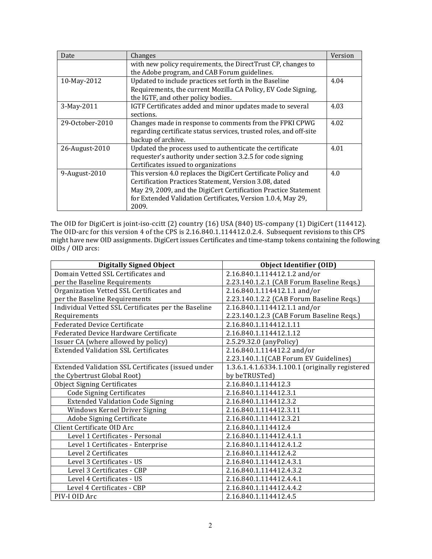| Date            | Changes                                                                                                                                                                                                                                                             | Version |
|-----------------|---------------------------------------------------------------------------------------------------------------------------------------------------------------------------------------------------------------------------------------------------------------------|---------|
|                 | with new policy requirements, the DirectTrust CP, changes to<br>the Adobe program, and CAB Forum guidelines.                                                                                                                                                        |         |
| 10-May-2012     | Updated to include practices set forth in the Baseline<br>Requirements, the current Mozilla CA Policy, EV Code Signing,<br>the IGTF, and other policy bodies.                                                                                                       | 4.04    |
| 3-May-2011      | IGTF Certificates added and minor updates made to several<br>sections.                                                                                                                                                                                              | 4.03    |
| 29-October-2010 | Changes made in response to comments from the FPKI CPWG<br>regarding certificate status services, trusted roles, and off-site<br>backup of archive.                                                                                                                 | 4.02    |
| 26-August-2010  | Updated the process used to authenticate the certificate<br>requester's authority under section 3.2.5 for code signing<br>Certificates issued to organizations                                                                                                      | 4.01    |
| 9-August-2010   | This version 4.0 replaces the DigiCert Certificate Policy and<br>Certification Practices Statement, Version 3.08, dated<br>May 29, 2009, and the DigiCert Certification Practice Statement<br>for Extended Validation Certificates, Version 1.0.4, May 29,<br>2009. | 4.0     |

The OID for DigiCert is joint-iso-ccitt  $(2)$  country  $(16)$  USA  $(840)$  US-company  $(1)$  DigiCert  $(114412)$ . The OID-arc for this version  $4$  of the CPS is  $2.16.840.1.114412.0.2.4$ . Subsequent revisions to this CPS might have new OID assignments. DigiCert issues Certificates and time-stamp tokens containing the following OIDs / OID arcs:

| <b>Digitally Signed Object</b>                      | <b>Object Identifier (OID)</b>                  |
|-----------------------------------------------------|-------------------------------------------------|
| Domain Vetted SSL Certificates and                  | 2.16.840.1.114412.1.2 and/or                    |
| per the Baseline Requirements                       | 2.23.140.1.2.1 (CAB Forum Baseline Reqs.)       |
| Organization Vetted SSL Certificates and            | 2.16.840.1.114412.1.1 and/or                    |
| per the Baseline Requirements                       | 2.23.140.1.2.2 (CAB Forum Baseline Reqs.)       |
| Individual Vetted SSL Certificates per the Baseline | 2.16.840.1.114412.1.1 and/or                    |
| Requirements                                        | 2.23.140.1.2.3 (CAB Forum Baseline Reqs.)       |
| <b>Federated Device Certificate</b>                 | 2.16.840.1.114412.1.11                          |
| Federated Device Hardware Certificate               | 2.16.840.1.114412.1.12                          |
| Issuer CA (where allowed by policy)                 | 2.5.29.32.0 (anyPolicy)                         |
| <b>Extended Validation SSL Certificates</b>         | 2.16.840.1.114412.2 and/or                      |
|                                                     | 2.23.140.1.1(CAB Forum EV Guidelines)           |
| Extended Validation SSL Certificates (issued under  | 1.3.6.1.4.1.6334.1.100.1 (originally registered |
| the Cybertrust Global Root)                         | by beTRUSTed)                                   |
| <b>Object Signing Certificates</b>                  | 2.16.840.1.114412.3                             |
| <b>Code Signing Certificates</b>                    | 2.16.840.1.114412.3.1                           |
| <b>Extended Validation Code Signing</b>             | 2.16.840.1.114412.3.2                           |
| Windows Kernel Driver Signing                       | 2.16.840.1.114412.3.11                          |
| Adobe Signing Certificate                           | 2.16.840.1.114412.3.21                          |
| Client Certificate OID Arc                          | 2.16.840.1.114412.4                             |
| Level 1 Certificates - Personal                     | 2.16.840.1.114412.4.1.1                         |
| Level 1 Certificates - Enterprise                   | 2.16.840.1.114412.4.1.2                         |
| Level 2 Certificates                                | 2.16.840.1.114412.4.2                           |
| Level 3 Certificates - US                           | 2.16.840.1.114412.4.3.1                         |
| Level 3 Certificates - CBP                          | 2.16.840.1.114412.4.3.2                         |
| Level 4 Certificates - US                           | 2.16.840.1.114412.4.4.1                         |
| Level 4 Certificates - CBP                          | 2.16.840.1.114412.4.4.2                         |
| PIV-I OID Arc                                       | 2.16.840.1.114412.4.5                           |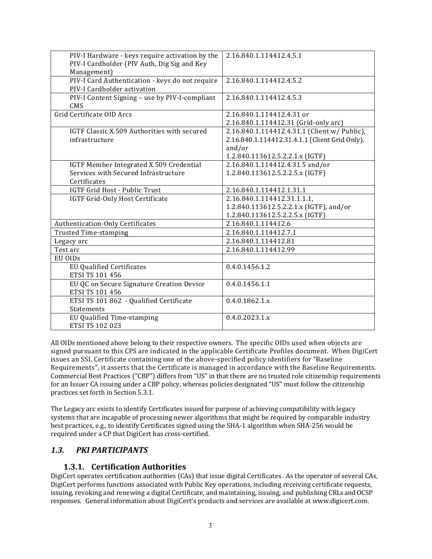| PIV-I Hardware - keys require activation by the<br>PIV-I Cardholder (PIV Auth, Dig Sig and Key<br>Management) | 2.16.840.1.114412.4.5.1                        |
|---------------------------------------------------------------------------------------------------------------|------------------------------------------------|
| PIV-I Card Authentication - keys do not require<br>PIV-I Cardholder activation                                | 2.16.840.1.114412.4.5.2                        |
| PIV-I Content Signing - use by PIV-I-compliant<br><b>CMS</b>                                                  | 2.16.840.1.114412.4.5.3                        |
| Grid Certificate OID Arcs                                                                                     | 2.16.840.1.114412.4.31 or                      |
|                                                                                                               | 2.16.840.1.114412.31 (Grid-only arc)           |
| IGTF Classic X.509 Authorities with secured                                                                   | 2.16.840.1.114412.4.31.1 (Client w/ Public),   |
| infrastructure                                                                                                | 2.16.840.1.114412.31.4.1.1 (Client Grid Only), |
|                                                                                                               | and/or                                         |
|                                                                                                               | 1.2.840.113612.5.2.2.1.x (IGTF)                |
| IGTF Member Integrated X.509 Credential                                                                       | 2.16.840.1.114412.4.31.5 and/or                |
| Services with Secured Infrastructure                                                                          | 1.2.840.113612.5.2.2.5.x (IGTF)                |
| Certificates                                                                                                  |                                                |
| IGTF Grid Host - Public Trust                                                                                 | 2.16.840.1.114412.1.31.1                       |
| IGTF Grid-Only Host Certificate                                                                               | 2.16.840.1.114412.31.1.1.1,                    |
|                                                                                                               | 1.2.840.113612.5.2.2.1.x (IGTF), and/or        |
|                                                                                                               | 1.2.840.113612.5.2.2.5.x (IGTF)                |
| Authentication-Only Certificates                                                                              | 2.16.840.1.114412.6                            |
| <b>Trusted Time-stamping</b>                                                                                  | 2.16.840.1.114412.7.1                          |
| Legacy arc                                                                                                    | 2.16.840.1.114412.81                           |
| Test arc                                                                                                      | 2.16.840.1.114412.99                           |
| EU OIDs                                                                                                       |                                                |
| <b>EU Qualified Certificates</b>                                                                              | 0.4.0.1456.1.2                                 |
| ETSI TS 101 456                                                                                               |                                                |
| EU QC on Secure Signature Creation Device                                                                     | 0.4.0.1456.1.1                                 |
| ETSI TS 101 456                                                                                               |                                                |
| ETSI TS 101 862 - Qualified Certificate                                                                       | 0.4.0.1862.1.x                                 |
| Statements                                                                                                    |                                                |
| EU Qualified Time-stamping                                                                                    | 0.4.0.2023.1.x                                 |
| ETSI TS 102 023                                                                                               |                                                |

All OIDs mentioned above belong to their respective owners. The specific OIDs used when objects are signed pursuant to this CPS are indicated in the applicable Certificate Profiles document. When DigiCert issues an SSL Certificate containing one of the above-specified policy identifiers for "Baseline Requirements", it asserts that the Certificate is managed in accordance with the Baseline Requirements. Commercial Best Practices ("CBP") differs from "US" in that there are no trusted role citizenship requirements for an Issuer CA issuing under a CBP policy, whereas policies designated "US" must follow the citizenship practices set forth in Section 5.3.1.

The Legacy arc exists to identify Certificates issued for purpose of achieving compatibility with legacy systems that are incapable of processing newer algorithms that might be required by comparable industry best practices, e.g., to identify Certificates signed using the SHA-1 algorithm when SHA-256 would be required under a CP that DigiCert has cross-certified.

# *1.3. PKI PARTICIPANTS*

#### **1.3.1. Certification Authorities**

DigiCert operates certification authorities (CAs) that issue digital Certificates. As the operator of several CAs, DigiCert performs functions associated with Public Key operations, including receiving certificate requests, issuing, revoking and renewing a digital Certificate, and maintaining, issuing, and publishing CRLs and OCSP responses. General information about DigiCert's products and services are available at www.digicert.com.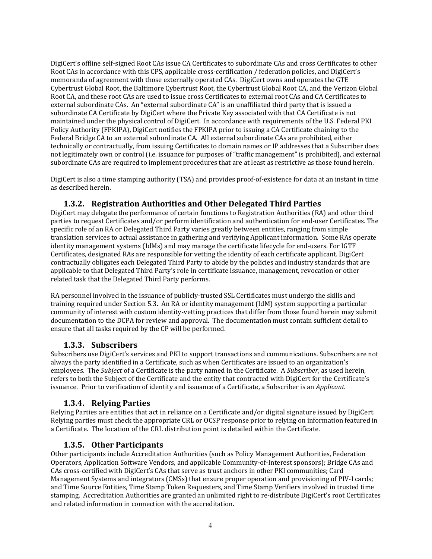DigiCert's offline self-signed Root CAs issue CA Certificates to subordinate CAs and cross Certificates to other Root CAs in accordance with this CPS, applicable cross-certification / federation policies, and DigiCert's memoranda of agreement with those externally operated CAs. DigiCert owns and operates the GTE Cybertrust Global Root, the Baltimore Cybertrust Root, the Cybertrust Global Root CA, and the Verizon Global Root CA, and these root CAs are used to issue cross Certificates to external root CAs and CA Certificates to external subordinate CAs. An "external subordinate CA" is an unaffiliated third party that is issued a subordinate CA Certificate by DigiCert where the Private Key associated with that CA Certificate is not maintained under the physical control of DigiCert. In accordance with requirements of the U.S. Federal PKI Policy Authority (FPKIPA), DigiCert notifies the FPKIPA prior to issuing a CA Certificate chaining to the Federal Bridge CA to an external subordinate CA. All external subordinate CAs are prohibited, either technically or contractually, from issuing Certificates to domain names or IP addresses that a Subscriber does not legitimately own or control (i.e. issuance for purposes of "traffic management" is prohibited), and external subordinate CAs are required to implement procedures that are at least as restrictive as those found herein.

DigiCert is also a time stamping authority (TSA) and provides proof-of-existence for data at an instant in time as described herein.

# **1.3.2. Registration Authorities and Other Delegated Third Parties**

DigiCert may delegate the performance of certain functions to Registration Authorities (RA) and other third parties to request Certificates and/or perform identification and authentication for end-user Certificates. The specific role of an RA or Delegated Third Party varies greatly between entities, ranging from simple translation services to actual assistance in gathering and verifying Applicant information. Some RAs operate identity management systems (IdMs) and may manage the certificate lifecycle for end-users. For IGTF Certificates, designated RAs are responsible for vetting the identity of each certificate applicant. DigiCert contractually obligates each Delegated Third Party to abide by the policies and industry standards that are applicable to that Delegated Third Party's role in certificate issuance, management, revocation or other related task that the Delegated Third Party performs.

RA personnel involved in the issuance of publicly-trusted SSL Certificates must undergo the skills and training required under Section 5.3. An RA or identity management (IdM) system supporting a particular community of interest with custom identity-vetting practices that differ from those found herein may submit documentation to the DCPA for review and approval. The documentation must contain sufficient detail to ensure that all tasks required by the CP will be performed.

# **1.3.3. Subscribers**

Subscribers use DigiCert's services and PKI to support transactions and communications. Subscribers are not always the party identified in a Certificate, such as when Certificates are issued to an organization's employees. The *Subject* of a Certificate is the party named in the Certificate. A *Subscriber*, as used herein, refers to both the Subject of the Certificate and the entity that contracted with DigiCert for the Certificate's issuance. Prior to verification of identity and issuance of a Certificate, a Subscriber is an *Applicant*.

# **1.3.4. Relying Parties**

Relying Parties are entities that act in reliance on a Certificate and/or digital signature issued by DigiCert. Relying parties must check the appropriate CRL or OCSP response prior to relying on information featured in a Certificate. The location of the CRL distribution point is detailed within the Certificate.

#### **1.3.5. Other Participants**

Other participants include Accreditation Authorities (such as Policy Management Authorities, Federation Operators, Application Software Vendors, and applicable Community-of-Interest sponsors); Bridge CAs and CAs cross-certified with DigiCert's CAs that serve as trust anchors in other PKI communities; Card Management Systems and integrators (CMSs) that ensure proper operation and provisioning of PIV-I cards; and Time Source Entities, Time Stamp Token Requesters, and Time Stamp Verifiers involved in trusted time stamping. Accreditation Authorities are granted an unlimited right to re-distribute DigiCert's root Certificates and related information in connection with the accreditation.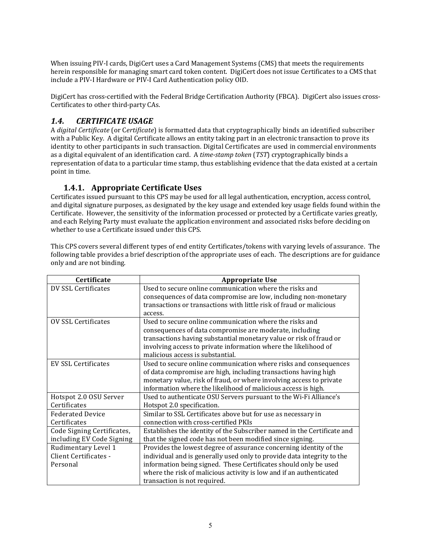When issuing PIV-I cards, DigiCert uses a Card Management Systems (CMS) that meets the requirements herein responsible for managing smart card token content. DigiCert does not issue Certificates to a CMS that include a PIV-I Hardware or PIV-I Card Authentication policy OID.

DigiCert has cross-certified with the Federal Bridge Certification Authority (FBCA). DigiCert also issues cross-Certificates to other third-party CAs.

# *1.4. CERTIFICATE USAGE*

A *digital Certificate* (or C*ertificate*) is formatted data that cryptographically binds an identified subscriber with a Public Key. A digital Certificate allows an entity taking part in an electronic transaction to prove its identity to other participants in such transaction. Digital Certificates are used in commercial environments as a digital equivalent of an identification card. A *time-stamp token* (*TST*) cryptographically binds a representation of data to a particular time stamp, thus establishing evidence that the data existed at a certain point in time.

# **1.4.1. Appropriate Certificate Uses**

Certificates issued pursuant to this CPS may be used for all legal authentication, encryption, access control, and digital signature purposes, as designated by the key usage and extended key usage fields found within the Certificate. However, the sensitivity of the information processed or protected by a Certificate varies greatly, and each Relying Party must evaluate the application environment and associated risks before deciding on whether to use a Certificate issued under this CPS.

This CPS covers several different types of end entity Certificates/tokens with varying levels of assurance. The following table provides a brief description of the appropriate uses of each. The descriptions are for guidance only and are not binding.

| <b>Certificate</b>         | <b>Appropriate Use</b>                                                  |
|----------------------------|-------------------------------------------------------------------------|
| DV SSL Certificates        | Used to secure online communication where the risks and                 |
|                            | consequences of data compromise are low, including non-monetary         |
|                            | transactions or transactions with little risk of fraud or malicious     |
|                            | access.                                                                 |
| <b>OV SSL Certificates</b> | Used to secure online communication where the risks and                 |
|                            | consequences of data compromise are moderate, including                 |
|                            | transactions having substantial monetary value or risk of fraud or      |
|                            | involving access to private information where the likelihood of         |
|                            | malicious access is substantial.                                        |
| <b>EV SSL Certificates</b> | Used to secure online communication where risks and consequences        |
|                            | of data compromise are high, including transactions having high         |
|                            | monetary value, risk of fraud, or where involving access to private     |
|                            | information where the likelihood of malicious access is high.           |
| Hotspot 2.0 OSU Server     | Used to authenticate OSU Servers pursuant to the Wi-Fi Alliance's       |
| Certificates               | Hotspot 2.0 specification.                                              |
| <b>Federated Device</b>    | Similar to SSL Certificates above but for use as necessary in           |
| Certificates               | connection with cross-certified PKIs                                    |
| Code Signing Certificates, | Establishes the identity of the Subscriber named in the Certificate and |
| including EV Code Signing  | that the signed code has not been modified since signing.               |
| Rudimentary Level 1        | Provides the lowest degree of assurance concerning identity of the      |
| Client Certificates -      | individual and is generally used only to provide data integrity to the  |
| Personal                   | information being signed. These Certificates should only be used        |
|                            | where the risk of malicious activity is low and if an authenticated     |
|                            | transaction is not required.                                            |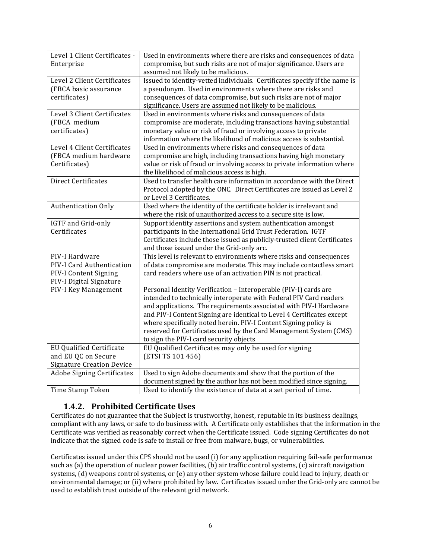| Level 1 Client Certificates -     | Used in environments where there are risks and consequences of data        |
|-----------------------------------|----------------------------------------------------------------------------|
| Enterprise                        | compromise, but such risks are not of major significance. Users are        |
|                                   | assumed not likely to be malicious.                                        |
| Level 2 Client Certificates       | Issued to identity-vetted individuals. Certificates specify if the name is |
| (FBCA basic assurance             | a pseudonym. Used in environments where there are risks and                |
| certificates)                     | consequences of data compromise, but such risks are not of major           |
|                                   |                                                                            |
|                                   | significance. Users are assumed not likely to be malicious.                |
| Level 3 Client Certificates       | Used in environments where risks and consequences of data                  |
| (FBCA medium                      | compromise are moderate, including transactions having substantial         |
| certificates)                     | monetary value or risk of fraud or involving access to private             |
|                                   | information where the likelihood of malicious access is substantial.       |
| Level 4 Client Certificates       | Used in environments where risks and consequences of data                  |
| (FBCA medium hardware             | compromise are high, including transactions having high monetary           |
| Certificates)                     | value or risk of fraud or involving access to private information where    |
|                                   | the likelihood of malicious access is high.                                |
| Direct Certificates               | Used to transfer health care information in accordance with the Direct     |
|                                   | Protocol adopted by the ONC. Direct Certificates are issued as Level 2     |
|                                   | or Level 3 Certificates.                                                   |
| <b>Authentication Only</b>        | Used where the identity of the certificate holder is irrelevant and        |
|                                   | where the risk of unauthorized access to a secure site is low.             |
| IGTF and Grid-only                | Support identity assertions and system authentication amongst              |
|                                   | participants in the International Grid Trust Federation. IGTF              |
| Certificates                      |                                                                            |
|                                   | Certificates include those issued as publicly-trusted client Certificates  |
|                                   | and those issued under the Grid-only arc.                                  |
| PIV-I Hardware                    | This level is relevant to environments where risks and consequences        |
| PIV-I Card Authentication         | of data compromise are moderate. This may include contactless smart        |
| PIV-I Content Signing             | card readers where use of an activation PIN is not practical.              |
| PIV-I Digital Signature           |                                                                            |
| PIV-I Key Management              | Personal Identity Verification - Interoperable (PIV-I) cards are           |
|                                   | intended to technically interoperate with Federal PIV Card readers         |
|                                   | and applications. The requirements associated with PIV-I Hardware          |
|                                   | and PIV-I Content Signing are identical to Level 4 Certificates except     |
|                                   | where specifically noted herein. PIV-I Content Signing policy is           |
|                                   | reserved for Certificates used by the Card Management System (CMS)         |
|                                   | to sign the PIV-I card security objects                                    |
| <b>EU Qualified Certificate</b>   | EU Qualified Certificates may only be used for signing                     |
| and EU QC on Secure               | (ETSI TS 101 456)                                                          |
|                                   |                                                                            |
| <b>Signature Creation Device</b>  |                                                                            |
| <b>Adobe Signing Certificates</b> | Used to sign Adobe documents and show that the portion of the              |
|                                   | document signed by the author has not been modified since signing.         |
| Time Stamp Token                  | Used to identify the existence of data at a set period of time.            |

# **1.4.2. Prohibited Certificate Uses**

Certificates do not guarantee that the Subject is trustworthy, honest, reputable in its business dealings, compliant with any laws, or safe to do business with. A Certificate only establishes that the information in the Certificate was verified as reasonably correct when the Certificate issued. Code signing Certificates do not indicate that the signed code is safe to install or free from malware, bugs, or vulnerabilities.

Certificates issued under this CPS should not be used (i) for any application requiring fail-safe performance such as (a) the operation of nuclear power facilities,  $(b)$  air traffic control systems,  $(c)$  aircraft navigation systems, (d) weapons control systems, or (e) any other system whose failure could lead to injury, death or environmental damage; or (ii) where prohibited by law. Certificates issued under the Grid-only arc cannot be used to establish trust outside of the relevant grid network.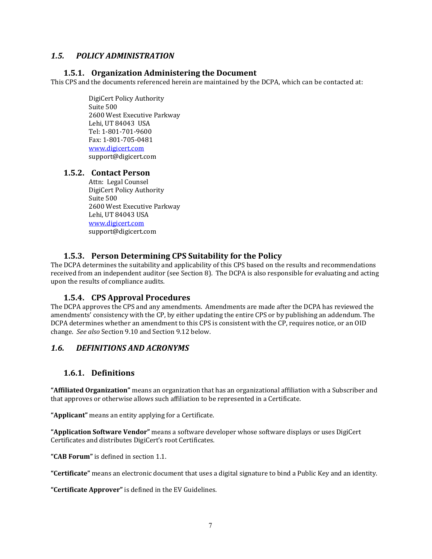## *1.5. POLICY ADMINISTRATION*

#### **1.5.1. Organization Administering the Document**

This CPS and the documents referenced herein are maintained by the DCPA, which can be contacted at:

DigiCert Policy Authority Suite 500 2600 West Executive Parkway Lehi, UT 84043 USA Tel: 1‐801‐701‐9600 Fax: 1‐801‐705‐0481 www.digicert.com support@digicert.com 

#### **1.5.2. Contact Person**

Attn: Legal Counsel DigiCert Policy Authority Suite 500 2600 West Executive Parkway Lehi, UT 84043 USA www.digicert.com support@digicert.com 

#### **1.5.3. Person Determining CPS Suitability for the Policy**

The DCPA determines the suitability and applicability of this CPS based on the results and recommendations received from an independent auditor (see Section 8). The DCPA is also responsible for evaluating and acting upon the results of compliance audits.

#### **1.5.4. CPS Approval Procedures**

The DCPA approves the CPS and any amendments. Amendments are made after the DCPA has reviewed the amendments' consistency with the CP, by either updating the entire CPS or by publishing an addendum. The DCPA determines whether an amendment to this CPS is consistent with the CP, requires notice, or an OID change. *See also* Section 9.10 and Section 9.12 below. 

#### *1.6. DEFINITIONS AND ACRONYMS*

# **1.6.1. Definitions**

**"Affiliated Organization"** means an organization that has an organizational affiliation with a Subscriber and that approves or otherwise allows such affiliation to be represented in a Certificate.

"**Applicant**" means an entity applying for a Certificate.

**"Application Software Vendor"** means a software developer whose software displays or uses DigiCert Certificates and distributes DigiCert's root Certificates.

"**CAB Forum**" is defined in section 1.1.

"Certificate" means an electronic document that uses a digital signature to bind a Public Key and an identity.

"Certificate Approver" is defined in the EV Guidelines.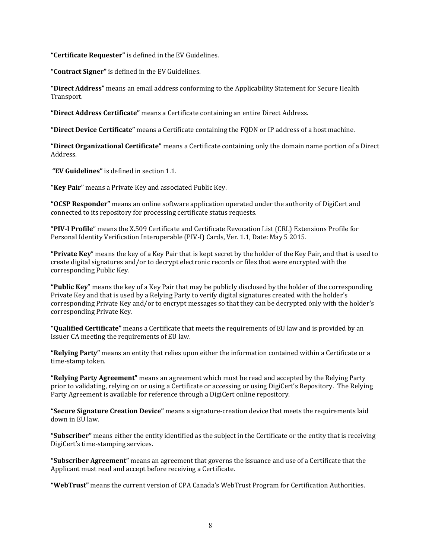"Certificate Requester" is defined in the EV Guidelines.

"Contract Signer" is defined in the EV Guidelines.

"Direct Address" means an email address conforming to the Applicability Statement for Secure Health Transport. 

**"Direct Address Certificate"** means a Certificate containing an entire Direct Address. 

**"Direct Device Certificate"** means a Certificate containing the FQDN or IP address of a host machine. 

**"Direct Organizational Certificate"** means a Certificate containing only the domain name portion of a Direct Address. 

"EV Guidelines" is defined in section 1.1.

**"Key Pair"** means a Private Key and associated Public Key.

**"OCSP Responder"** means an online software application operated under the authority of DigiCert and connected to its repository for processing certificate status requests.

"PIV<sub></sub>**I** Profile" means the X.509 Certificate and Certificate Revocation List (CRL) Extensions Profile for Personal Identity Verification Interoperable (PIV-I) Cards, Ver. 1.1, Date: May 5 2015.

**"Private Key**" means the key of a Key Pair that is kept secret by the holder of the Key Pair, and that is used to create digital signatures and/or to decrypt electronic records or files that were encrypted with the corresponding Public Key.

**"Public Key**" means the key of a Key Pair that may be publicly disclosed by the holder of the corresponding Private Key and that is used by a Relying Party to verify digital signatures created with the holder's corresponding Private Key and/or to encrypt messages so that they can be decrypted only with the holder's corresponding Private Key.

**"Qualified Certificate"** means a Certificate that meets the requirements of EU law and is provided by an Issuer CA meeting the requirements of EU law.

**"Relying Party"** means an entity that relies upon either the information contained within a Certificate or a time-stamp token.

**"Relying Party Agreement"** means an agreement which must be read and accepted by the Relying Party prior to validating, relying on or using a Certificate or accessing or using DigiCert's Repository. The Relying Party Agreement is available for reference through a DigiCert online repository.

**"Secure Signature Creation Device"** means a signature-creation device that meets the requirements laid down in EU law.

"Subscriber" means either the entity identified as the subject in the Certificate or the entity that is receiving DigiCert's time-stamping services.

**"Subscriber Agreement"** means an agreement that governs the issuance and use of a Certificate that the Applicant must read and accept before receiving a Certificate.

"WebTrust" means the current version of CPA Canada's WebTrust Program for Certification Authorities.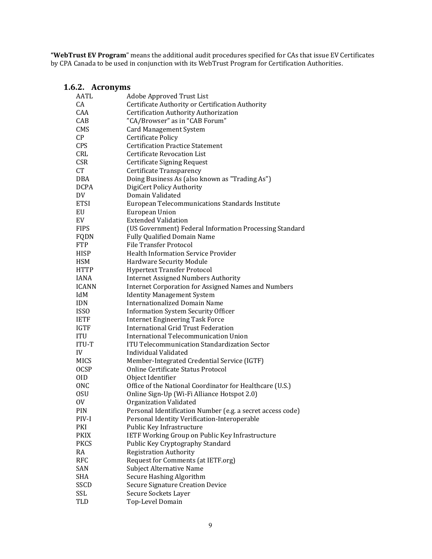"WebTrust EV Program" means the additional audit procedures specified for CAs that issue EV Certificates by CPA Canada to be used in conjunction with its WebTrust Program for Certification Authorities.

#### **1.6.2. Acronyms**

| AATL         | Adobe Approved Trust List                                  |
|--------------|------------------------------------------------------------|
| CА           | Certificate Authority or Certification Authority           |
| CAA          | Certification Authority Authorization                      |
| CAB          | "CA/Browser" as in "CAB Forum"                             |
| CMS          | <b>Card Management System</b>                              |
| CP           | <b>Certificate Policy</b>                                  |
| <b>CPS</b>   | <b>Certification Practice Statement</b>                    |
| CRL          | <b>Certificate Revocation List</b>                         |
| <b>CSR</b>   | <b>Certificate Signing Request</b>                         |
| CT           | Certificate Transparency                                   |
| <b>DBA</b>   | Doing Business As (also known as "Trading As")             |
| <b>DCPA</b>  | DigiCert Policy Authority                                  |
| DV           | Domain Validated                                           |
| <b>ETSI</b>  | European Telecommunications Standards Institute            |
| EU           | <b>European Union</b>                                      |
| EV           | <b>Extended Validation</b>                                 |
| <b>FIPS</b>  | (US Government) Federal Information Processing Standard    |
| FQDN         | <b>Fully Qualified Domain Name</b>                         |
| <b>FTP</b>   | <b>File Transfer Protocol</b>                              |
| <b>HISP</b>  | <b>Health Information Service Provider</b>                 |
| <b>HSM</b>   | <b>Hardware Security Module</b>                            |
| <b>HTTP</b>  | <b>Hypertext Transfer Protocol</b>                         |
| <b>IANA</b>  | <b>Internet Assigned Numbers Authority</b>                 |
| <b>ICANN</b> | <b>Internet Corporation for Assigned Names and Numbers</b> |
| IdM          | <b>Identity Management System</b>                          |
| <b>IDN</b>   | <b>Internationalized Domain Name</b>                       |
| <b>ISSO</b>  | <b>Information System Security Officer</b>                 |
| <b>IETF</b>  | <b>Internet Engineering Task Force</b>                     |
| <b>IGTF</b>  | <b>International Grid Trust Federation</b>                 |
| ITU          | International Telecommunication Union                      |
| ITU-T        | <b>ITU Telecommunication Standardization Sector</b>        |
| IV           | Individual Validated                                       |
| MICS         | Member-Integrated Credential Service (IGTF)                |
| <b>OCSP</b>  | Online Certificate Status Protocol                         |
| 0ID          | Object Identifier                                          |
| <b>ONC</b>   | Office of the National Coordinator for Healthcare (U.S.)   |
| 0SU          | Online Sign-Up (Wi-Fi Alliance Hotspot 2.0)                |
| 0V           | Organization Validated                                     |
| PIN          | Personal Identification Number (e.g. a secret access code) |
| PIV-I        | Personal Identity Verification-Interoperable               |
| PKI          | Public Key Infrastructure                                  |
| <b>PKIX</b>  | IETF Working Group on Public Key Infrastructure            |
| <b>PKCS</b>  | Public Key Cryptography Standard                           |
| RA           | <b>Registration Authority</b>                              |
| RFC          | Request for Comments (at IETF.org)                         |
| SAN          | <b>Subject Alternative Name</b>                            |
| SHA          | Secure Hashing Algorithm                                   |
| SSCD         | <b>Secure Signature Creation Device</b>                    |
| SSL          | Secure Sockets Layer                                       |
| TLD          | Top-Level Domain                                           |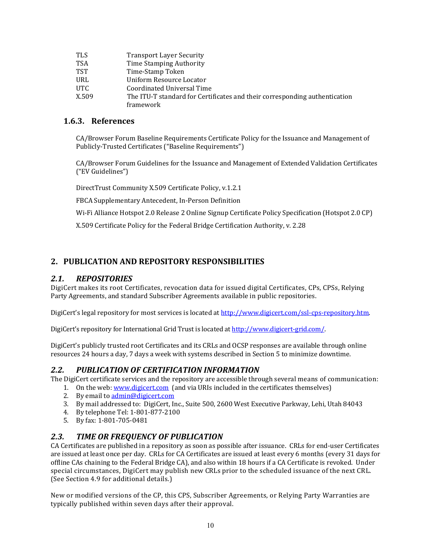| <b>TLS</b> | <b>Transport Layer Security</b>                                            |
|------------|----------------------------------------------------------------------------|
| <b>TSA</b> | Time Stamping Authority                                                    |
| <b>TST</b> | Time-Stamp Token                                                           |
| URL        | Uniform Resource Locator                                                   |
| UTC.       | Coordinated Universal Time                                                 |
| X.509      | The ITU-T standard for Certificates and their corresponding authentication |
|            | framework                                                                  |

#### **1.6.3. References**

CA/Browser Forum Baseline Requirements Certificate Policy for the Issuance and Management of Publicly-Trusted Certificates ("Baseline Requirements")

CA/Browser Forum Guidelines for the Issuance and Management of Extended Validation Certificates ("EV Guidelines") 

DirectTrust Community X.509 Certificate Policy, v.1.2.1

FBCA Supplementary Antecedent, In-Person Definition

Wi-Fi Alliance Hotspot 2.0 Release 2 Online Signup Certificate Policy Specification (Hotspot 2.0 CP)

X.509 Certificate Policy for the Federal Bridge Certification Authority, v. 2.28

# **2. PUBLICATION AND REPOSITORY RESPONSIBILITIES**

#### *2.1. REPOSITORIES*

DigiCert makes its root Certificates, revocation data for issued digital Certificates, CPs, CPSs, Relying Party Agreements, and standard Subscriber Agreements available in public repositories.

DigiCert's legal repository for most services is located at http://www.digicert.com/ssl-cps-repository.htm.

DigiCert's repository for International Grid Trust is located at http://www.digicert-grid.com/.

DigiCert's publicly trusted root Certificates and its CRLs and OCSP responses are available through online resources 24 hours a day, 7 days a week with systems described in Section 5 to minimize downtime.

#### *2.2. PUBLICATION OF CERTIFICATION INFORMATION*

The DigiCert certificate services and the repository are accessible through several means of communication:

- 1. On the web: www.digicert.com (and via URIs included in the certificates themselves)
- 2. By email to admin@digicert.com
- 3. By mail addressed to: DigiCert, Inc., Suite 500, 2600 West Executive Parkway, Lehi, Utah 84043
- 4. By telephone Tel: 1-801-877-2100
- 5. By fax: 1-801-705-0481

#### *2.3. TIME OR FREQUENCY OF PUBLICATION*

CA Certificates are published in a repository as soon as possible after issuance. CRLs for end-user Certificates are issued at least once per day. CRLs for CA Certificates are issued at least every 6 months (every 31 days for offline CAs chaining to the Federal Bridge CA), and also within 18 hours if a CA Certificate is revoked. Under special circumstances, DigiCert may publish new CRLs prior to the scheduled issuance of the next CRL. (See Section 4.9 for additional details.)

New or modified versions of the CP, this CPS, Subscriber Agreements, or Relying Party Warranties are typically published within seven days after their approval.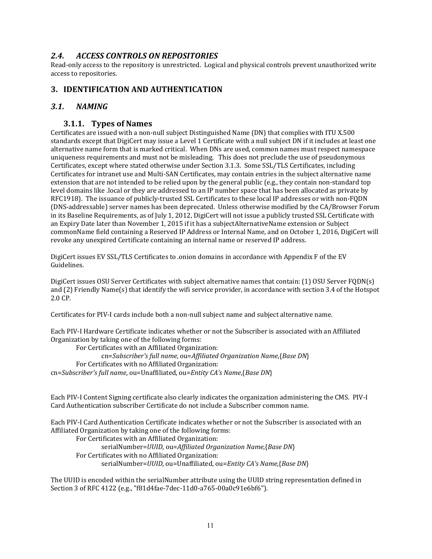## *2.4. ACCESS CONTROLS ON REPOSITORIES*

Read-only access to the repository is unrestricted. Logical and physical controls prevent unauthorized write access to repositories.

## **3. IDENTIFICATION AND AUTHENTICATION**

#### *3.1. NAMING*

#### **3.1.1. Types of Names**

Certificates are issued with a non-null subject Distinguished Name (DN) that complies with ITU X.500 standards except that DigiCert may issue a Level 1 Certificate with a null subject DN if it includes at least one alternative name form that is marked critical. When DNs are used, common names must respect namespace uniqueness requirements and must not be misleading. This does not preclude the use of pseudonymous Certificates, except where stated otherwise under Section 3.1.3. Some SSL/TLS Certificates, including Certificates for intranet use and Multi-SAN Certificates, may contain entries in the subject alternative name extension that are not intended to be relied upon by the general public (e.g., they contain non-standard top level domains like .local or they are addressed to an IP number space that has been allocated as private by RFC1918). The issuance of publicly-trusted SSL Certificates to these local IP addresses or with non-FQDN (DNS-addressable) server names has been deprecated. Unless otherwise modified by the CA/Browser Forum in its Baseline Requirements, as of July 1, 2012, DigiCert will not issue a publicly trusted SSL Certificate with an Expiry Date later than November 1, 2015 if it has a subject Alternative Name extension or Subject commonName field containing a Reserved IP Address or Internal Name, and on October 1, 2016, DigiCert will revoke any unexpired Certificate containing an internal name or reserved IP address.

DigiCert issues EV SSL/TLS Certificates to .onion domains in accordance with Appendix F of the EV Guidelines. 

DigiCert issues OSU Server Certificates with subject alternative names that contain: (1) OSU Server FODN(s) and  $(2)$  Friendly Name(s) that identify the wifi service provider, in accordance with section 3.4 of the Hotspot 2.0 CP. 

Certificates for PIV-I cards include both a non-null subject name and subject alternative name.

Each PIV-I Hardware Certificate indicates whether or not the Subscriber is associated with an Affiliated Organization by taking one of the following forms:

For Certificates with an Affiliated Organization: cn=*Subscriber's full name*, ou=*Affiliated Organization Name*,{*Base DN*} For Certificates with no Affiliated Organization: cn=*Subscriber's full name*, ou=Unaffiliated, ou=*Entity CA's Name*,{*Base DN*} 

Each PIV-I Content Signing certificate also clearly indicates the organization administering the CMS. PIV-I Card Authentication subscriber Certificate do not include a Subscriber common name.

Each PIV-I Card Authentication Certificate indicates whether or not the Subscriber is associated with an Affiliated Organization by taking one of the following forms:

For Certificates with an Affiliated Organization: serialNumber=*UUID*, ou=*Affiliated Organization Name*,{*Base DN*} For Certificates with no Affiliated Organization: serialNumber=*UUID*, ou=Unaffiliated, ou=*Entity CA's Name*,{*Base DN*} 

The UUID is encoded within the serialNumber attribute using the UUID string representation defined in Section 3 of RFC 4122 (e.g., "f81d4fae-7dec-11d0-a765-00a0c91e6bf6").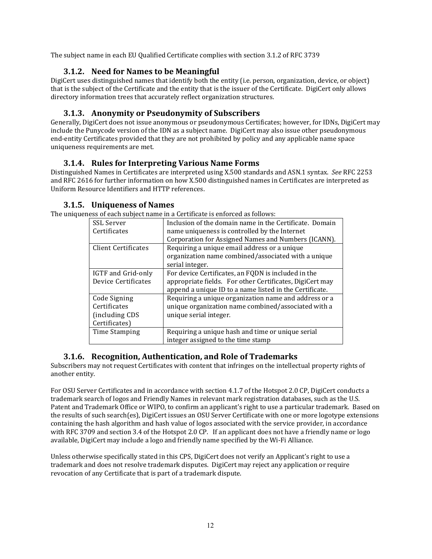The subject name in each EU Qualified Certificate complies with section 3.1.2 of RFC 3739

# **3.1.2. Need for Names to be Meaningful**

DigiCert uses distinguished names that identify both the entity (i.e. person, organization, device, or object) that is the subject of the Certificate and the entity that is the issuer of the Certificate. DigiCert only allows directory information trees that accurately reflect organization structures.

# **3.1.3. Anonymity or Pseudonymity of Subscribers**

Generally, DigiCert does not issue anonymous or pseudonymous Certificates; however, for IDNs, DigiCert may include the Punycode version of the IDN as a subject name. DigiCert may also issue other pseudonymous end-entity Certificates provided that they are not prohibited by policy and any applicable name space uniqueness requirements are met.

# **3.1.4. Rules for Interpreting Various Name Forms**

Distinguished Names in Certificates are interpreted using X.500 standards and ASN.1 syntax. See RFC 2253 and RFC 2616 for further information on how X.500 distinguished names in Certificates are interpreted as Uniform Resource Identifiers and HTTP references.

## **3.1.5. Uniqueness of Names**

The uniqueness of each subject name in a Certificate is enforced as follows:

| ncss of cach subject hanie in a certineate is chiorecu as follows. |                                                          |  |
|--------------------------------------------------------------------|----------------------------------------------------------|--|
| <b>SSL Server</b>                                                  | Inclusion of the domain name in the Certificate. Domain  |  |
| Certificates                                                       | name uniqueness is controlled by the Internet            |  |
|                                                                    | Corporation for Assigned Names and Numbers (ICANN).      |  |
| <b>Client Certificates</b>                                         | Requiring a unique email address or a unique             |  |
|                                                                    | organization name combined/associated with a unique      |  |
|                                                                    | serial integer.                                          |  |
| IGTF and Grid-only                                                 | For device Certificates, an FQDN is included in the      |  |
| Device Certificates                                                | appropriate fields. For other Certificates, DigiCert may |  |
|                                                                    | append a unique ID to a name listed in the Certificate.  |  |
| Code Signing                                                       | Requiring a unique organization name and address or a    |  |
| Certificates                                                       | unique organization name combined/associated with a      |  |
| (including CDS                                                     | unique serial integer.                                   |  |
| Certificates)                                                      |                                                          |  |
| Time Stamping                                                      | Requiring a unique hash and time or unique serial        |  |
|                                                                    | integer assigned to the time stamp                       |  |

# **3.1.6. Recognition, Authentication, and Role of Trademarks**

Subscribers may not request Certificates with content that infringes on the intellectual property rights of another entity.

For OSU Server Certificates and in accordance with section 4.1.7 of the Hotspot 2.0 CP, DigiCert conducts a trademark search of logos and Friendly Names in relevant mark registration databases, such as the U.S. Patent and Trademark Office or WIPO, to confirm an applicant's right to use a particular trademark. Based on the results of such search(es), DigiCert issues an OSU Server Certificate with one or more logotype extensions containing the hash algorithm and hash value of logos associated with the service provider, in accordance with RFC 3709 and section 3.4 of the Hotspot 2.0 CP. If an applicant does not have a friendly name or logo available, DigiCert may include a logo and friendly name specified by the Wi-Fi Alliance.

Unless otherwise specifically stated in this CPS, DigiCert does not verify an Applicant's right to use a trademark and does not resolve trademark disputes. DigiCert may reject any application or require revocation of any Certificate that is part of a trademark dispute.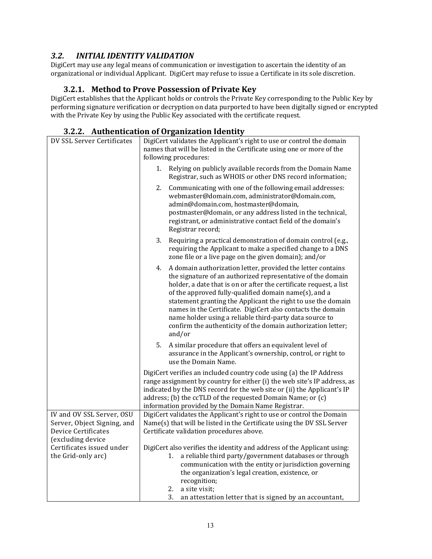# *3.2. INITIAL IDENTITY VALIDATION*

DigiCert may use any legal means of communication or investigation to ascertain the identity of an organizational or individual Applicant. DigiCert may refuse to issue a Certificate in its sole discretion.

## **3.2.1. Method to Prove Possession of Private Key**

DigiCert establishes that the Applicant holds or controls the Private Key corresponding to the Public Key by performing signature verification or decryption on data purported to have been digitally signed or encrypted with the Private Key by using the Public Key associated with the certificate request.

#### **3.2.2. Authentication of Organization Identity**

| DV SSL Server Certificates |                                                | DigiCert validates the Applicant's right to use or control the domain<br>names that will be listed in the Certificate using one or more of the<br>following procedures:                                                                                                                                                                                                                                                                                                                                                             |  |  |
|----------------------------|------------------------------------------------|-------------------------------------------------------------------------------------------------------------------------------------------------------------------------------------------------------------------------------------------------------------------------------------------------------------------------------------------------------------------------------------------------------------------------------------------------------------------------------------------------------------------------------------|--|--|
|                            |                                                | Relying on publicly available records from the Domain Name<br>1.<br>Registrar, such as WHOIS or other DNS record information;                                                                                                                                                                                                                                                                                                                                                                                                       |  |  |
|                            |                                                | 2.<br>Communicating with one of the following email addresses:<br>webmaster@domain.com, administrator@domain.com,<br>admin@domain.com, hostmaster@domain,<br>postmaster@domain, or any address listed in the technical,<br>registrant, or administrative contact field of the domain's<br>Registrar record;                                                                                                                                                                                                                         |  |  |
|                            |                                                | 3.<br>Requiring a practical demonstration of domain control (e.g.,<br>requiring the Applicant to make a specified change to a DNS<br>zone file or a live page on the given domain); and/or                                                                                                                                                                                                                                                                                                                                          |  |  |
|                            |                                                | A domain authorization letter, provided the letter contains<br>4.<br>the signature of an authorized representative of the domain<br>holder, a date that is on or after the certificate request, a list<br>of the approved fully-qualified domain name(s), and a<br>statement granting the Applicant the right to use the domain<br>names in the Certificate. DigiCert also contacts the domain<br>name holder using a reliable third-party data source to<br>confirm the authenticity of the domain authorization letter;<br>and/or |  |  |
|                            |                                                | 5.<br>A similar procedure that offers an equivalent level of<br>assurance in the Applicant's ownership, control, or right to<br>use the Domain Name.                                                                                                                                                                                                                                                                                                                                                                                |  |  |
|                            |                                                | DigiCert verifies an included country code using (a) the IP Address<br>range assignment by country for either (i) the web site's IP address, as<br>indicated by the DNS record for the web site or (ii) the Applicant's IP<br>address; (b) the ccTLD of the requested Domain Name; or (c)<br>information provided by the Domain Name Registrar.                                                                                                                                                                                     |  |  |
|                            | IV and OV SSL Server, OSU                      | DigiCert validates the Applicant's right to use or control the Domain                                                                                                                                                                                                                                                                                                                                                                                                                                                               |  |  |
|                            | Server, Object Signing, and                    | Name(s) that will be listed in the Certificate using the DV SSL Server                                                                                                                                                                                                                                                                                                                                                                                                                                                              |  |  |
|                            | Device Certificates                            | Certificate validation procedures above.                                                                                                                                                                                                                                                                                                                                                                                                                                                                                            |  |  |
|                            | (excluding device<br>Certificates issued under | DigiCert also verifies the identity and address of the Applicant using:                                                                                                                                                                                                                                                                                                                                                                                                                                                             |  |  |
|                            | the Grid-only arc)                             | a reliable third party/government databases or through<br>1.<br>communication with the entity or jurisdiction governing<br>the organization's legal creation, existence, or<br>recognition;<br>a site visit;                                                                                                                                                                                                                                                                                                                        |  |  |
|                            |                                                | 2.<br>3.<br>an attestation letter that is signed by an accountant,                                                                                                                                                                                                                                                                                                                                                                                                                                                                  |  |  |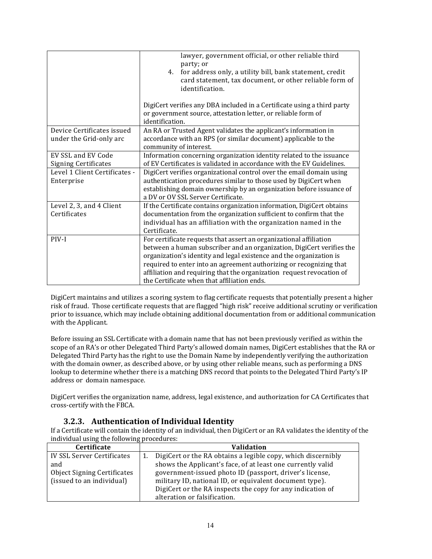|                               | lawyer, government official, or other reliable third<br>party; or<br>for address only, a utility bill, bank statement, credit<br>4.<br>card statement, tax document, or other reliable form of<br>identification. |  |
|-------------------------------|-------------------------------------------------------------------------------------------------------------------------------------------------------------------------------------------------------------------|--|
|                               | DigiCert verifies any DBA included in a Certificate using a third party<br>or government source, attestation letter, or reliable form of<br>identification.                                                       |  |
| Device Certificates issued    | An RA or Trusted Agent validates the applicant's information in                                                                                                                                                   |  |
| under the Grid-only arc       | accordance with an RPS (or similar document) applicable to the<br>community of interest.                                                                                                                          |  |
| EV SSL and EV Code            | Information concerning organization identity related to the issuance                                                                                                                                              |  |
| <b>Signing Certificates</b>   | of EV Certificates is validated in accordance with the EV Guidelines.                                                                                                                                             |  |
| Level 1 Client Certificates - | DigiCert verifies organizational control over the email domain using                                                                                                                                              |  |
| Enterprise                    | authentication procedures similar to those used by DigiCert when                                                                                                                                                  |  |
|                               | establishing domain ownership by an organization before issuance of<br>a DV or OV SSL Server Certificate.                                                                                                         |  |
| Level 2, 3, and 4 Client      | If the Certificate contains organization information, DigiCert obtains                                                                                                                                            |  |
| Certificates                  | documentation from the organization sufficient to confirm that the                                                                                                                                                |  |
|                               | individual has an affiliation with the organization named in the                                                                                                                                                  |  |
|                               | Certificate.                                                                                                                                                                                                      |  |
| PIV-I                         | For certificate requests that assert an organizational affiliation                                                                                                                                                |  |
|                               | between a human subscriber and an organization, DigiCert verifies the                                                                                                                                             |  |
|                               | organization's identity and legal existence and the organization is                                                                                                                                               |  |
|                               | required to enter into an agreement authorizing or recognizing that                                                                                                                                               |  |
|                               | affiliation and requiring that the organization request revocation of                                                                                                                                             |  |
|                               | the Certificate when that affiliation ends.                                                                                                                                                                       |  |
|                               |                                                                                                                                                                                                                   |  |

DigiCert maintains and utilizes a scoring system to flag certificate requests that potentially present a higher risk of fraud. Those certificate requests that are flagged "high risk" receive additional scrutiny or verification prior to issuance, which may include obtaining additional documentation from or additional communication with the Applicant.

Before issuing an SSL Certificate with a domain name that has not been previously verified as within the scope of an RA's or other Delegated Third Party's allowed domain names, DigiCert establishes that the RA or Delegated Third Party has the right to use the Domain Name by independently verifying the authorization with the domain owner, as described above, or by using other reliable means, such as performing a DNS lookup to determine whether there is a matching DNS record that points to the Delegated Third Party's IP address or domain namespace.

DigiCert verifies the organization name, address, legal existence, and authorization for CA Certificates that cross-certify with the FBCA.

#### **3.2.3. Authentication of Individual Identity**

If a Certificate will contain the identity of an individual, then DigiCert or an RA validates the identity of the individual using the following procedures:

| <b>Certificate</b>                 | Validation                                                   |  |
|------------------------------------|--------------------------------------------------------------|--|
| IV SSL Server Certificates         | DigiCert or the RA obtains a legible copy, which discernibly |  |
| and                                | shows the Applicant's face, of at least one currently valid  |  |
| <b>Object Signing Certificates</b> | government-issued photo ID (passport, driver's license,      |  |
| (issued to an individual)          | military ID, national ID, or equivalent document type).      |  |
|                                    | DigiCert or the RA inspects the copy for any indication of   |  |
|                                    | alteration or falsification.                                 |  |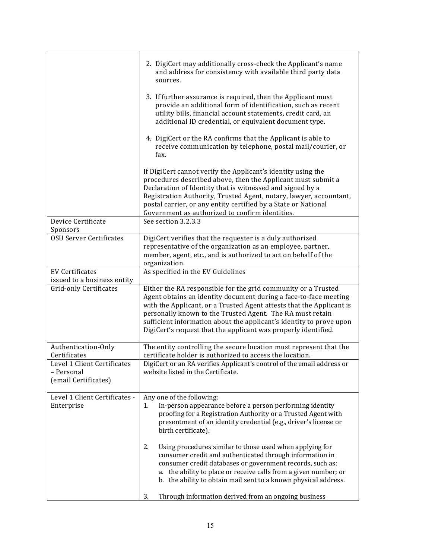|                                                                   | 2. DigiCert may additionally cross-check the Applicant's name<br>and address for consistency with available third party data<br>sources.                                                                                                                                                                                                                                                                        |
|-------------------------------------------------------------------|-----------------------------------------------------------------------------------------------------------------------------------------------------------------------------------------------------------------------------------------------------------------------------------------------------------------------------------------------------------------------------------------------------------------|
|                                                                   | 3. If further assurance is required, then the Applicant must<br>provide an additional form of identification, such as recent<br>utility bills, financial account statements, credit card, an<br>additional ID credential, or equivalent document type.                                                                                                                                                          |
|                                                                   | 4. DigiCert or the RA confirms that the Applicant is able to<br>receive communication by telephone, postal mail/courier, or<br>fax.                                                                                                                                                                                                                                                                             |
|                                                                   | If DigiCert cannot verify the Applicant's identity using the<br>procedures described above, then the Applicant must submit a<br>Declaration of Identity that is witnessed and signed by a<br>Registration Authority, Trusted Agent, notary, lawyer, accountant,<br>postal carrier, or any entity certified by a State or National<br>Government as authorized to confirm identities.                            |
| Device Certificate<br>Sponsors                                    | See section 3.2.3.3                                                                                                                                                                                                                                                                                                                                                                                             |
| <b>OSU Server Certificates</b>                                    | DigiCert verifies that the requester is a duly authorized<br>representative of the organization as an employee, partner,<br>member, agent, etc., and is authorized to act on behalf of the<br>organization.                                                                                                                                                                                                     |
| <b>EV Certificates</b><br>issued to a business entity             | As specified in the EV Guidelines                                                                                                                                                                                                                                                                                                                                                                               |
| <b>Grid-only Certificates</b>                                     | Either the RA responsible for the grid community or a Trusted<br>Agent obtains an identity document during a face-to-face meeting<br>with the Applicant, or a Trusted Agent attests that the Applicant is<br>personally known to the Trusted Agent. The RA must retain<br>sufficient information about the applicant's identity to prove upon<br>DigiCert's request that the applicant was properly identified. |
| Authentication-Only<br>Certificates                               | The entity controlling the secure location must represent that the<br>certificate holder is authorized to access the location.                                                                                                                                                                                                                                                                                  |
| Level 1 Client Certificates<br>– Personal<br>(email Certificates) | DigiCert or an RA verifies Applicant's control of the email address or<br>website listed in the Certificate.                                                                                                                                                                                                                                                                                                    |
| Level 1 Client Certificates -<br>Enterprise                       | Any one of the following:<br>In-person appearance before a person performing identity<br>1.<br>proofing for a Registration Authority or a Trusted Agent with<br>presentment of an identity credential (e.g., driver's license or<br>birth certificate).                                                                                                                                                         |
|                                                                   | 2.<br>Using procedures similar to those used when applying for<br>consumer credit and authenticated through information in<br>consumer credit databases or government records, such as:<br>a. the ability to place or receive calls from a given number; or<br>b. the ability to obtain mail sent to a known physical address.                                                                                  |
|                                                                   | Through information derived from an ongoing business<br>3.                                                                                                                                                                                                                                                                                                                                                      |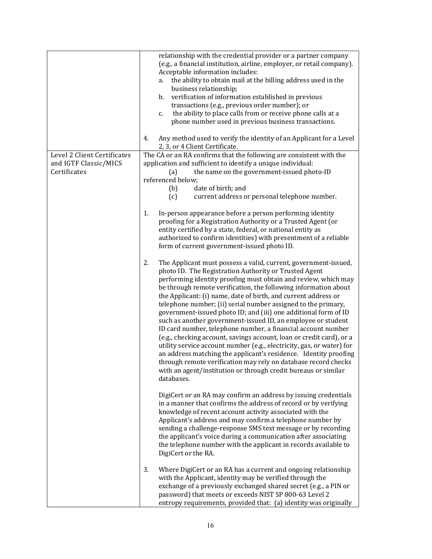|                                                                      | relationship with the credential provider or a partner company<br>(e.g., a financial institution, airline, employer, or retail company).<br>Acceptable information includes:<br>the ability to obtain mail at the billing address used in the<br>а.<br>business relationship;<br>verification of information established in previous<br>b.<br>transactions (e.g., previous order number); or<br>the ability to place calls from or receive phone calls at a<br>c.<br>phone number used in previous business transactions.                                                                                                                                                                                                                                                                                                                                                                                                                                                        |
|----------------------------------------------------------------------|----------------------------------------------------------------------------------------------------------------------------------------------------------------------------------------------------------------------------------------------------------------------------------------------------------------------------------------------------------------------------------------------------------------------------------------------------------------------------------------------------------------------------------------------------------------------------------------------------------------------------------------------------------------------------------------------------------------------------------------------------------------------------------------------------------------------------------------------------------------------------------------------------------------------------------------------------------------------------------|
|                                                                      | Any method used to verify the identity of an Applicant for a Level<br>4.<br>2, 3, or 4 Client Certificate.                                                                                                                                                                                                                                                                                                                                                                                                                                                                                                                                                                                                                                                                                                                                                                                                                                                                       |
| Level 2 Client Certificates<br>and IGTF Classic/MICS<br>Certificates | The CA or an RA confirms that the following are consistent with the<br>application and sufficient to identify a unique individual:<br>the name on the government-issued photo-ID<br>(a)<br>referenced below;<br>date of birth; and<br>(b)<br>(c)<br>current address or personal telephone number.                                                                                                                                                                                                                                                                                                                                                                                                                                                                                                                                                                                                                                                                                |
|                                                                      | 1.<br>In-person appearance before a person performing identity<br>proofing for a Registration Authority or a Trusted Agent (or<br>entity certified by a state, federal, or national entity as<br>authorized to confirm identities) with presentment of a reliable<br>form of current government-issued photo ID.                                                                                                                                                                                                                                                                                                                                                                                                                                                                                                                                                                                                                                                                 |
|                                                                      | 2.<br>The Applicant must possess a valid, current, government-issued,<br>photo ID. The Registration Authority or Trusted Agent<br>performing identity proofing must obtain and review, which may<br>be through remote verification, the following information about<br>the Applicant: (i) name, date of birth, and current address or<br>telephone number; (ii) serial number assigned to the primary,<br>government-issued photo ID; and (iii) one additional form of ID<br>such as another government-issued ID, an employee or student<br>ID card number, telephone number, a financial account number<br>(e.g., checking account, savings account, loan or credit card), or a<br>utility service account number (e.g., electricity, gas, or water) for<br>an address matching the applicant's residence. Identity proofing<br>through remote verification may rely on database record checks<br>with an agent/institution or through credit bureaus or similar<br>databases. |
|                                                                      | DigiCert or an RA may confirm an address by issuing credentials<br>in a manner that confirms the address of record or by verifying<br>knowledge of recent account activity associated with the<br>Applicant's address and may confirm a telephone number by<br>sending a challenge-response SMS text message or by recording<br>the applicant's voice during a communication after associating<br>the telephone number with the applicant in records available to<br>DigiCert or the RA.                                                                                                                                                                                                                                                                                                                                                                                                                                                                                         |
|                                                                      | 3.<br>Where DigiCert or an RA has a current and ongoing relationship<br>with the Applicant, identity may be verified through the<br>exchange of a previously exchanged shared secret (e.g., a PIN or<br>password) that meets or exceeds NIST SP 800-63 Level 2<br>entropy requirements, provided that: (a) identity was originally                                                                                                                                                                                                                                                                                                                                                                                                                                                                                                                                                                                                                                               |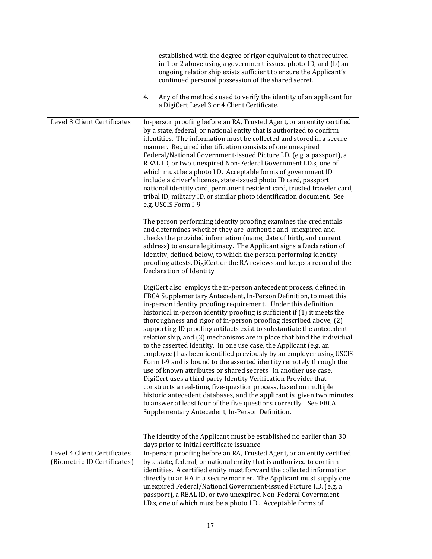|                                                            | established with the degree of rigor equivalent to that required<br>in 1 or 2 above using a government-issued photo-ID, and (b) an<br>ongoing relationship exists sufficient to ensure the Applicant's<br>continued personal possession of the shared secret.<br>4.<br>Any of the methods used to verify the identity of an applicant for<br>a DigiCert Level 3 or 4 Client Certificate.                                                                                                                                                                                                                                                                                                                                                                                                                                                                                                                                                                                                                                                                                                                                                     |
|------------------------------------------------------------|----------------------------------------------------------------------------------------------------------------------------------------------------------------------------------------------------------------------------------------------------------------------------------------------------------------------------------------------------------------------------------------------------------------------------------------------------------------------------------------------------------------------------------------------------------------------------------------------------------------------------------------------------------------------------------------------------------------------------------------------------------------------------------------------------------------------------------------------------------------------------------------------------------------------------------------------------------------------------------------------------------------------------------------------------------------------------------------------------------------------------------------------|
| Level 3 Client Certificates                                | In-person proofing before an RA, Trusted Agent, or an entity certified<br>by a state, federal, or national entity that is authorized to confirm<br>identities. The information must be collected and stored in a secure<br>manner. Required identification consists of one unexpired<br>Federal/National Government-issued Picture I.D. (e.g. a passport), a<br>REAL ID, or two unexpired Non-Federal Government I.D.s, one of<br>which must be a photo I.D. Acceptable forms of government ID<br>include a driver's license, state-issued photo ID card, passport,<br>national identity card, permanent resident card, trusted traveler card,<br>tribal ID, military ID, or similar photo identification document. See<br>e.g. USCIS Form I-9.                                                                                                                                                                                                                                                                                                                                                                                              |
|                                                            | The person performing identity proofing examines the credentials<br>and determines whether they are authentic and unexpired and<br>checks the provided information (name, date of birth, and current<br>address) to ensure legitimacy. The Applicant signs a Declaration of<br>Identity, defined below, to which the person performing identity<br>proofing attests. DigiCert or the RA reviews and keeps a record of the<br>Declaration of Identity.                                                                                                                                                                                                                                                                                                                                                                                                                                                                                                                                                                                                                                                                                        |
|                                                            | DigiCert also employs the in-person antecedent process, defined in<br>FBCA Supplementary Antecedent, In-Person Definition, to meet this<br>in-person identity proofing requirement. Under this definition,<br>historical in-person identity proofing is sufficient if (1) it meets the<br>thoroughness and rigor of in-person proofing described above, (2)<br>supporting ID proofing artifacts exist to substantiate the antecedent<br>relationship, and (3) mechanisms are in place that bind the individual<br>to the asserted identity. In one use case, the Applicant (e.g. an<br>employee) has been identified previously by an employer using USCIS<br>Form I-9 and is bound to the asserted identity remotely through the<br>use of known attributes or shared secrets. In another use case,<br>DigiCert uses a third party Identity Verification Provider that<br>constructs a real-time, five-question process, based on multiple<br>historic antecedent databases, and the applicant is given two minutes<br>to answer at least four of the five questions correctly. See FBCA<br>Supplementary Antecedent, In-Person Definition. |
|                                                            | The identity of the Applicant must be established no earlier than 30<br>days prior to initial certificate issuance.                                                                                                                                                                                                                                                                                                                                                                                                                                                                                                                                                                                                                                                                                                                                                                                                                                                                                                                                                                                                                          |
| Level 4 Client Certificates<br>(Biometric ID Certificates) | In-person proofing before an RA, Trusted Agent, or an entity certified<br>by a state, federal, or national entity that is authorized to confirm<br>identities. A certified entity must forward the collected information<br>directly to an RA in a secure manner. The Applicant must supply one<br>unexpired Federal/National Government-issued Picture I.D. (e.g. a<br>passport), a REAL ID, or two unexpired Non-Federal Government<br>I.D.s, one of which must be a photo I.D Acceptable forms of                                                                                                                                                                                                                                                                                                                                                                                                                                                                                                                                                                                                                                         |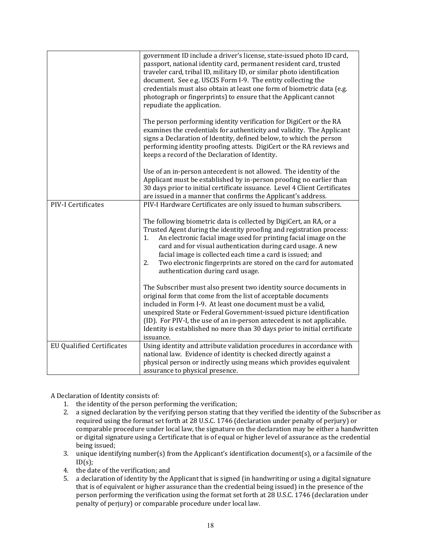|                                  | government ID include a driver's license, state-issued photo ID card,<br>passport, national identity card, permanent resident card, trusted<br>traveler card, tribal ID, military ID, or similar photo identification<br>document. See e.g. USCIS Form I-9. The entity collecting the<br>credentials must also obtain at least one form of biometric data (e.g.<br>photograph or fingerprints) to ensure that the Applicant cannot<br>repudiate the application. |
|----------------------------------|------------------------------------------------------------------------------------------------------------------------------------------------------------------------------------------------------------------------------------------------------------------------------------------------------------------------------------------------------------------------------------------------------------------------------------------------------------------|
|                                  | The person performing identity verification for DigiCert or the RA<br>examines the credentials for authenticity and validity. The Applicant<br>signs a Declaration of Identity, defined below, to which the person<br>performing identity proofing attests. DigiCert or the RA reviews and<br>keeps a record of the Declaration of Identity.                                                                                                                     |
|                                  | Use of an in-person antecedent is not allowed. The identity of the<br>Applicant must be established by in-person proofing no earlier than<br>30 days prior to initial certificate issuance. Level 4 Client Certificates<br>are issued in a manner that confirms the Applicant's address.                                                                                                                                                                         |
| PIV-I Certificates               | PIV-I Hardware Certificates are only issued to human subscribers.                                                                                                                                                                                                                                                                                                                                                                                                |
|                                  | The following biometric data is collected by DigiCert, an RA, or a<br>Trusted Agent during the identity proofing and registration process:<br>An electronic facial image used for printing facial image on the<br>1.<br>card and for visual authentication during card usage. A new<br>facial image is collected each time a card is issued; and<br>Two electronic fingerprints are stored on the card for automated<br>2.<br>authentication during card usage.  |
|                                  | The Subscriber must also present two identity source documents in<br>original form that come from the list of acceptable documents<br>included in Form I-9. At least one document must be a valid,<br>unexpired State or Federal Government-issued picture identification<br>(ID). For PIV-I, the use of an in-person antecedent is not applicable.<br>Identity is established no more than 30 days prior to initial certificate<br>issuance.                    |
| <b>EU Qualified Certificates</b> | Using identity and attribute validation procedures in accordance with<br>national law. Evidence of identity is checked directly against a<br>physical person or indirectly using means which provides equivalent<br>assurance to physical presence.                                                                                                                                                                                                              |

A Declaration of Identity consists of:

- 1. the identity of the person performing the verification;
- 2. a signed declaration by the verifying person stating that they verified the identity of the Subscriber as required using the format set forth at 28 U.S.C. 1746 (declaration under penalty of perjury) or comparable procedure under local law, the signature on the declaration may be either a handwritten or digital signature using a Certificate that is of equal or higher level of assurance as the credential being issued;
- 3. unique identifying number(s) from the Applicant's identification document(s), or a facsimile of the  $ID(s)$ ;
- 4. the date of the verification; and
- 5. a declaration of identity by the Applicant that is signed (in handwriting or using a digital signature that is of equivalent or higher assurance than the credential being issued) in the presence of the person performing the verification using the format set forth at 28 U.S.C. 1746 (declaration under penalty of perjury) or comparable procedure under local law.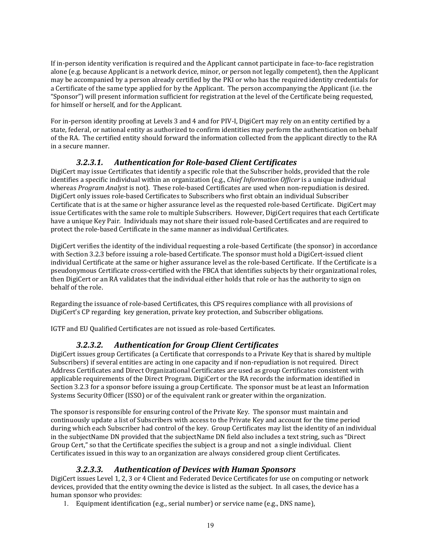If in-person identity verification is required and the Applicant cannot participate in face-to-face registration alone (e.g. because Applicant is a network device, minor, or person not legally competent), then the Applicant may be accompanied by a person already certified by the PKI or who has the required identity credentials for a Certificate of the same type applied for by the Applicant. The person accompanying the Applicant (i.e. the "Sponsor") will present information sufficient for registration at the level of the Certificate being requested, for himself or herself, and for the Applicant.

For in-person identity proofing at Levels 3 and 4 and for PIV-I, DigiCert may rely on an entity certified by a state, federal, or national entity as authorized to confirm identities may perform the authentication on behalf of the RA. The certified entity should forward the information collected from the applicant directly to the RA in a secure manner.

## *3.2.3.1. Authentication for Role‐based Client Certificates*

DigiCert may issue Certificates that identify a specific role that the Subscriber holds, provided that the role identifies a specific individual within an organization (e.g., *Chief Information Officer* is a unique individual whereas *Program Analyst* is not). These role-based Certificates are used when non-repudiation is desired. DigiCert only issues role-based Certificates to Subscribers who first obtain an individual Subscriber Certificate that is at the same or higher assurance level as the requested role-based Certificate. DigiCert may issue Certificates with the same role to multiple Subscribers. However, DigiCert requires that each Certificate have a unique Key Pair. Individuals may not share their issued role-based Certificates and are required to protect the role-based Certificate in the same manner as individual Certificates.

DigiCert verifies the identity of the individual requesting a role-based Certificate (the sponsor) in accordance with Section 3.2.3 before issuing a role-based Certificate. The sponsor must hold a DigiCert-issued client individual Certificate at the same or higher assurance level as the role-based Certificate. If the Certificate is a pseudonymous Certificate cross-certified with the FBCA that identifies subjects by their organizational roles, then DigiCert or an RA validates that the individual either holds that role or has the authority to sign on behalf of the role.

Regarding the issuance of role-based Certificates, this CPS requires compliance with all provisions of DigiCert's CP regarding key generation, private key protection, and Subscriber obligations.

IGTF and EU Qualified Certificates are not issued as role-based Certificates.

#### *3.2.3.2. Authentication for Group Client Certificates*

DigiCert issues group Certificates (a Certificate that corresponds to a Private Key that is shared by multiple Subscribers) if several entities are acting in one capacity and if non-repudiation is not required. Direct Address Certificates and Direct Organizational Certificates are used as group Certificates consistent with applicable requirements of the Direct Program. DigiCert or the RA records the information identified in Section 3.2.3 for a sponsor before issuing a group Certificate. The sponsor must be at least an Information Systems Security Officer (ISSO) or of the equivalent rank or greater within the organization.

The sponsor is responsible for ensuring control of the Private Key. The sponsor must maintain and continuously update a list of Subscribers with access to the Private Key and account for the time period during which each Subscriber had control of the key. Group Certificates may list the identity of an individual in the subjectName DN provided that the subjectName DN field also includes a text string, such as "Direct Group Cert," so that the Certificate specifies the subject is a group and not a single individual. Client Certificates issued in this way to an organization are always considered group client Certificates.

#### *3.2.3.3. Authentication of Devices with Human Sponsors*

DigiCert issues Level 1, 2, 3 or 4 Client and Federated Device Certificates for use on computing or network devices, provided that the entity owning the device is listed as the subject. In all cases, the device has a human sponsor who provides:

1. Equipment identification (e.g., serial number) or service name (e.g., DNS name),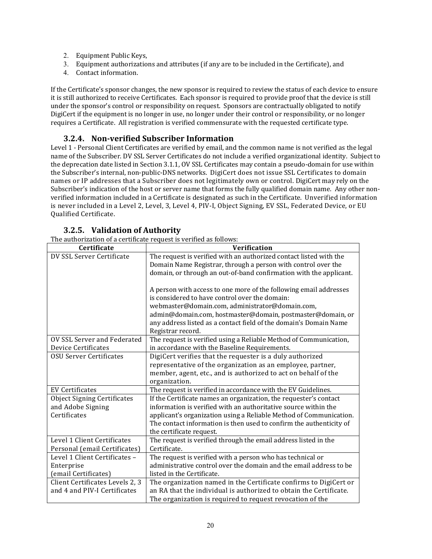- 2. Equipment Public Keys,
- 3. Equipment authorizations and attributes (if any are to be included in the Certificate), and
- 4. Contact information.

If the Certificate's sponsor changes, the new sponsor is required to review the status of each device to ensure it is still authorized to receive Certificates. Each sponsor is required to provide proof that the device is still under the sponsor's control or responsibility on request. Sponsors are contractually obligated to notify DigiCert if the equipment is no longer in use, no longer under their control or responsibility, or no longer requires a Certificate. All registration is verified commensurate with the requested certificate type.

# **3.2.4. Non‐verified Subscriber Information**

Level 1 - Personal Client Certificates are verified by email, and the common name is not verified as the legal name of the Subscriber. DV SSL Server Certificates do not include a verified organizational identity. Subject to the deprecation date listed in Section 3.1.1, OV SSL Certificates may contain a pseudo-domain for use within the Subscriber's internal, non-public-DNS networks. DigiCert does not issue SSL Certificates to domain names or IP addresses that a Subscriber does not legitimately own or control. DigiCert may rely on the Subscriber's indication of the host or server name that forms the fully qualified domain name. Any other nonverified information included in a Certificate is designated as such in the Certificate. Unverified information is never included in a Level 2, Level, 3, Level 4, PIV-I, Object Signing, EV SSL, Federated Device, or EU Qualified Certificate. 

| The authorization of a certificate request is verified as follows:<br><b>Certificate</b> | <b>Verification</b>                                                                                                                                                                                                                                                                                           |
|------------------------------------------------------------------------------------------|---------------------------------------------------------------------------------------------------------------------------------------------------------------------------------------------------------------------------------------------------------------------------------------------------------------|
| DV SSL Server Certificate                                                                | The request is verified with an authorized contact listed with the<br>Domain Name Registrar, through a person with control over the<br>domain, or through an out-of-band confirmation with the applicant.                                                                                                     |
|                                                                                          | A person with access to one more of the following email addresses<br>is considered to have control over the domain:<br>webmaster@domain.com, administrator@domain.com,<br>admin@domain.com, hostmaster@domain, postmaster@domain, or                                                                          |
|                                                                                          | any address listed as a contact field of the domain's Domain Name<br>Registrar record.                                                                                                                                                                                                                        |
| OV SSL Server and Federated<br><b>Device Certificates</b>                                | The request is verified using a Reliable Method of Communication,<br>in accordance with the Baseline Requirements.                                                                                                                                                                                            |
| <b>OSU Server Certificates</b>                                                           | DigiCert verifies that the requester is a duly authorized<br>representative of the organization as an employee, partner,<br>member, agent, etc., and is authorized to act on behalf of the<br>organization.                                                                                                   |
| <b>EV Certificates</b>                                                                   | The request is verified in accordance with the EV Guidelines.                                                                                                                                                                                                                                                 |
| <b>Object Signing Certificates</b><br>and Adobe Signing<br>Certificates                  | If the Certificate names an organization, the requester's contact<br>information is verified with an authoritative source within the<br>applicant's organization using a Reliable Method of Communication.<br>The contact information is then used to confirm the authenticity of<br>the certificate request. |
| Level 1 Client Certificates<br>Personal (email Certificates)                             | The request is verified through the email address listed in the<br>Certificate.                                                                                                                                                                                                                               |
| Level 1 Client Certificates -<br>Enterprise                                              | The request is verified with a person who has technical or<br>administrative control over the domain and the email address to be                                                                                                                                                                              |
| (email Certificates)                                                                     | listed in the Certificate.                                                                                                                                                                                                                                                                                    |
| Client Certificates Levels 2, 3<br>and 4 and PIV-I Certificates                          | The organization named in the Certificate confirms to DigiCert or<br>an RA that the individual is authorized to obtain the Certificate.<br>The organization is required to request revocation of the                                                                                                          |

#### **3.2.5. Validation of Authority**

The quithorization of a certificate request is verified as follows: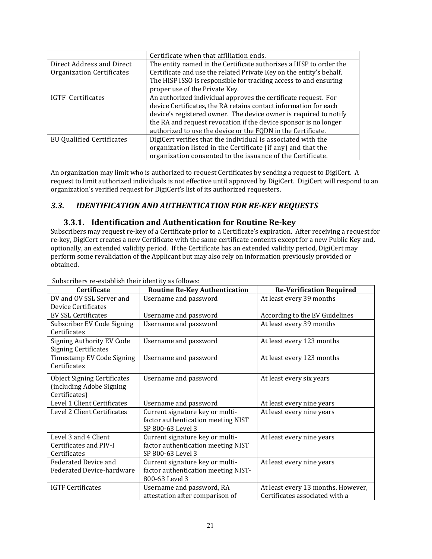|                           | Certificate when that affiliation ends.                             |  |
|---------------------------|---------------------------------------------------------------------|--|
| Direct Address and Direct | The entity named in the Certificate authorizes a HISP to order the  |  |
| Organization Certificates | Certificate and use the related Private Key on the entity's behalf. |  |
|                           | The HISP ISSO is responsible for tracking access to and ensuring    |  |
|                           | proper use of the Private Key.                                      |  |
| IGTF Certificates         | An authorized individual approves the certificate request. For      |  |
|                           | device Certificates, the RA retains contact information for each    |  |
|                           | device's registered owner. The device owner is required to notify   |  |
|                           | the RA and request revocation if the device sponsor is no longer    |  |
|                           | authorized to use the device or the FQDN in the Certificate.        |  |
| EU Qualified Certificates | DigiCert verifies that the individual is associated with the        |  |
|                           | organization listed in the Certificate (if any) and that the        |  |
|                           | organization consented to the issuance of the Certificate.          |  |

An organization may limit who is authorized to request Certificates by sending a request to DigiCert. A request to limit authorized individuals is not effective until approved by DigiCert. DigiCert will respond to an organization's verified request for DigiCert's list of its authorized requesters.

# *3.3. IDENTIFICATION AND AUTHENTICATION FOR RE‐KEY REQUESTS*

#### **3.3.1. Identification and Authentication for Routine Re‐key**

Subscribers may request re-key of a Certificate prior to a Certificate's expiration. After receiving a request for re-key, DigiCert creates a new Certificate with the same certificate contents except for a new Public Key and, optionally, an extended validity period. If the Certificate has an extended validity period, DigiCert may perform some revalidation of the Applicant but may also rely on information previously provided or obtained. 

| oubscribers re-establish their fuentity as follows.      |                                      |                                    |
|----------------------------------------------------------|--------------------------------------|------------------------------------|
| Certificate                                              | <b>Routine Re-Key Authentication</b> | <b>Re-Verification Required</b>    |
| DV and OV SSL Server and                                 | Username and password                | At least every 39 months           |
| <b>Device Certificates</b>                               |                                      |                                    |
| <b>EV SSL Certificates</b>                               | Username and password                | According to the EV Guidelines     |
| Subscriber EV Code Signing                               | Username and password                | At least every 39 months           |
| Certificates                                             |                                      |                                    |
| Signing Authority EV Code<br><b>Signing Certificates</b> | Username and password                | At least every 123 months          |
|                                                          |                                      |                                    |
| Timestamp EV Code Signing<br>Certificates                | Username and password                | At least every 123 months          |
|                                                          |                                      |                                    |
| <b>Object Signing Certificates</b>                       | Username and password                | At least every six years           |
| (including Adobe Signing                                 |                                      |                                    |
| Certificates)                                            |                                      |                                    |
| Level 1 Client Certificates                              | Username and password                | At least every nine years          |
| Level 2 Client Certificates                              | Current signature key or multi-      | At least every nine years          |
|                                                          | factor authentication meeting NIST   |                                    |
|                                                          | SP 800-63 Level 3                    |                                    |
| Level 3 and 4 Client                                     | Current signature key or multi-      | At least every nine years          |
| Certificates and PIV-I                                   | factor authentication meeting NIST   |                                    |
| Certificates                                             | SP 800-63 Level 3                    |                                    |
| Federated Device and                                     | Current signature key or multi-      | At least every nine years          |
| Federated Device-hardware                                | factor authentication meeting NIST-  |                                    |
|                                                          | 800-63 Level 3                       |                                    |
| <b>IGTF Certificates</b>                                 | Username and password, RA            | At least every 13 months. However, |
|                                                          | attestation after comparison of      | Certificates associated with a     |

Subscribers re-establish their identity as follows: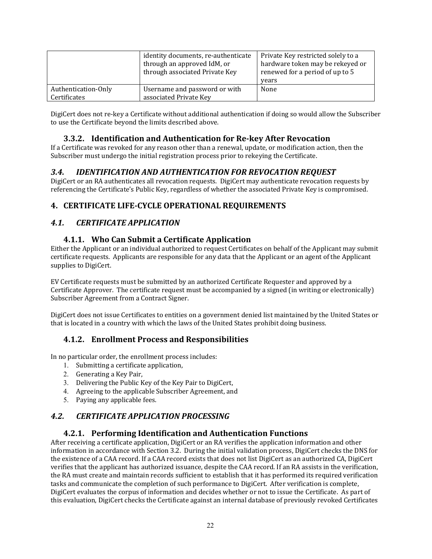|                     | identity documents, re-authenticate<br>through an approved IdM, or<br>through associated Private Key | Private Key restricted solely to a<br>hardware token may be rekeyed or<br>renewed for a period of up to 5<br>years |
|---------------------|------------------------------------------------------------------------------------------------------|--------------------------------------------------------------------------------------------------------------------|
| Authentication-Only | Username and password or with                                                                        | None                                                                                                               |
| Certificates        | associated Private Key                                                                               |                                                                                                                    |

DigiCert does not re-key a Certificate without additional authentication if doing so would allow the Subscriber to use the Certificate beyond the limits described above.

## **3.3.2. Identification and Authentication for Re‐key After Revocation**

If a Certificate was revoked for any reason other than a renewal, update, or modification action, then the Subscriber must undergo the initial registration process prior to rekeying the Certificate.

# *3.4. IDENTIFICATION AND AUTHENTICATION FOR REVOCATION REQUEST*

DigiCert or an RA authenticates all revocation requests. DigiCert may authenticate revocation requests by referencing the Certificate's Public Key, regardless of whether the associated Private Key is compromised.

# **4. CERTIFICATE LIFE‐CYCLE OPERATIONAL REQUIREMENTS**

# *4.1. CERTIFICATE APPLICATION*

# **4.1.1. Who Can Submit a Certificate Application**

Either the Applicant or an individual authorized to request Certificates on behalf of the Applicant may submit certificate requests. Applicants are responsible for any data that the Applicant or an agent of the Applicant supplies to DigiCert.

EV Certificate requests must be submitted by an authorized Certificate Requester and approved by a Certificate Approver. The certificate request must be accompanied by a signed (in writing or electronically) Subscriber Agreement from a Contract Signer.

DigiCert does not issue Certificates to entities on a government denied list maintained by the United States or that is located in a country with which the laws of the United States prohibit doing business.

#### **4.1.2. Enrollment Process and Responsibilities**

In no particular order, the enrollment process includes:

- 1. Submitting a certificate application,
- 2. Generating a Key Pair,
- 3. Delivering the Public Key of the Key Pair to DigiCert,
- 4. Agreeing to the applicable Subscriber Agreement, and
- 5. Paying any applicable fees.

# *4.2. CERTIFICATE APPLICATION PROCESSING*

#### **4.2.1. Performing Identification and Authentication Functions**

After receiving a certificate application, DigiCert or an RA verifies the application information and other information in accordance with Section 3.2. During the initial validation process, DigiCert checks the DNS for the existence of a CAA record. If a CAA record exists that does not list DigiCert as an authorized CA, DigiCert verifies that the applicant has authorized issuance, despite the CAA record. If an RA assists in the verification, the RA must create and maintain records sufficient to establish that it has performed its required verification tasks and communicate the completion of such performance to DigiCert. After verification is complete, DigiCert evaluates the corpus of information and decides whether or not to issue the Certificate. As part of this evaluation, DigiCert checks the Certificate against an internal database of previously revoked Certificates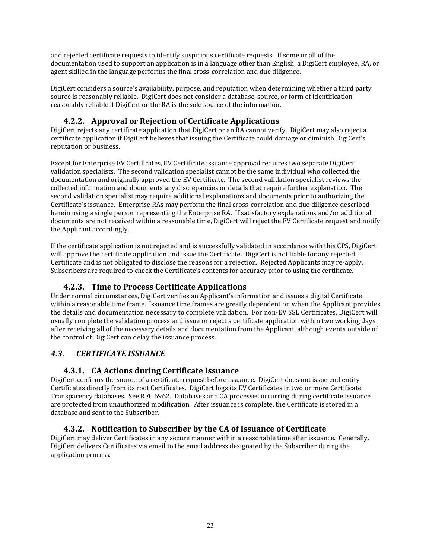and rejected certificate requests to identify suspicious certificate requests. If some or all of the documentation used to support an application is in a language other than English, a DigiCert employee, RA, or agent skilled in the language performs the final cross-correlation and due diligence.

DigiCert considers a source's availability, purpose, and reputation when determining whether a third party source is reasonably reliable. DigiCert does not consider a database, source, or form of identification reasonably reliable if DigiCert or the RA is the sole source of the information.

# **4.2.2. Approval or Rejection of Certificate Applications**

DigiCert rejects any certificate application that DigiCert or an RA cannot verify. DigiCert may also reject a certificate application if DigiCert believes that issuing the Certificate could damage or diminish DigiCert's reputation or business.

Except for Enterprise EV Certificates, EV Certificate issuance approval requires two separate DigiCert validation specialists. The second validation specialist cannot be the same individual who collected the documentation and originally approved the EV Certificate. The second validation specialist reviews the collected information and documents any discrepancies or details that require further explanation. The second validation specialist may require additional explanations and documents prior to authorizing the Certificate's issuance. Enterprise RAs may perform the final cross-correlation and due diligence described herein using a single person representing the Enterprise RA. If satisfactory explanations and/or additional documents are not received within a reasonable time, DigiCert will reject the EV Certificate request and notify the Applicant accordingly.

If the certificate application is not rejected and is successfully validated in accordance with this CPS, DigiCert will approve the certificate application and issue the Certificate. DigiCert is not liable for any rejected Certificate and is not obligated to disclose the reasons for a rejection. Rejected Applicants may re-apply. Subscribers are required to check the Certificate's contents for accuracy prior to using the certificate.

# **4.2.3. Time to Process Certificate Applications**

Under normal circumstances, DigiCert verifies an Applicant's information and issues a digital Certificate within a reasonable time frame. Issuance time frames are greatly dependent on when the Applicant provides the details and documentation necessary to complete validation. For non-EV SSL Certificates, DigiCert will usually complete the validation process and issue or reject a certificate application within two working days after receiving all of the necessary details and documentation from the Applicant, although events outside of the control of DigiCert can delay the issuance process.

# *4.3. CERTIFICATE ISSUANCE*

# **4.3.1. CA Actions during Certificate Issuance**

DigiCert confirms the source of a certificate request before issuance. DigiCert does not issue end entity Certificates directly from its root Certificates. DigiCert logs its EV Certificates in two or more Certificate Transparency databases. See RFC 6962. Databases and CA processes occurring during certificate issuance are protected from unauthorized modification. After issuance is complete, the Certificate is stored in a database and sent to the Subscriber.

# **4.3.2. Notification to Subscriber by the CA of Issuance of Certificate**

DigiCert may deliver Certificates in any secure manner within a reasonable time after issuance. Generally, DigiCert delivers Certificates via email to the email address designated by the Subscriber during the application process.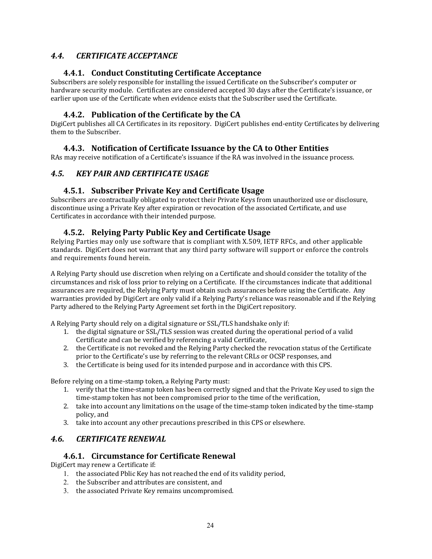# *4.4. CERTIFICATE ACCEPTANCE*

## **4.4.1. Conduct Constituting Certificate Acceptance**

Subscribers are solely responsible for installing the issued Certificate on the Subscriber's computer or hardware security module. Certificates are considered accepted 30 days after the Certificate's issuance, or earlier upon use of the Certificate when evidence exists that the Subscriber used the Certificate.

#### **4.4.2. Publication of the Certificate by the CA**

DigiCert publishes all CA Certificates in its repository. DigiCert publishes end-entity Certificates by delivering them to the Subscriber.

# **4.4.3. Notification of Certificate Issuance by the CA to Other Entities**

RAs may receive notification of a Certificate's issuance if the RA was involved in the issuance process.

# *4.5. KEY PAIR AND CERTIFICATE USAGE*

# **4.5.1. Subscriber Private Key and Certificate Usage**

Subscribers are contractually obligated to protect their Private Keys from unauthorized use or disclosure, discontinue using a Private Key after expiration or revocation of the associated Certificate, and use Certificates in accordance with their intended purpose.

# **4.5.2. Relying Party Public Key and Certificate Usage**

Relying Parties may only use software that is compliant with X.509, IETF RFCs, and other applicable standards. DigiCert does not warrant that any third party software will support or enforce the controls and requirements found herein.

A Relying Party should use discretion when relying on a Certificate and should consider the totality of the circumstances and risk of loss prior to relying on a Certificate. If the circumstances indicate that additional assurances are required, the Relying Party must obtain such assurances before using the Certificate. Any warranties provided by DigiCert are only valid if a Relying Party's reliance was reasonable and if the Relying Party adhered to the Relying Party Agreement set forth in the DigiCert repository.

A Relying Party should rely on a digital signature or SSL/TLS handshake only if:

- 1. the digital signature or SSL/TLS session was created during the operational period of a valid Certificate and can be verified by referencing a valid Certificate,
- 2. the Certificate is not revoked and the Relying Party checked the revocation status of the Certificate prior to the Certificate's use by referring to the relevant CRLs or OCSP responses, and
- 3. the Certificate is being used for its intended purpose and in accordance with this CPS.

Before relying on a time-stamp token, a Relying Party must:

- 1. verify that the time-stamp token has been correctly signed and that the Private Key used to sign the time-stamp token has not been compromised prior to the time of the verification,
- 2. take into account any limitations on the usage of the time-stamp token indicated by the time-stamp policy, and
- 3. take into account any other precautions prescribed in this CPS or elsewhere.

# *4.6. CERTIFICATE RENEWAL*

#### **4.6.1. Circumstance for Certificate Renewal**

DigiCert may renew a Certificate if:

- 1. the associated Pblic Key has not reached the end of its validity period,
- 2. the Subscriber and attributes are consistent, and
- 3. the associated Private Key remains uncompromised.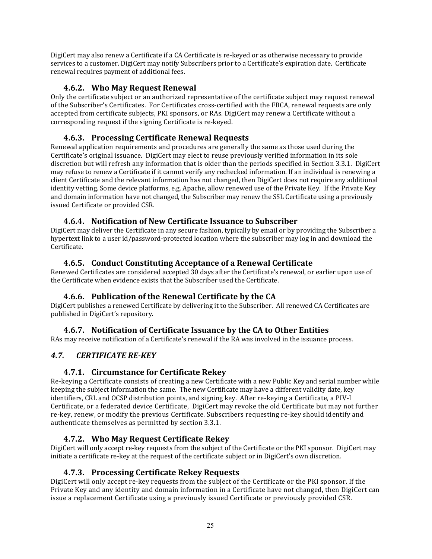DigiCert may also renew a Certificate if a CA Certificate is re-keyed or as otherwise necessary to provide services to a customer. DigiCert may notify Subscribers prior to a Certificate's expiration date. Certificate renewal requires payment of additional fees.

## **4.6.2. Who May Request Renewal**

Only the certificate subject or an authorized representative of the certificate subject may request renewal of the Subscriber's Certificates. For Certificates cross-certified with the FBCA, renewal requests are only accepted from certificate subjects, PKI sponsors, or RAs. DigiCert may renew a Certificate without a corresponding request if the signing Certificate is re-keyed.

#### **4.6.3. Processing Certificate Renewal Requests**

Renewal application requirements and procedures are generally the same as those used during the Certificate's original issuance. DigiCert may elect to reuse previously verified information in its sole discretion but will refresh any information that is older than the periods specified in Section 3.3.1. DigiCert may refuse to renew a Certificate if it cannot verify any rechecked information. If an individual is renewing a client Certificate and the relevant information has not changed, then DigiCert does not require any additional identity vetting. Some device platforms, e.g. Apache, allow renewed use of the Private Key. If the Private Key and domain information have not changed, the Subscriber may renew the SSL Certificate using a previously issued Certificate or provided CSR.

#### **4.6.4. Notification of New Certificate Issuance to Subscriber**

DigiCert may deliver the Certificate in any secure fashion, typically by email or by providing the Subscriber a hypertext link to a user id/password-protected location where the subscriber may log in and download the Certificate. 

## **4.6.5. Conduct Constituting Acceptance of a Renewal Certificate**

Renewed Certificates are considered accepted 30 days after the Certificate's renewal, or earlier upon use of the Certificate when evidence exists that the Subscriber used the Certificate.

#### **4.6.6. Publication of the Renewal Certificate by the CA**

DigiCert publishes a renewed Certificate by delivering it to the Subscriber. All renewed CA Certificates are published in DigiCert's repository.

# **4.6.7. Notification of Certificate Issuance by the CA to Other Entities**

RAs may receive notification of a Certificate's renewal if the RA was involved in the issuance process.

# *4.7. CERTIFICATE RE‐KEY*

#### **4.7.1. Circumstance for Certificate Rekey**

Re-keying a Certificate consists of creating a new Certificate with a new Public Key and serial number while keeping the subject information the same. The new Certificate may have a different validity date, key identifiers, CRL and OCSP distribution points, and signing key. After re-keying a Certificate, a PIV-I Certificate, or a federated device Certificate. DigiCert may revoke the old Certificate but may not further re-key, renew, or modify the previous Certificate. Subscribers requesting re-key should identify and authenticate themselves as permitted by section 3.3.1.

#### **4.7.2. Who May Request Certificate Rekey**

DigiCert will only accept re-key requests from the subject of the Certificate or the PKI sponsor. DigiCert may initiate a certificate re-key at the request of the certificate subject or in DigiCert's own discretion.

#### **4.7.3. Processing Certificate Rekey Requests**

DigiCert will only accept re-key requests from the subject of the Certificate or the PKI sponsor. If the Private Key and any identity and domain information in a Certificate have not changed, then DigiCert can issue a replacement Certificate using a previously issued Certificate or previously provided CSR.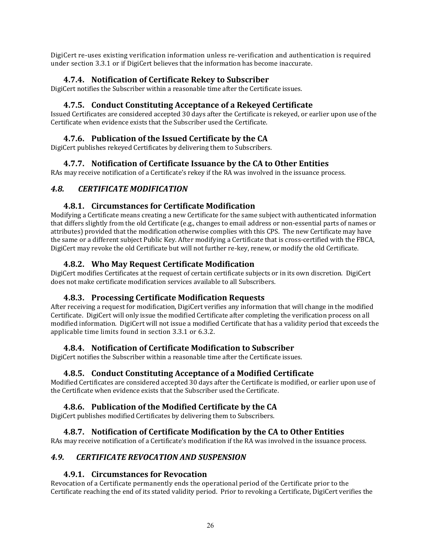DigiCert re-uses existing verification information unless re-verification and authentication is required under section 3.3.1 or if DigiCert believes that the information has become inaccurate.

## **4.7.4. Notification of Certificate Rekey to Subscriber**

DigiCert notifies the Subscriber within a reasonable time after the Certificate issues.

#### **4.7.5. Conduct Constituting Acceptance of a Rekeyed Certificate**

Issued Certificates are considered accepted 30 days after the Certificate is rekeyed, or earlier upon use of the Certificate when evidence exists that the Subscriber used the Certificate.

#### **4.7.6. Publication of the Issued Certificate by the CA**

DigiCert publishes rekeyed Certificates by delivering them to Subscribers.

#### **4.7.7. Notification of Certificate Issuance by the CA to Other Entities**

RAs may receive notification of a Certificate's rekey if the RA was involved in the issuance process.

#### *4.8. CERTIFICATE MODIFICATION*

#### **4.8.1. Circumstances for Certificate Modification**

Modifying a Certificate means creating a new Certificate for the same subject with authenticated information that differs slightly from the old Certificate (e.g., changes to email address or non-essential parts of names or attributes) provided that the modification otherwise complies with this CPS. The new Certificate may have the same or a different subject Public Key. After modifying a Certificate that is cross-certified with the FBCA, DigiCert may revoke the old Certificate but will not further re-key, renew, or modify the old Certificate.

#### **4.8.2. Who May Request Certificate Modification**

DigiCert modifies Certificates at the request of certain certificate subjects or in its own discretion. DigiCert does not make certificate modification services available to all Subscribers.

#### **4.8.3. Processing Certificate Modification Requests**

After receiving a request for modification, DigiCert verifies any information that will change in the modified Certificate. DigiCert will only issue the modified Certificate after completing the verification process on all modified information. DigiCert will not issue a modified Certificate that has a validity period that exceeds the applicable time limits found in section 3.3.1 or 6.3.2.

#### **4.8.4. Notification of Certificate Modification to Subscriber**

DigiCert notifies the Subscriber within a reasonable time after the Certificate issues.

#### **4.8.5. Conduct Constituting Acceptance of a Modified Certificate**

Modified Certificates are considered accepted 30 days after the Certificate is modified, or earlier upon use of the Certificate when evidence exists that the Subscriber used the Certificate.

#### **4.8.6. Publication of the Modified Certificate by the CA**

DigiCert publishes modified Certificates by delivering them to Subscribers.

#### **4.8.7. Notification of Certificate Modification by the CA to Other Entities**

RAs may receive notification of a Certificate's modification if the RA was involved in the issuance process.

#### *4.9. CERTIFICATE REVOCATION AND SUSPENSION*

#### **4.9.1. Circumstances for Revocation**

Revocation of a Certificate permanently ends the operational period of the Certificate prior to the Certificate reaching the end of its stated validity period. Prior to revoking a Certificate, DigiCert verifies the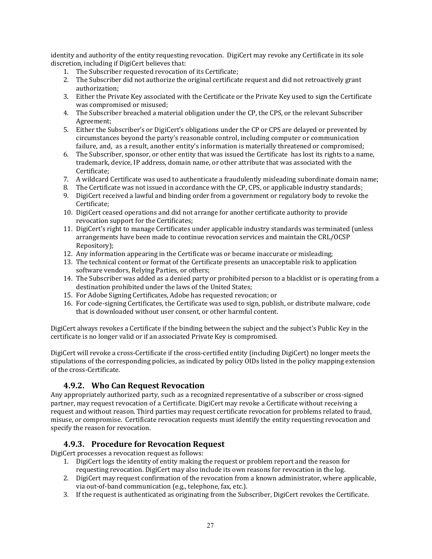identity and authority of the entity requesting revocation. DigiCert may revoke any Certificate in its sole discretion, including if DigiCert believes that:

- 1. The Subscriber requested revocation of its Certificate;
- 2. The Subscriber did not authorize the original certificate request and did not retroactively grant authorization;
- 3. Either the Private Key associated with the Certificate or the Private Key used to sign the Certificate was compromised or misused;
- 4. The Subscriber breached a material obligation under the CP, the CPS, or the relevant Subscriber Agreement;
- 5. Either the Subscriber's or DigiCert's obligations under the CP or CPS are delayed or prevented by circumstances beyond the party's reasonable control, including computer or communication failure, and, as a result, another entity's information is materially threatened or compromised;
- 6. The Subscriber, sponsor, or other entity that was issued the Certificate has lost its rights to a name, trademark, device, IP address, domain name, or other attribute that was associated with the Certificate;
- 7. A wildcard Certificate was used to authenticate a fraudulently misleading subordinate domain name;
- 8. The Certificate was not issued in accordance with the CP, CPS, or applicable industry standards;
- 9. DigiCert received a lawful and binding order from a government or regulatory body to revoke the Certificate;
- 10. DigiCert ceased operations and did not arrange for another certificate authority to provide revocation support for the Certificates;
- 11. DigiCert's right to manage Certificates under applicable industry standards was terminated (unless arrangements have been made to continue revocation services and maintain the CRL/OCSP Repository);
- 12. Any information appearing in the Certificate was or became inaccurate or misleading;
- 13. The technical content or format of the Certificate presents an unacceptable risk to application software vendors, Relying Parties, or others;
- 14. The Subscriber was added as a denied party or prohibited person to a blacklist or is operating from a destination prohibited under the laws of the United States;
- 15. For Adobe Signing Certificates, Adobe has requested revocation; or
- 16. For code-signing Certificates, the Certificate was used to sign, publish, or distribute malware, code that is downloaded without user consent, or other harmful content.

DigiCert always revokes a Certificate if the binding between the subject and the subject's Public Key in the certificate is no longer valid or if an associated Private Key is compromised.

DigiCert will revoke a cross-Certificate if the cross-certified entity (including DigiCert) no longer meets the stipulations of the corresponding policies, as indicated by policy OIDs listed in the policy mapping extension of the cross-Certificate.

#### **4.9.2. Who Can Request Revocation**

Any appropriately authorized party, such as a recognized representative of a subscriber or cross-signed partner, may request revocation of a Certificate. DigiCert may revoke a Certificate without receiving a request and without reason. Third parties may request certificate revocation for problems related to fraud, misuse, or compromise. Certificate revocation requests must identify the entity requesting revocation and specify the reason for revocation.

#### **4.9.3. Procedure for Revocation Request**

DigiCert processes a revocation request as follows:

- 1. DigiCert logs the identity of entity making the request or problem report and the reason for requesting revocation. DigiCert may also include its own reasons for revocation in the log.
- 2. DigiCert may request confirmation of the revocation from a known administrator, where applicable, via out-of-band communication (e.g., telephone, fax, etc.).
- 3. If the request is authenticated as originating from the Subscriber, DigiCert revokes the Certificate.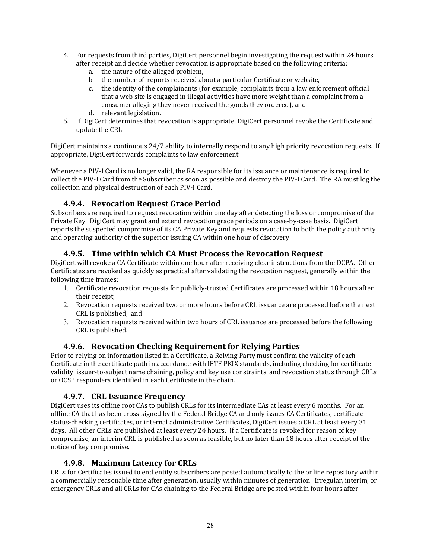- 4. For requests from third parties, DigiCert personnel begin investigating the request within 24 hours after receipt and decide whether revocation is appropriate based on the following criteria:
	- a. the nature of the alleged problem,
	- b. the number of reports received about a particular Certificate or website.
	- c. the identity of the complainants (for example, complaints from a law enforcement official that a web site is engaged in illegal activities have more weight than a complaint from a consumer alleging they never received the goods they ordered), and
	- d. relevant legislation.
- 5. If DigiCert determines that revocation is appropriate, DigiCert personnel revoke the Certificate and update the CRL.

DigiCert maintains a continuous 24/7 ability to internally respond to any high priority revocation requests. If appropriate, DigiCert forwards complaints to law enforcement.

Whenever a PIV-I Card is no longer valid, the RA responsible for its issuance or maintenance is required to collect the PIV-I Card from the Subscriber as soon as possible and destroy the PIV-I Card. The RA must log the collection and physical destruction of each PIV-I Card.

## **4.9.4. Revocation Request Grace Period**

Subscribers are required to request revocation within one day after detecting the loss or compromise of the Private Key. DigiCert may grant and extend revocation grace periods on a case-by-case basis. DigiCert reports the suspected compromise of its CA Private Key and requests revocation to both the policy authority and operating authority of the superior issuing CA within one hour of discovery.

#### **4.9.5. Time within which CA Must Process the Revocation Request**

DigiCert will revoke a CA Certificate within one hour after receiving clear instructions from the DCPA. Other Certificates are revoked as quickly as practical after validating the revocation request, generally within the following time frames:

- 1. Certificate revocation requests for publicly-trusted Certificates are processed within 18 hours after their receipt.
- 2. Revocation requests received two or more hours before CRL issuance are processed before the next CRL is published, and
- 3. Revocation requests received within two hours of CRL issuance are processed before the following CRL is published.

#### **4.9.6. Revocation Checking Requirement for Relying Parties**

Prior to relying on information listed in a Certificate, a Relying Party must confirm the validity of each Certificate in the certificate path in accordance with IETF PKIX standards, including checking for certificate validity, issuer-to-subject name chaining, policy and key use constraints, and revocation status through CRLs or OCSP responders identified in each Certificate in the chain.

#### **4.9.7. CRL Issuance Frequency**

DigiCert uses its offline root CAs to publish CRLs for its intermediate CAs at least every 6 months. For an offline CA that has been cross-signed by the Federal Bridge CA and only issues CA Certificates, certificatestatus-checking certificates, or internal administrative Certificates, DigiCert issues a CRL at least every 31 days. All other CRLs are published at least every 24 hours. If a Certificate is revoked for reason of key compromise, an interim CRL is published as soon as feasible, but no later than 18 hours after receipt of the notice of key compromise.

#### **4.9.8. Maximum Latency for CRLs**

CRLs for Certificates issued to end entity subscribers are posted automatically to the online repository within a commercially reasonable time after generation, usually within minutes of generation. Irregular, interim, or emergency CRLs and all CRLs for CAs chaining to the Federal Bridge are posted within four hours after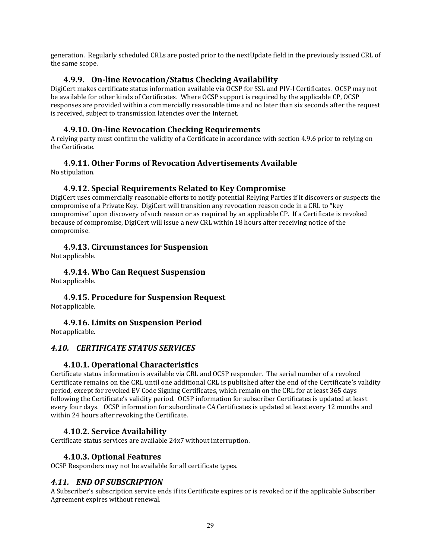generation. Regularly scheduled CRLs are posted prior to the nextUpdate field in the previously issued CRL of the same scope.

## **4.9.9. On‐line Revocation/Status Checking Availability**

DigiCert makes certificate status information available via OCSP for SSL and PIV-I Certificates. OCSP may not be available for other kinds of Certificates. Where OCSP support is required by the applicable CP, OCSP responses are provided within a commercially reasonable time and no later than six seconds after the request is received, subject to transmission latencies over the Internet.

## **4.9.10. On‐line Revocation Checking Requirements**

A relying party must confirm the validity of a Certificate in accordance with section 4.9.6 prior to relying on the Certificate.

## **4.9.11. Other Forms of Revocation Advertisements Available**

No stipulation.

#### **4.9.12. Special Requirements Related to Key Compromise**

DigiCert uses commercially reasonable efforts to notify potential Relying Parties if it discovers or suspects the compromise of a Private Key. DigiCert will transition any revocation reason code in a CRL to "key compromise" upon discovery of such reason or as required by an applicable CP. If a Certificate is revoked because of compromise, DigiCert will issue a new CRL within 18 hours after receiving notice of the compromise. 

# **4.9.13. Circumstances for Suspension**

Not applicable.

**4.9.14. Who Can Request Suspension** Not applicable.

**4.9.15. Procedure for Suspension Request** Not applicable.

**4.9.16. Limits on Suspension Period** Not applicable.

#### *4.10. CERTIFICATE STATUS SERVICES*

#### **4.10.1. Operational Characteristics**

Certificate status information is available via CRL and OCSP responder. The serial number of a revoked Certificate remains on the CRL until one additional CRL is published after the end of the Certificate's validity period, except for revoked EV Code Signing Certificates, which remain on the CRL for at least 365 days following the Certificate's validity period. OCSP information for subscriber Certificates is updated at least every four days. OCSP information for subordinate CA Certificates is updated at least every 12 months and within 24 hours after revoking the Certificate.

#### **4.10.2. Service Availability**

Certificate status services are available 24x7 without interruption.

# **4.10.3. Optional Features**

OCSP Responders may not be available for all certificate types.

# *4.11. END OF SUBSCRIPTION*

A Subscriber's subscription service ends if its Certificate expires or is revoked or if the applicable Subscriber Agreement expires without renewal.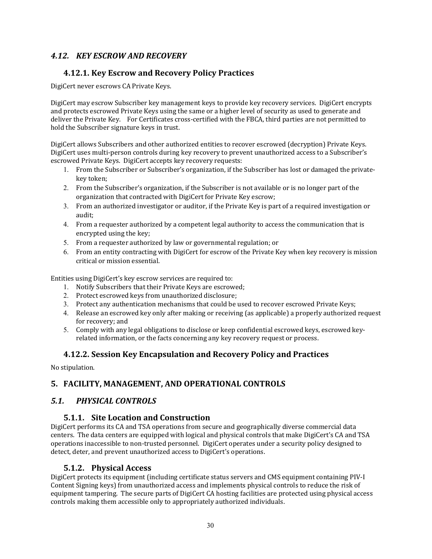# *4.12. KEY ESCROW AND RECOVERY*

# **4.12.1. Key Escrow and Recovery Policy Practices**

DigiCert never escrows CA Private Keys.

DigiCert may escrow Subscriber key management keys to provide key recovery services. DigiCert encrypts and protects escrowed Private Keys using the same or a higher level of security as used to generate and deliver the Private Key. For Certificates cross-certified with the FBCA, third parties are not permitted to hold the Subscriber signature keys in trust.

DigiCert allows Subscribers and other authorized entities to recover escrowed (decryption) Private Keys. DigiCert uses multi-person controls during key recovery to prevent unauthorized access to a Subscriber's escrowed Private Keys. DigiCert accepts key recovery requests:

- 1. From the Subscriber or Subscriber's organization, if the Subscriber has lost or damaged the privatekey token;
- 2. From the Subscriber's organization, if the Subscriber is not available or is no longer part of the organization that contracted with DigiCert for Private Key escrow;
- 3. From an authorized investigator or auditor, if the Private Key is part of a required investigation or audit;
- 4. From a requester authorized by a competent legal authority to access the communication that is encrypted using the key;
- 5. From a requester authorized by law or governmental regulation; or
- 6. From an entity contracting with DigiCert for escrow of the Private Key when key recovery is mission critical or mission essential.

Entities using DigiCert's key escrow services are required to:

- 1. Notify Subscribers that their Private Keys are escrowed;
- 2. Protect escrowed keys from unauthorized disclosure;
- 3. Protect any authentication mechanisms that could be used to recover escrowed Private Keys;
- 4. Release an escrowed key only after making or receiving (as applicable) a properly authorized request for recovery; and
- 5. Comply with any legal obligations to disclose or keep confidential escrowed keys, escrowed keyrelated information, or the facts concerning any key recovery request or process.

# **4.12.2. Session Key Encapsulation and Recovery Policy and Practices**

No stipulation.

# **5. FACILITY, MANAGEMENT, AND OPERATIONAL CONTROLS**

# *5.1. PHYSICAL CONTROLS*

#### **5.1.1. Site Location and Construction**

DigiCert performs its CA and TSA operations from secure and geographically diverse commercial data centers. The data centers are equipped with logical and physical controls that make DigiCert's CA and TSA operations inaccessible to non-trusted personnel. DigiCert operates under a security policy designed to detect, deter, and prevent unauthorized access to DigiCert's operations.

#### **5.1.2. Physical Access**

DigiCert protects its equipment (including certificate status servers and CMS equipment containing PIV-I Content Signing keys) from unauthorized access and implements physical controls to reduce the risk of equipment tampering. The secure parts of DigiCert CA hosting facilities are protected using physical access controls making them accessible only to appropriately authorized individuals.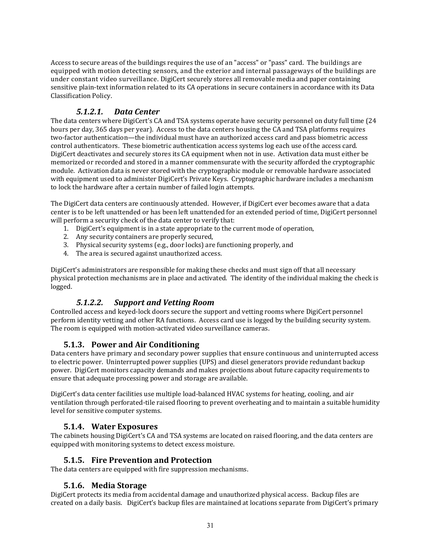Access to secure areas of the buildings requires the use of an "access" or "pass" card. The buildings are equipped with motion detecting sensors, and the exterior and internal passageways of the buildings are under constant video surveillance. DigiCert securely stores all removable media and paper containing sensitive plain-text information related to its CA operations in secure containers in accordance with its Data Classification Policy. 

# *5.1.2.1. Data Center*

The data centers where DigiCert's CA and TSA systems operate have security personnel on duty full time (24 hours per day, 365 days per year). Access to the data centers housing the CA and TSA platforms requires two-factor authentication—the individual must have an authorized access card and pass biometric access control authenticators. These biometric authentication access systems log each use of the access card. DigiCert deactivates and securely stores its CA equipment when not in use. Activation data must either be memorized or recorded and stored in a manner commensurate with the security afforded the cryptographic module. Activation data is never stored with the cryptographic module or removable hardware associated with equipment used to administer DigiCert's Private Keys. Cryptographic hardware includes a mechanism to lock the hardware after a certain number of failed login attempts.

The DigiCert data centers are continuously attended. However, if DigiCert ever becomes aware that a data center is to be left unattended or has been left unattended for an extended period of time, DigiCert personnel will perform a security check of the data center to verify that:

- 1. DigiCert's equipment is in a state appropriate to the current mode of operation,
- 2. Any security containers are properly secured,
- 3. Physical security systems (e.g., door locks) are functioning properly, and
- 4. The area is secured against unauthorized access.

DigiCert's administrators are responsible for making these checks and must sign off that all necessary physical protection mechanisms are in place and activated. The identity of the individual making the check is logged. 

# *5.1.2.2. Support and Vetting Room*

Controlled access and keyed-lock doors secure the support and vetting rooms where DigiCert personnel perform identity vetting and other RA functions. Access card use is logged by the building security system. The room is equipped with motion-activated video surveillance cameras.

# **5.1.3. Power and Air Conditioning**

Data centers have primary and secondary power supplies that ensure continuous and uninterrupted access to electric power. Uninterrupted power supplies (UPS) and diesel generators provide redundant backup power. DigiCert monitors capacity demands and makes projections about future capacity requirements to ensure that adequate processing power and storage are available.

DigiCert's data center facilities use multiple load-balanced HVAC systems for heating, cooling, and air ventilation through perforated-tile raised flooring to prevent overheating and to maintain a suitable humidity level for sensitive computer systems.

#### **5.1.4. Water Exposures**

The cabinets housing DigiCert's CA and TSA systems are located on raised flooring, and the data centers are equipped with monitoring systems to detect excess moisture.

#### **5.1.5. Fire Prevention and Protection**

The data centers are equipped with fire suppression mechanisms.

#### **5.1.6. Media Storage**

DigiCert protects its media from accidental damage and unauthorized physical access. Backup files are created on a daily basis. DigiCert's backup files are maintained at locations separate from DigiCert's primary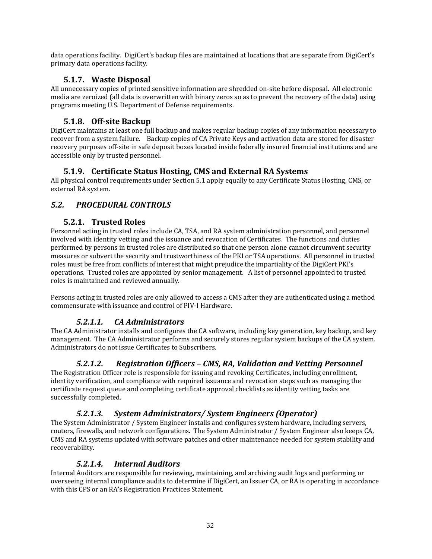data operations facility. DigiCert's backup files are maintained at locations that are separate from DigiCert's primary data operations facility.

# **5.1.7. Waste Disposal**

All unnecessary copies of printed sensitive information are shredded on-site before disposal. All electronic media are zeroized (all data is overwritten with binary zeros so as to prevent the recovery of the data) using programs meeting U.S. Department of Defense requirements.

# **5.1.8. Off‐site Backup**

DigiCert maintains at least one full backup and makes regular backup copies of any information necessary to recover from a system failure. Backup copies of CA Private Keys and activation data are stored for disaster recovery purposes off-site in safe deposit boxes located inside federally insured financial institutions and are accessible only by trusted personnel.

# **5.1.9. Certificate Status Hosting, CMS and External RA Systems**

All physical control requirements under Section 5.1 apply equally to any Certificate Status Hosting, CMS, or external RA system.

# *5.2. PROCEDURAL CONTROLS*

# **5.2.1. Trusted Roles**

Personnel acting in trusted roles include CA, TSA, and RA system administration personnel, and personnel involved with identity vetting and the issuance and revocation of Certificates. The functions and duties performed by persons in trusted roles are distributed so that one person alone cannot circumvent security measures or subvert the security and trustworthiness of the PKI or TSA operations. All personnel in trusted roles must be free from conflicts of interest that might prejudice the impartiality of the DigiCert PKI's operations. Trusted roles are appointed by senior management. A list of personnel appointed to trusted roles is maintained and reviewed annually.

Persons acting in trusted roles are only allowed to access a CMS after they are authenticated using a method commensurate with issuance and control of PIV-I Hardware.

# *5.2.1.1. CA Administrators*

The CA Administrator installs and configures the CA software, including key generation, key backup, and key management. The CA Administrator performs and securely stores regular system backups of the CA system. Administrators do not issue Certificates to Subscribers.

# *5.2.1.2. Registration Officers – CMS, RA, Validation and Vetting Personnel*

The Registration Officer role is responsible for issuing and revoking Certificates, including enrollment, identity verification, and compliance with required issuance and revocation steps such as managing the certificate request queue and completing certificate approval checklists as identity vetting tasks are successfully completed.

# *5.2.1.3. System Administrators/ System Engineers (Operator)*

The System Administrator / System Engineer installs and configures system hardware, including servers, routers, firewalls, and network configurations. The System Administrator / System Engineer also keeps CA, CMS and RA systems updated with software patches and other maintenance needed for system stability and recoverability. 

# *5.2.1.4. Internal Auditors*

Internal Auditors are responsible for reviewing, maintaining, and archiving audit logs and performing or overseeing internal compliance audits to determine if DigiCert, an Issuer CA, or RA is operating in accordance with this CPS or an RA's Registration Practices Statement.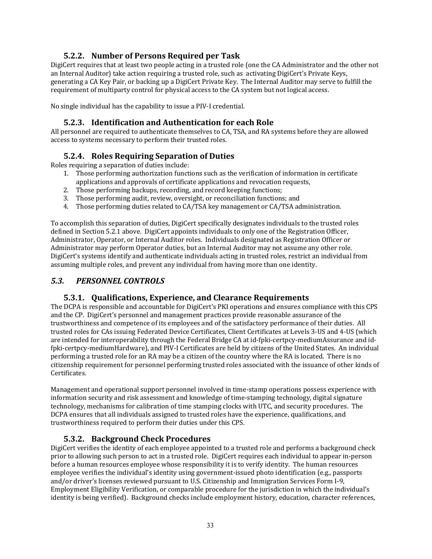# **5.2.2. Number of Persons Required per Task**

DigiCert requires that at least two people acting in a trusted role (one the CA Administrator and the other not an Internal Auditor) take action requiring a trusted role, such as activating DigiCert's Private Keys, generating a CA Key Pair, or backing up a DigiCert Private Key. The Internal Auditor may serve to fulfill the requirement of multiparty control for physical access to the CA system but not logical access.

No single individual has the capability to issue a PIV-I credential.

# **5.2.3. Identification and Authentication for each Role**

All personnel are required to authenticate themselves to CA, TSA, and RA systems before they are allowed access to systems necessary to perform their trusted roles.

# **5.2.4. Roles Requiring Separation of Duties**

Roles requiring a separation of duties include:

- 1. Those performing authorization functions such as the verification of information in certificate applications and approvals of certificate applications and revocation requests,
- 2. Those performing backups, recording, and record keeping functions;
- 3. Those performing audit, review, oversight, or reconciliation functions; and
- 4. Those performing duties related to CA/TSA key management or CA/TSA administration.

To accomplish this separation of duties, DigiCert specifically designates individuals to the trusted roles defined in Section 5.2.1 above. DigiCert appoints individuals to only one of the Registration Officer, Administrator, Operator, or Internal Auditor roles. Individuals designated as Registration Officer or Administrator may perform Operator duties, but an Internal Auditor may not assume any other role. DigiCert's systems identify and authenticate individuals acting in trusted roles, restrict an individual from assuming multiple roles, and prevent any individual from having more than one identity.

## *5.3. PERSONNEL CONTROLS*

#### **5.3.1. Qualifications, Experience, and Clearance Requirements**

The DCPA is responsible and accountable for DigiCert's PKI operations and ensures compliance with this CPS and the CP. DigiCert's personnel and management practices provide reasonable assurance of the trustworthiness and competence of its employees and of the satisfactory performance of their duties. All trusted roles for CAs issuing Federated Device Certificates, Client Certificates at Levels 3-US and 4-US (which are intended for interoperability through the Federal Bridge CA at id-fpki-certpcy-mediumAssurance and idfpki-certpcy-mediumHardware), and PIV-I Certificates are held by citizens of the United States. An individual performing a trusted role for an RA may be a citizen of the country where the RA is located. There is no citizenship requirement for personnel performing trusted roles associated with the issuance of other kinds of Certificates. 

Management and operational support personnel involved in time-stamp operations possess experience with information security and risk assessment and knowledge of time-stamping technology, digital signature technology, mechanisms for calibration of time stamping clocks with UTC, and security procedures. The DCPA ensures that all individuals assigned to trusted roles have the experience, qualifications, and trustworthiness required to perform their duties under this CPS.

# **5.3.2. Background Check Procedures**

DigiCert verifies the identity of each employee appointed to a trusted role and performs a background check prior to allowing such person to act in a trusted role. DigiCert requires each individual to appear in-person before a human resources employee whose responsibility it is to verify identity. The human resources employee verifies the individual's identity using government-issued photo identification (e.g., passports and/or driver's licenses reviewed pursuant to U.S. Citizenship and Immigration Services Form I-9, Employment Eligibility Verification, or comparable procedure for the jurisdiction in which the individual's identity is being verified). Background checks include employment history, education, character references,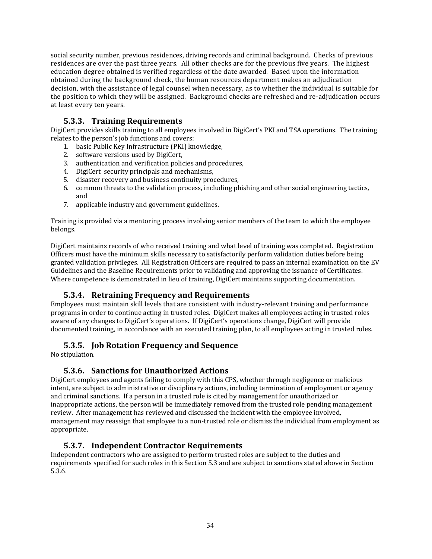social security number, previous residences, driving records and criminal background. Checks of previous residences are over the past three years. All other checks are for the previous five years. The highest education degree obtained is verified regardless of the date awarded. Based upon the information obtained during the background check, the human resources department makes an adjudication decision, with the assistance of legal counsel when necessary, as to whether the individual is suitable for the position to which they will be assigned. Background checks are refreshed and re-adjudication occurs at least every ten years.

# **5.3.3. Training Requirements**

DigiCert provides skills training to all employees involved in DigiCert's PKI and TSA operations. The training relates to the person's job functions and covers:

- 1. basic Public Key Infrastructure (PKI) knowledge,
- 2. software versions used by DigiCert,
- 3. authentication and verification policies and procedures,
- 4. DigiCert security principals and mechanisms,
- 5. disaster recovery and business continuity procedures,
- 6. common threats to the validation process, including phishing and other social engineering tactics, and
- 7. applicable industry and government guidelines.

Training is provided via a mentoring process involving senior members of the team to which the employee belongs. 

DigiCert maintains records of who received training and what level of training was completed. Registration Officers must have the minimum skills necessary to satisfactorily perform validation duties before being granted validation privileges. All Registration Officers are required to pass an internal examination on the EV Guidelines and the Baseline Requirements prior to validating and approving the issuance of Certificates. Where competence is demonstrated in lieu of training, DigiCert maintains supporting documentation.

# **5.3.4. Retraining Frequency and Requirements**

Employees must maintain skill levels that are consistent with industry-relevant training and performance programs in order to continue acting in trusted roles. DigiCert makes all employees acting in trusted roles aware of any changes to DigiCert's operations. If DigiCert's operations change, DigiCert will provide documented training, in accordance with an executed training plan, to all employees acting in trusted roles.

# **5.3.5. Job Rotation Frequency and Sequence**

No stipulation.

# **5.3.6. Sanctions for Unauthorized Actions**

DigiCert employees and agents failing to comply with this CPS, whether through negligence or malicious intent, are subject to administrative or disciplinary actions, including termination of employment or agency and criminal sanctions. If a person in a trusted role is cited by management for unauthorized or inappropriate actions, the person will be immediately removed from the trusted role pending management review. After management has reviewed and discussed the incident with the employee involved, management may reassign that employee to a non-trusted role or dismiss the individual from employment as appropriate. 

# **5.3.7. Independent Contractor Requirements**

Independent contractors who are assigned to perform trusted roles are subject to the duties and requirements specified for such roles in this Section 5.3 and are subject to sanctions stated above in Section 5.3.6.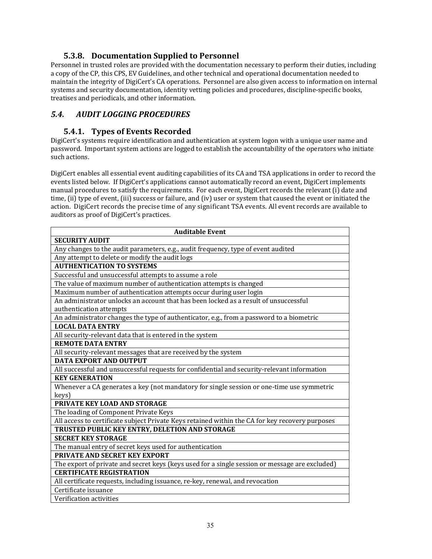# **5.3.8. Documentation Supplied to Personnel**

Personnel in trusted roles are provided with the documentation necessary to perform their duties, including a copy of the CP, this CPS, EV Guidelines, and other technical and operational documentation needed to maintain the integrity of DigiCert's CA operations. Personnel are also given access to information on internal systems and security documentation, identity vetting policies and procedures, discipline-specific books, treatises and periodicals, and other information.

# *5.4. AUDIT LOGGING PROCEDURES*

#### **5.4.1. Types of Events Recorded**

DigiCert's systems require identification and authentication at system logon with a unique user name and password. Important system actions are logged to establish the accountability of the operators who initiate such actions.

DigiCert enables all essential event auditing capabilities of its CA and TSA applications in order to record the events listed below. If DigiCert's applications cannot automatically record an event, DigiCert implements manual procedures to satisfy the requirements. For each event, DigiCert records the relevant (i) date and time, (ii) type of event, (iii) success or failure, and (iv) user or system that caused the event or initiated the action. DigiCert records the precise time of any significant TSA events. All event records are available to auditors as proof of DigiCert's practices.

| <b>SECURITY AUDIT</b>                                                                           |
|-------------------------------------------------------------------------------------------------|
|                                                                                                 |
| Any changes to the audit parameters, e.g., audit frequency, type of event audited               |
| Any attempt to delete or modify the audit logs                                                  |
| <b>AUTHENTICATION TO SYSTEMS</b>                                                                |
| Successful and unsuccessful attempts to assume a role                                           |
| The value of maximum number of authentication attempts is changed                               |
| Maximum number of authentication attempts occur during user login                               |
| An administrator unlocks an account that has been locked as a result of unsuccessful            |
| authentication attempts                                                                         |
| An administrator changes the type of authenticator, e.g., from a password to a biometric        |
| <b>LOCAL DATA ENTRY</b>                                                                         |
| All security-relevant data that is entered in the system                                        |
| <b>REMOTE DATA ENTRY</b>                                                                        |
| All security-relevant messages that are received by the system                                  |
| <b>DATA EXPORT AND OUTPUT</b>                                                                   |
| All successful and unsuccessful requests for confidential and security-relevant information     |
| <b>KEY GENERATION</b>                                                                           |
| Whenever a CA generates a key (not mandatory for single session or one-time use symmetric       |
| keys)                                                                                           |
| PRIVATE KEY LOAD AND STORAGE                                                                    |
| The loading of Component Private Keys                                                           |
| All access to certificate subject Private Keys retained within the CA for key recovery purposes |
| TRUSTED PUBLIC KEY ENTRY, DELETION AND STORAGE                                                  |
| <b>SECRET KEY STORAGE</b>                                                                       |
| The manual entry of secret keys used for authentication                                         |
| <b>PRIVATE AND SECRET KEY EXPORT</b>                                                            |
| The export of private and secret keys (keys used for a single session or message are excluded)  |
| <b>CERTIFICATE REGISTRATION</b>                                                                 |
| All certificate requests, including issuance, re-key, renewal, and revocation                   |
| Certificate issuance                                                                            |
| Verification activities                                                                         |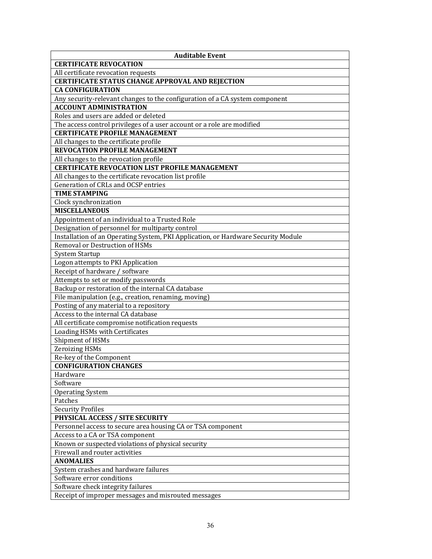| <b>Auditable Event</b>                                                                |
|---------------------------------------------------------------------------------------|
| <b>CERTIFICATE REVOCATION</b>                                                         |
| All certificate revocation requests                                                   |
| <b>CERTIFICATE STATUS CHANGE APPROVAL AND REJECTION</b>                               |
| <b>CA CONFIGURATION</b>                                                               |
| Any security-relevant changes to the configuration of a CA system component           |
| <b>ACCOUNT ADMINISTRATION</b>                                                         |
| Roles and users are added or deleted                                                  |
| The access control privileges of a user account or a role are modified                |
| <b>CERTIFICATE PROFILE MANAGEMENT</b>                                                 |
| All changes to the certificate profile                                                |
| <b>REVOCATION PROFILE MANAGEMENT</b>                                                  |
| All changes to the revocation profile                                                 |
| <b>CERTIFICATE REVOCATION LIST PROFILE MANAGEMENT</b>                                 |
| All changes to the certificate revocation list profile                                |
| Generation of CRLs and OCSP entries                                                   |
| <b>TIME STAMPING</b>                                                                  |
| Clock synchronization                                                                 |
| <b>MISCELLANEOUS</b>                                                                  |
| Appointment of an individual to a Trusted Role                                        |
| Designation of personnel for multiparty control                                       |
| Installation of an Operating System, PKI Application, or Hardware Security Module     |
| Removal or Destruction of HSMs                                                        |
| <b>System Startup</b>                                                                 |
| Logon attempts to PKI Application                                                     |
| Receipt of hardware / software                                                        |
| Attempts to set or modify passwords                                                   |
| Backup or restoration of the internal CA database                                     |
| File manipulation (e.g., creation, renaming, moving)                                  |
| Posting of any material to a repository                                               |
| Access to the internal CA database                                                    |
| All certificate compromise notification requests                                      |
| Loading HSMs with Certificates                                                        |
| Shipment of HSMs                                                                      |
| <b>Zeroizing HSMs</b>                                                                 |
| Re-key of the Component                                                               |
| <b>CONFIGURATION CHANGES</b>                                                          |
| Hardware                                                                              |
| Software                                                                              |
| <b>Operating System</b>                                                               |
| Patches                                                                               |
| <b>Security Profiles</b>                                                              |
| PHYSICAL ACCESS / SITE SECURITY                                                       |
| Personnel access to secure area housing CA or TSA component                           |
| Access to a CA or TSA component<br>Known or suspected violations of physical security |
| Firewall and router activities                                                        |
| <b>ANOMALIES</b>                                                                      |
| System crashes and hardware failures                                                  |
| Software error conditions                                                             |
| Software check integrity failures                                                     |
| Receipt of improper messages and misrouted messages                                   |
|                                                                                       |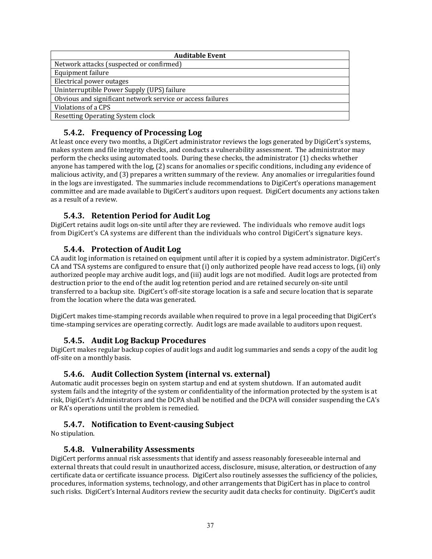| <b>Auditable Event</b>                                     |
|------------------------------------------------------------|
| Network attacks (suspected or confirmed)                   |
| Equipment failure                                          |
| Electrical power outages                                   |
| Uninterruptible Power Supply (UPS) failure                 |
| Obvious and significant network service or access failures |
| Violations of a CPS                                        |
| Resetting Operating System clock                           |

# **5.4.2. Frequency of Processing Log**

At least once every two months, a DigiCert administrator reviews the logs generated by DigiCert's systems, makes system and file integrity checks, and conducts a vulnerability assessment. The administrator may perform the checks using automated tools. During these checks, the administrator (1) checks whether anyone has tampered with the  $log<sub>i</sub>(2)$  scans for anomalies or specific conditions, including any evidence of malicious activity, and (3) prepares a written summary of the review. Any anomalies or irregularities found in the logs are investigated. The summaries include recommendations to DigiCert's operations management committee and are made available to DigiCert's auditors upon request. DigiCert documents any actions taken as a result of a review.

# **5.4.3. Retention Period for Audit Log**

DigiCert retains audit logs on-site until after they are reviewed. The individuals who remove audit logs from DigiCert's CA systems are different than the individuals who control DigiCert's signature keys.

# **5.4.4. Protection of Audit Log**

CA audit log information is retained on equipment until after it is copied by a system administrator. DigiCert's CA and TSA systems are configured to ensure that (i) only authorized people have read access to logs, (ii) only authorized people may archive audit logs, and (iii) audit logs are not modified. Audit logs are protected from destruction prior to the end of the audit log retention period and are retained securely on-site until transferred to a backup site. DigiCert's off-site storage location is a safe and secure location that is separate from the location where the data was generated.

DigiCert makes time-stamping records available when required to prove in a legal proceeding that DigiCert's time-stamping services are operating correctly. Audit logs are made available to auditors upon request.

#### **5.4.5. Audit Log Backup Procedures**

DigiCert makes regular backup copies of audit logs and audit log summaries and sends a copy of the audit log off-site on a monthly basis.

#### **5.4.6. Audit Collection System (internal vs. external)**

Automatic audit processes begin on system startup and end at system shutdown. If an automated audit system fails and the integrity of the system or confidentiality of the information protected by the system is at risk, DigiCert's Administrators and the DCPA shall be notified and the DCPA will consider suspending the CA's or RA's operations until the problem is remedied.

# **5.4.7. Notification to Event‐causing Subject**

No stipulation.

#### **5.4.8. Vulnerability Assessments**

DigiCert performs annual risk assessments that identify and assess reasonably foreseeable internal and external threats that could result in unauthorized access, disclosure, misuse, alteration, or destruction of any certificate data or certificate issuance process. DigiCert also routinely assesses the sufficiency of the policies, procedures, information systems, technology, and other arrangements that DigiCert has in place to control such risks. DigiCert's Internal Auditors review the security audit data checks for continuity. DigiCert's audit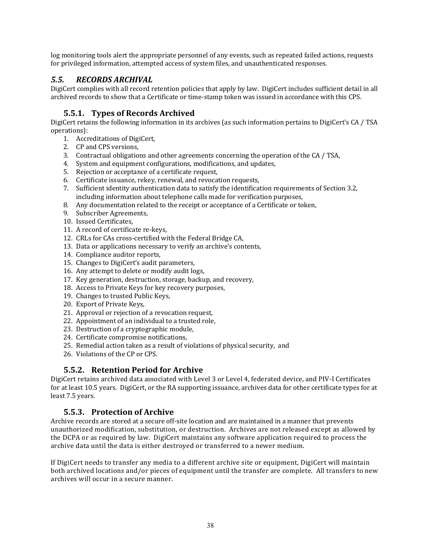log monitoring tools alert the appropriate personnel of any events, such as repeated failed actions, requests for privileged information, attempted access of system files, and unauthenticated responses.

# *5.5. RECORDS ARCHIVAL*

DigiCert complies with all record retention policies that apply by law. DigiCert includes sufficient detail in all archived records to show that a Certificate or time-stamp token was issued in accordance with this CPS.

# **5.5.1. Types of Records Archived**

DigiCert retains the following information in its archives (as such information pertains to DigiCert's CA / TSA operations): 

- 1. Accreditations of DigiCert,
- 2. CP and CPS versions,
- 3. Contractual obligations and other agreements concerning the operation of the CA / TSA,
- 4. System and equipment configurations, modifications, and updates,
- 5. Rejection or acceptance of a certificate request,
- 6. Certificate issuance, rekey, renewal, and revocation requests,
- 7. Sufficient identity authentication data to satisfy the identification requirements of Section 3.2, including information about telephone calls made for verification purposes,
- 8. Any documentation related to the receipt or acceptance of a Certificate or token,
- 9. Subscriber Agreements,
- 10. Issued Certificates,
- 11. A record of certificate re-keys,
- 12. CRLs for CAs cross-certified with the Federal Bridge CA,
- 13. Data or applications necessary to verify an archive's contents,
- 14. Compliance auditor reports,
- 15. Changes to DigiCert's audit parameters,
- 16. Any attempt to delete or modify audit logs,
- 17. Key generation, destruction, storage, backup, and recovery,
- 18. Access to Private Keys for key recovery purposes,
- 19. Changes to trusted Public Keys,
- 20. Export of Private Keys,
- 21. Approval or rejection of a revocation request,
- 22. Appointment of an individual to a trusted role,
- 23. Destruction of a cryptographic module,
- 24. Certificate compromise notifications.
- 25. Remedial action taken as a result of violations of physical security, and
- 26. Violations of the CP or CPS.

# **5.5.2. Retention Period for Archive**

DigiCert retains archived data associated with Level 3 or Level 4, federated device, and PIV-I Certificates for at least 10.5 years. DigiCert, or the RA supporting issuance, archives data for other certificate types for at least 7.5 years.

# **5.5.3. Protection of Archive**

Archive records are stored at a secure off-site location and are maintained in a manner that prevents unauthorized modification, substitution, or destruction. Archives are not released except as allowed by the DCPA or as required by law. DigiCert maintains any software application required to process the archive data until the data is either destroyed or transferred to a newer medium.

If DigiCert needs to transfer any media to a different archive site or equipment, DigiCert will maintain both archived locations and/or pieces of equipment until the transfer are complete. All transfers to new archives will occur in a secure manner.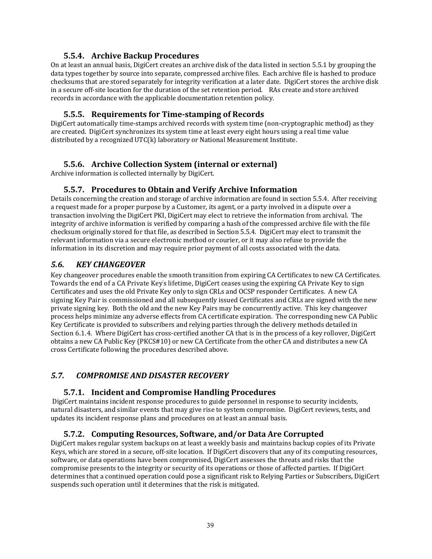#### **5.5.4. Archive Backup Procedures**

On at least an annual basis, DigiCert creates an archive disk of the data listed in section 5.5.1 by grouping the data types together by source into separate, compressed archive files. Each archive file is hashed to produce checksums that are stored separately for integrity verification at a later date. DigiCert stores the archive disk in a secure off-site location for the duration of the set retention period. RAs create and store archived records in accordance with the applicable documentation retention policy.

#### **5.5.5. Requirements for Time‐stamping of Records**

DigiCert automatically time-stamps archived records with system time (non-cryptographic method) as they are created. DigiCert synchronizes its system time at least every eight hours using a real time value distributed by a recognized UTC $(k)$  laboratory or National Measurement Institute.

## **5.5.6. Archive Collection System (internal or external)**

Archive information is collected internally by DigiCert.

## **5.5.7. Procedures to Obtain and Verify Archive Information**

Details concerning the creation and storage of archive information are found in section 5.5.4. After receiving a request made for a proper purpose by a Customer, its agent, or a party involved in a dispute over a transaction involving the DigiCert PKI, DigiCert may elect to retrieve the information from archival. The integrity of archive information is verified by comparing a hash of the compressed archive file with the file checksum originally stored for that file, as described in Section 5.5.4. DigiCert may elect to transmit the relevant information via a secure electronic method or courier, or it may also refuse to provide the information in its discretion and may require prior payment of all costs associated with the data.

## *5.6. KEY CHANGEOVER*

Key changeover procedures enable the smooth transition from expiring CA Certificates to new CA Certificates. Towards the end of a CA Private Key's lifetime, DigiCert ceases using the expiring CA Private Key to sign Certificates and uses the old Private Key only to sign CRLs and OCSP responder Certificates. A new CA signing Key Pair is commissioned and all subsequently issued Certificates and CRLs are signed with the new private signing key. Both the old and the new Key Pairs may be concurrently active. This key changeover process helps minimize any adverse effects from CA certificate expiration. The corresponding new CA Public Key Certificate is provided to subscribers and relying parties through the delivery methods detailed in Section 6.1.4. Where DigiCert has cross-certified another CA that is in the process of a key rollover, DigiCert obtains a new CA Public Key (PKCS#10) or new CA Certificate from the other CA and distributes a new CA cross Certificate following the procedures described above.

# *5.7. COMPROMISE AND DISASTER RECOVERY*

#### **5.7.1. Incident and Compromise Handling Procedures**

DigiCert maintains incident response procedures to guide personnel in response to security incidents, natural disasters, and similar events that may give rise to system compromise. DigiCert reviews, tests, and updates its incident response plans and procedures on at least an annual basis.

#### **5.7.2. Computing Resources, Software, and/or Data Are Corrupted**

DigiCert makes regular system backups on at least a weekly basis and maintains backup copies of its Private Keys, which are stored in a secure, off-site location. If DigiCert discovers that any of its computing resources, software, or data operations have been compromised, DigiCert assesses the threats and risks that the compromise presents to the integrity or security of its operations or those of affected parties. If DigiCert determines that a continued operation could pose a significant risk to Relying Parties or Subscribers, DigiCert suspends such operation until it determines that the risk is mitigated.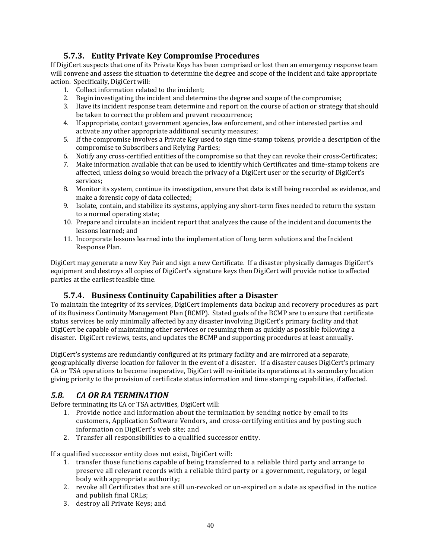# **5.7.3. Entity Private Key Compromise Procedures**

If DigiCert suspects that one of its Private Keys has been comprised or lost then an emergency response team will convene and assess the situation to determine the degree and scope of the incident and take appropriate action. Specifically, DigiCert will:

- 1. Collect information related to the incident;
- 2. Begin investigating the incident and determine the degree and scope of the compromise;
- 3. Have its incident response team determine and report on the course of action or strategy that should be taken to correct the problem and prevent reoccurrence;
- 4. If appropriate, contact government agencies, law enforcement, and other interested parties and activate any other appropriate additional security measures;
- 5. If the compromise involves a Private Key used to sign time-stamp tokens, provide a description of the compromise to Subscribers and Relying Parties;
- 6. Notify any cross-certified entities of the compromise so that they can revoke their cross-Certificates;
- 7. Make information available that can be used to identify which Certificates and time-stamp tokens are affected, unless doing so would breach the privacy of a DigiCert user or the security of DigiCert's services;
- 8. Monitor its system, continue its investigation, ensure that data is still being recorded as evidence, and make a forensic copy of data collected;
- 9. Isolate, contain, and stabilize its systems, applying any short-term fixes needed to return the system to a normal operating state;
- 10. Prepare and circulate an incident report that analyzes the cause of the incident and documents the lessons learned: and
- 11. Incorporate lessons learned into the implementation of long term solutions and the Incident Response Plan.

DigiCert may generate a new Key Pair and sign a new Certificate. If a disaster physically damages DigiCert's equipment and destroys all copies of DigiCert's signature keys then DigiCert will provide notice to affected parties at the earliest feasible time.

# **5.7.4. Business Continuity Capabilities after a Disaster**

To maintain the integrity of its services, DigiCert implements data backup and recovery procedures as part of its Business Continuity Management Plan (BCMP). Stated goals of the BCMP are to ensure that certificate status services be only minimally affected by any disaster involving DigiCert's primary facility and that DigiCert be capable of maintaining other services or resuming them as quickly as possible following a disaster. DigiCert reviews, tests, and updates the BCMP and supporting procedures at least annually.

DigiCert's systems are redundantly configured at its primary facility and are mirrored at a separate, geographically diverse location for failover in the event of a disaster. If a disaster causes DigiCert's primary CA or TSA operations to become inoperative, DigiCert will re-initiate its operations at its secondary location giving priority to the provision of certificate status information and time stamping capabilities, if affected.

# *5.8. CA OR RA TERMINATION*

Before terminating its CA or TSA activities, DigiCert will:

- 1. Provide notice and information about the termination by sending notice by email to its customers, Application Software Vendors, and cross-certifying entities and by posting such information on DigiCert's web site; and
- 2. Transfer all responsibilities to a qualified successor entity.

If a qualified successor entity does not exist, DigiCert will:

- 1. transfer those functions capable of being transferred to a reliable third party and arrange to preserve all relevant records with a reliable third party or a government, regulatory, or legal body with appropriate authority:
- 2. revoke all Certificates that are still un-revoked or un-expired on a date as specified in the notice and publish final CRLs;
- 3. destroy all Private Keys; and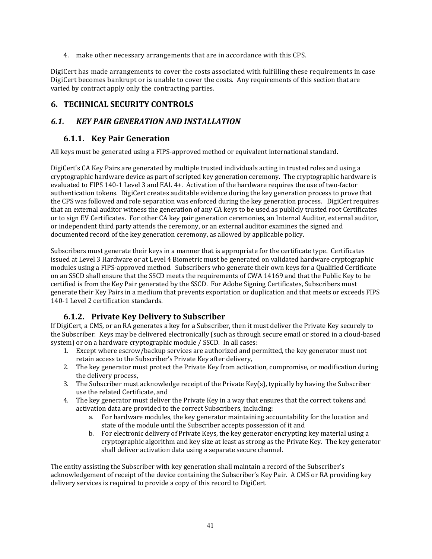4. make other necessary arrangements that are in accordance with this CPS.

DigiCert has made arrangements to cover the costs associated with fulfilling these requirements in case DigiCert becomes bankrupt or is unable to cover the costs. Any requirements of this section that are varied by contract apply only the contracting parties.

# **6. TECHNICAL SECURITY CONTROLS**

## *6.1. KEY PAIR GENERATION AND INSTALLATION*

#### **6.1.1. Key Pair Generation**

All keys must be generated using a FIPS-approved method or equivalent international standard.

DigiCert's CA Key Pairs are generated by multiple trusted individuals acting in trusted roles and using a cryptographic hardware device as part of scripted key generation ceremony. The cryptographic hardware is evaluated to FIPS 140-1 Level 3 and EAL 4+. Activation of the hardware requires the use of two-factor authentication tokens. DigiCert creates auditable evidence during the key generation process to prove that the CPS was followed and role separation was enforced during the key generation process. DigiCert requires that an external auditor witness the generation of any CA keys to be used as publicly trusted root Certificates or to sign EV Certificates. For other CA key pair generation ceremonies, an Internal Auditor, external auditor, or independent third party attends the ceremony, or an external auditor examines the signed and documented record of the key generation ceremony, as allowed by applicable policy.

Subscribers must generate their keys in a manner that is appropriate for the certificate type. Certificates issued at Level 3 Hardware or at Level 4 Biometric must be generated on validated hardware cryptographic modules using a FIPS-approved method. Subscribers who generate their own keys for a Qualified Certificate on an SSCD shall ensure that the SSCD meets the requirements of CWA 14169 and that the Public Key to be certified is from the Key Pair generated by the SSCD. For Adobe Signing Certificates, Subscribers must generate their Key Pairs in a medium that prevents exportation or duplication and that meets or exceeds FIPS 140-1 Level 2 certification standards.

# **6.1.2. Private Key Delivery to Subscriber**

If DigiCert, a CMS, or an RA generates a key for a Subscriber, then it must deliver the Private Key securely to the Subscriber. Keys may be delivered electronically (such as through secure email or stored in a cloud-based system) or on a hardware cryptographic module / SSCD. In all cases:

- 1. Except where escrow/backup services are authorized and permitted, the key generator must not retain access to the Subscriber's Private Key after delivery,
- 2. The key generator must protect the Private Key from activation, compromise, or modification during the delivery process,
- 3. The Subscriber must acknowledge receipt of the Private Key(s), typically by having the Subscriber use the related Certificate, and
- 4. The key generator must deliver the Private Key in a way that ensures that the correct tokens and activation data are provided to the correct Subscribers, including:
	- a. For hardware modules, the key generator maintaining accountability for the location and state of the module until the Subscriber accepts possession of it and
	- b. For electronic delivery of Private Keys, the key generator encrypting key material using a cryptographic algorithm and key size at least as strong as the Private Key. The key generator shall deliver activation data using a separate secure channel.

The entity assisting the Subscriber with key generation shall maintain a record of the Subscriber's acknowledgement of receipt of the device containing the Subscriber's Key Pair. A CMS or RA providing key delivery services is required to provide a copy of this record to DigiCert.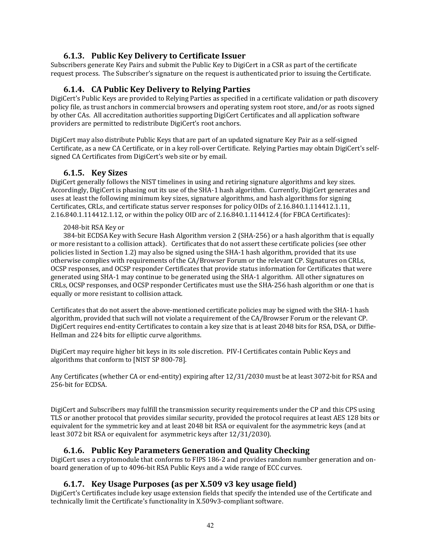## **6.1.3. Public Key Delivery to Certificate Issuer**

Subscribers generate Key Pairs and submit the Public Key to DigiCert in a CSR as part of the certificate request process. The Subscriber's signature on the request is authenticated prior to issuing the Certificate.

#### **6.1.4. CA Public Key Delivery to Relying Parties**

DigiCert's Public Keys are provided to Relying Parties as specified in a certificate validation or path discovery policy file, as trust anchors in commercial browsers and operating system root store, and/or as roots signed by other CAs. All accreditation authorities supporting DigiCert Certificates and all application software providers are permitted to redistribute DigiCert's root anchors.

DigiCert may also distribute Public Keys that are part of an updated signature Key Pair as a self-signed Certificate, as a new CA Certificate, or in a key roll-over Certificate. Relying Parties may obtain DigiCert's selfsigned CA Certificates from DigiCert's web site or by email.

#### **6.1.5. Key Sizes**

DigiCert generally follows the NIST timelines in using and retiring signature algorithms and key sizes. Accordingly, DigiCert is phasing out its use of the SHA-1 hash algorithm. Currently, DigiCert generates and uses at least the following minimum key sizes, signature algorithms, and hash algorithms for signing Certificates, CRLs, and certificate status server responses for policy OIDs of 2.16.840.1.114412.1.11,  $2.16.840.1.114412.1.12$ , or within the policy OID arc of  $2.16.840.1.114412.4$  (for FBCA Certificates):

#### 2048-bit RSA Key or

384-bit ECDSA Key with Secure Hash Algorithm version 2 (SHA-256) or a hash algorithm that is equally or more resistant to a collision attack). Certificates that do not assert these certificate policies (see other policies listed in Section 1.2) may also be signed using the SHA-1 hash algorithm, provided that its use otherwise complies with requirements of the CA/Browser Forum or the relevant CP. Signatures on CRLs, OCSP responses, and OCSP responder Certificates that provide status information for Certificates that were generated using SHA-1 may continue to be generated using the SHA-1 algorithm. All other signatures on CRLs, OCSP responses, and OCSP responder Certificates must use the SHA-256 hash algorithm or one that is equally or more resistant to collision attack.

Certificates that do not assert the above-mentioned certificate policies may be signed with the SHA-1 hash algorithm, provided that such will not violate a requirement of the CA/Browser Forum or the relevant CP. DigiCert requires end-entity Certificates to contain a key size that is at least 2048 bits for RSA, DSA, or Diffie-Hellman and 224 bits for elliptic curve algorithms.

DigiCert may require higher bit keys in its sole discretion. PIV-I Certificates contain Public Keys and algorithms that conform to [NIST SP 800-78].

Any Certificates (whether CA or end-entity) expiring after  $12/31/2030$  must be at least 3072-bit for RSA and 256-bit for ECDSA.

DigiCert and Subscribers may fulfill the transmission security requirements under the CP and this CPS using TLS or another protocol that provides similar security, provided the protocol requires at least AES 128 bits or equivalent for the symmetric key and at least 2048 bit RSA or equivalent for the asymmetric keys (and at least 3072 bit RSA or equivalent for asymmetric keys after 12/31/2030).

#### **6.1.6. Public Key Parameters Generation and Quality Checking**

DigiCert uses a cryptomodule that conforms to FIPS 186-2 and provides random number generation and onboard generation of up to 4096-bit RSA Public Keys and a wide range of ECC curves.

#### **6.1.7. Key Usage Purposes (as per X.509 v3 key usage field)**

DigiCert's Certificates include key usage extension fields that specify the intended use of the Certificate and technically limit the Certificate's functionality in X.509v3-compliant software.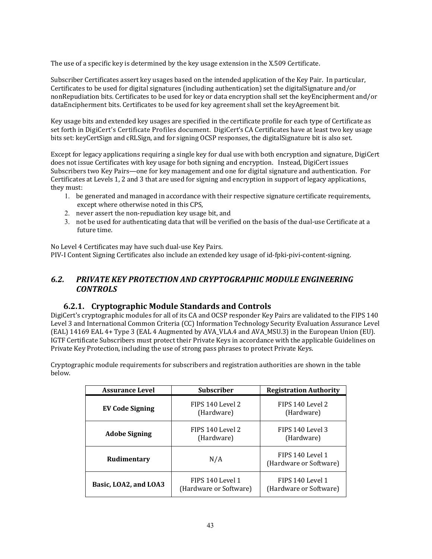The use of a specific key is determined by the key usage extension in the X.509 Certificate.

Subscriber Certificates assert key usages based on the intended application of the Key Pair. In particular, Certificates to be used for digital signatures (including authentication) set the digitalSignature and/or nonRepudiation bits. Certificates to be used for key or data encryption shall set the keyEncipherment and/or dataEncipherment bits. Certificates to be used for key agreement shall set the keyAgreement bit.

Key usage bits and extended key usages are specified in the certificate profile for each type of Certificate as set forth in DigiCert's Certificate Profiles document. DigiCert's CA Certificates have at least two key usage bits set: keyCertSign and cRLSign, and for signing OCSP responses, the digitalSignature bit is also set.

Except for legacy applications requiring a single key for dual use with both encryption and signature, DigiCert does not issue Certificates with key usage for both signing and encryption. Instead, DigiCert issues Subscribers two Key Pairs—one for key management and one for digital signature and authentication. For Certificates at Levels 1, 2 and 3 that are used for signing and encryption in support of legacy applications, they must:

- 1. be generated and managed in accordance with their respective signature certificate requirements, except where otherwise noted in this CPS,
- 2. never assert the non-repudiation key usage bit, and
- 3. not be used for authenticating data that will be verified on the basis of the dual-use Certificate at a future time.

No Level 4 Certificates may have such dual-use Key Pairs.

PIV‐I Content Signing Certificates also include an extended key usage of id‐fpki‐pivi‐content‐signing.

## *6.2. PRIVATE KEY PROTECTION AND CRYPTOGRAPHIC MODULE ENGINEERING CONTROLS*

#### **6.2.1. Cryptographic Module Standards and Controls**

DigiCert's cryptographic modules for all of its CA and OCSP responder Key Pairs are validated to the FIPS 140 Level 3 and International Common Criteria (CC) Information Technology Security Evaluation Assurance Level (EAL) 14169 EAL 4+ Type 3 (EAL 4 Augmented by AVA VLA.4 and AVA MSU.3) in the European Union (EU). IGTF Certificate Subscribers must protect their Private Keys in accordance with the applicable Guidelines on Private Key Protection, including the use of strong pass phrases to protect Private Keys.

Cryptographic module requirements for subscribers and registration authorities are shown in the table below. 

| <b>Assurance Level</b> | <b>Subscriber</b>                          | <b>Registration Authority</b>              |
|------------------------|--------------------------------------------|--------------------------------------------|
| EV Code Signing        | FIPS 140 Level 2<br>(Hardware)             | FIPS 140 Level 2<br>(Hardware)             |
| <b>Adobe Signing</b>   | FIPS 140 Level 2<br>(Hardware)             | FIPS 140 Level 3<br>(Hardware)             |
| Rudimentary            | N/A                                        | FIPS 140 Level 1<br>(Hardware or Software) |
| Basic, LOA2, and LOA3  | FIPS 140 Level 1<br>(Hardware or Software) | FIPS 140 Level 1<br>(Hardware or Software) |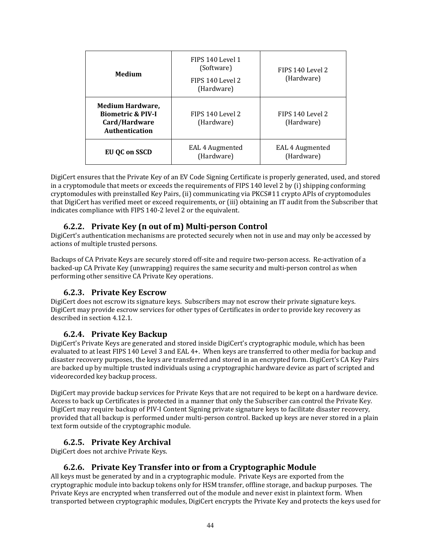| Medium                                                                                            | FIPS 140 Level 1<br>(Software)<br>FIPS 140 Level 2<br>(Hardware) | FIPS 140 Level 2<br>(Hardware) |
|---------------------------------------------------------------------------------------------------|------------------------------------------------------------------|--------------------------------|
| <b>Medium Hardware,</b><br><b>Biometric &amp; PIV-I</b><br>Card/Hardware<br><b>Authentication</b> | FIPS 140 Level 2<br>(Hardware)                                   | FIPS 140 Level 2<br>(Hardware) |
| EU OC on SSCD                                                                                     | EAL 4 Augmented<br>(Hardware)                                    | EAL 4 Augmented<br>(Hardware)  |

DigiCert ensures that the Private Key of an EV Code Signing Certificate is properly generated, used, and stored in a cryptomodule that meets or exceeds the requirements of FIPS 140 level 2 by (i) shipping conforming cryptomodules with preinstalled Key Pairs, (ii) communicating via PKCS#11 crypto APIs of cryptomodules that DigiCert has verified meet or exceed requirements, or (iii) obtaining an IT audit from the Subscriber that indicates compliance with FIPS 140-2 level 2 or the equivalent.

## **6.2.2. Private Key (n out of m) Multi‐person Control**

DigiCert's authentication mechanisms are protected securely when not in use and may only be accessed by actions of multiple trusted persons.

Backups of CA Private Keys are securely stored off-site and require two-person access. Re-activation of a backed-up CA Private Key (unwrapping) requires the same security and multi-person control as when performing other sensitive CA Private Key operations.

#### **6.2.3. Private Key Escrow**

DigiCert does not escrow its signature keys. Subscribers may not escrow their private signature keys. DigiCert may provide escrow services for other types of Certificates in order to provide key recovery as described in section 4.12.1.

#### **6.2.4. Private Key Backup**

DigiCert's Private Keys are generated and stored inside DigiCert's cryptographic module, which has been evaluated to at least FIPS 140 Level 3 and EAL 4+. When keys are transferred to other media for backup and disaster recovery purposes, the keys are transferred and stored in an encrypted form. DigiCert's CA Key Pairs are backed up by multiple trusted individuals using a cryptographic hardware device as part of scripted and videorecorded key backup process.

DigiCert may provide backup services for Private Keys that are not required to be kept on a hardware device. Access to back up Certificates is protected in a manner that only the Subscriber can control the Private Key. DigiCert may require backup of PIV-I Content Signing private signature keys to facilitate disaster recovery, provided that all backup is performed under multi-person control. Backed up keys are never stored in a plain text form outside of the cryptographic module.

#### **6.2.5. Private Key Archival**

DigiCert does not archive Private Keys.

#### **6.2.6. Private Key Transfer into or from a Cryptographic Module**

All keys must be generated by and in a cryptographic module. Private Keys are exported from the cryptographic module into backup tokens only for HSM transfer, offline storage, and backup purposes. The Private Keys are encrypted when transferred out of the module and never exist in plaintext form. When transported between cryptographic modules, DigiCert encrypts the Private Key and protects the keys used for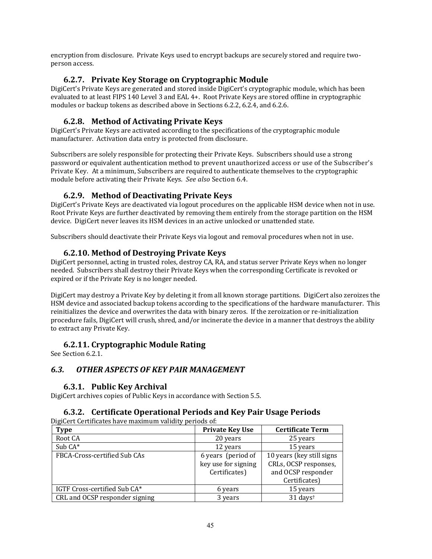encryption from disclosure. Private Keys used to encrypt backups are securely stored and require twoperson access. 

## **6.2.7. Private Key Storage on Cryptographic Module**

DigiCert's Private Keys are generated and stored inside DigiCert's cryptographic module, which has been evaluated to at least FIPS 140 Level 3 and EAL 4+. Root Private Keys are stored offline in cryptographic modules or backup tokens as described above in Sections 6.2.2, 6.2.4, and 6.2.6.

## **6.2.8. Method of Activating Private Keys**

DigiCert's Private Keys are activated according to the specifications of the cryptographic module manufacturer. Activation data entry is protected from disclosure.

Subscribers are solely responsible for protecting their Private Keys. Subscribers should use a strong password or equivalent authentication method to prevent unauthorized access or use of the Subscriber's Private Key. At a minimum, Subscribers are required to authenticate themselves to the cryptographic module before activating their Private Keys. See also Section 6.4.

## **6.2.9. Method of Deactivating Private Keys**

DigiCert's Private Keys are deactivated via logout procedures on the applicable HSM device when not in use. Root Private Keys are further deactivated by removing them entirely from the storage partition on the HSM device. DigiCert never leaves its HSM devices in an active unlocked or unattended state.

Subscribers should deactivate their Private Keys via logout and removal procedures when not in use.

## **6.2.10. Method of Destroying Private Keys**

DigiCert personnel, acting in trusted roles, destroy CA, RA, and status server Private Keys when no longer needed. Subscribers shall destroy their Private Keys when the corresponding Certificate is revoked or expired or if the Private Key is no longer needed.

DigiCert may destroy a Private Key by deleting it from all known storage partitions. DigiCert also zeroizes the HSM device and associated backup tokens according to the specifications of the hardware manufacturer. This reinitializes the device and overwrites the data with binary zeros. If the zeroization or re-initialization procedure fails, DigiCert will crush, shred, and/or incinerate the device in a manner that destroys the ability to extract any Private Key.

#### **6.2.11. Cryptographic Module Rating**

See Section 6.2.1.

#### *6.3. OTHER ASPECTS OF KEY PAIR MANAGEMENT*

#### **6.3.1. Public Key Archival**

DigiCert archives copies of Public Keys in accordance with Section 5.5.

#### **6.3.2. Certificate Operational Periods and Key Pair Usage Periods**

DigiCert Certificates have maximum validity periods of:

| <b>Type</b>                    | <b>Private Key Use</b> | <b>Certificate Term</b>   |
|--------------------------------|------------------------|---------------------------|
| Root CA                        | 20 years               | 25 years                  |
| Sub CA*                        | 12 years               | 15 years                  |
| FBCA-Cross-certified Sub CAs   | 6 years (period of     | 10 years (key still signs |
|                                | key use for signing    | CRLs, OCSP responses,     |
|                                | Certificates)          | and OCSP responder        |
|                                |                        | Certificates)             |
| IGTF Cross-certified Sub CA*   | 6 years                | 15 years                  |
| CRL and OCSP responder signing | 3 years                | 31 days <sup>t</sup>      |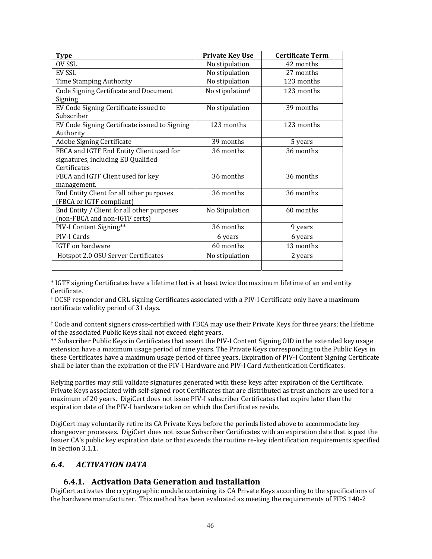| Type                                                       | <b>Private Key Use</b>      | <b>Certificate Term</b> |
|------------------------------------------------------------|-----------------------------|-------------------------|
| OV SSL                                                     | No stipulation              | 42 months               |
| EV SSL                                                     | No stipulation              | 27 months               |
| Time Stamping Authority                                    | No stipulation              | 123 months              |
| Code Signing Certificate and Document                      | No stipulation <sup>#</sup> | 123 months              |
| Signing                                                    |                             |                         |
| EV Code Signing Certificate issued to                      | No stipulation              | 39 months               |
| Subscriber                                                 |                             |                         |
| EV Code Signing Certificate issued to Signing<br>Authority | 123 months                  | 123 months              |
| Adobe Signing Certificate                                  | 39 months                   | 5 years                 |
| FBCA and IGTF End Entity Client used for                   | 36 months                   | 36 months               |
| signatures, including EU Qualified                         |                             |                         |
| Certificates                                               |                             |                         |
| FBCA and IGTF Client used for key                          | 36 months                   | 36 months               |
| management.                                                |                             |                         |
| End Entity Client for all other purposes                   | 36 months                   | 36 months               |
| (FBCA or IGTF compliant)                                   |                             |                         |
| End Entity / Client for all other purposes                 | No Stipulation              | 60 months               |
| (non-FBCA and non-IGTF certs)                              |                             |                         |
| PIV-I Content Signing**                                    | 36 months                   | 9 years                 |
| PIV-I Cards                                                | 6 years                     | 6 years                 |
| IGTF on hardware                                           | 60 months                   | 13 months               |
| Hotspot 2.0 OSU Server Certificates                        | No stipulation              | 2 years                 |
|                                                            |                             |                         |

\* IGTF signing Certificates have a lifetime that is at least twice the maximum lifetime of an end entity Certificate. 

† OCSP responder and CRL signing Certificates associated with a PIV‐I Certificate only have a maximum certificate validity period of 31 days.

‡ Code and content signers cross‐certified with FBCA may use their Private Keys for three years; the lifetime of the associated Public Keys shall not exceed eight years.

\*\* Subscriber Public Keys in Certificates that assert the PIV-I Content Signing OID in the extended key usage extension have a maximum usage period of nine years. The Private Keys corresponding to the Public Keys in these Certificates have a maximum usage period of three years. Expiration of PIV-I Content Signing Certificate shall be later than the expiration of the PIV-I Hardware and PIV-I Card Authentication Certificates.

Relying parties may still validate signatures generated with these keys after expiration of the Certificate. Private Keys associated with self-signed root Certificates that are distributed as trust anchors are used for a maximum of 20 years. DigiCert does not issue PIV-I subscriber Certificates that expire later than the expiration date of the PIV-I hardware token on which the Certificates reside.

DigiCert may voluntarily retire its CA Private Keys before the periods listed above to accommodate key changeover processes. DigiCert does not issue Subscriber Certificates with an expiration date that is past the Issuer CA's public key expiration date or that exceeds the routine re-key identification requirements specified in Section 3.1.1.

#### *6.4. ACTIVATION DATA*

#### **6.4.1. Activation Data Generation and Installation**

DigiCert activates the cryptographic module containing its CA Private Keys according to the specifications of the hardware manufacturer. This method has been evaluated as meeting the requirements of FIPS 140-2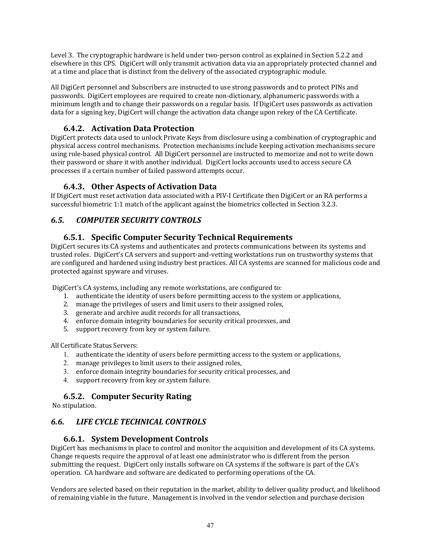Level 3. The cryptographic hardware is held under two-person control as explained in Section 5.2.2 and elsewhere in this CPS. DigiCert will only transmit activation data via an appropriately protected channel and at a time and place that is distinct from the delivery of the associated cryptographic module.

All DigiCert personnel and Subscribers are instructed to use strong passwords and to protect PINs and passwords. DigiCert employees are required to create non-dictionary, alphanumeric passwords with a minimum length and to change their passwords on a regular basis. If DigiCert uses passwords as activation data for a signing key, DigiCert will change the activation data change upon rekey of the CA Certificate.

# **6.4.2. Activation Data Protection**

DigiCert protects data used to unlock Private Keys from disclosure using a combination of cryptographic and physical access control mechanisms. Protection mechanisms include keeping activation mechanisms secure using role-based physical control. All DigiCert personnel are instructed to memorize and not to write down their password or share it with another individual. DigiCert locks accounts used to access secure CA processes if a certain number of failed password attempts occur.

## **6.4.3. Other Aspects of Activation Data**

If DigiCert must reset activation data associated with a PIV-I Certificate then DigiCert or an RA performs a successful biometric 1:1 match of the applicant against the biometrics collected in Section 3.2.3.

# *6.5. COMPUTER SECURITY CONTROLS*

# **6.5.1. Specific Computer Security Technical Requirements**

DigiCert secures its CA systems and authenticates and protects communications between its systems and trusted roles. DigiCert's CA servers and support-and-vetting workstations run on trustworthy systems that are configured and hardened using industry best practices. All CA systems are scanned for malicious code and protected against spyware and viruses.

DigiCert's CA systems, including any remote workstations, are configured to:

- 1. authenticate the identity of users before permitting access to the system or applications,
- 2. manage the privileges of users and limit users to their assigned roles,
- 3. generate and archive audit records for all transactions,
- 4. enforce domain integrity boundaries for security critical processes, and
- 5. support recovery from key or system failure.

All Certificate Status Servers:

- 1. authenticate the identity of users before permitting access to the system or applications,
- 2. manage privileges to limit users to their assigned roles,
- 3. enforce domain integrity boundaries for security critical processes, and
- 4. support recovery from key or system failure.

# **6.5.2. Computer Security Rating**

No stipulation.

# *6.6. LIFE CYCLE TECHNICAL CONTROLS*

# **6.6.1. System Development Controls**

DigiCert has mechanisms in place to control and monitor the acquisition and development of its CA systems. Change requests require the approval of at least one administrator who is different from the person submitting the request. DigiCert only installs software on CA systems if the software is part of the CA's operation. CA hardware and software are dedicated to performing operations of the CA.

Vendors are selected based on their reputation in the market, ability to deliver quality product, and likelihood of remaining viable in the future. Management is involved in the vendor selection and purchase decision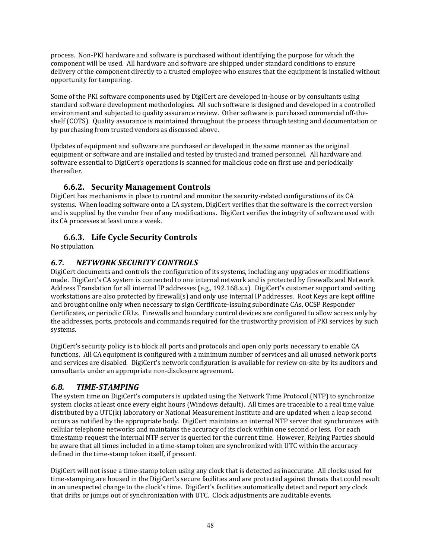process. Non-PKI hardware and software is purchased without identifying the purpose for which the component will be used. All hardware and software are shipped under standard conditions to ensure delivery of the component directly to a trusted employee who ensures that the equipment is installed without opportunity for tampering.

Some of the PKI software components used by DigiCert are developed in-house or by consultants using standard software development methodologies. All such software is designed and developed in a controlled environment and subjected to quality assurance review. Other software is purchased commercial off-theshelf (COTS). Quality assurance is maintained throughout the process through testing and documentation or by purchasing from trusted vendors as discussed above.

Updates of equipment and software are purchased or developed in the same manner as the original equipment or software and are installed and tested by trusted and trained personnel. All hardware and software essential to DigiCert's operations is scanned for malicious code on first use and periodically thereafter. 

## **6.6.2. Security Management Controls**

DigiCert has mechanisms in place to control and monitor the security-related configurations of its CA systems. When loading software onto a CA system, DigiCert verifies that the software is the correct version and is supplied by the vendor free of any modifications. DigiCert verifies the integrity of software used with its CA processes at least once a week.

# **6.6.3. Life Cycle Security Controls**

No stipulation.

# *6.7. NETWORK SECURITY CONTROLS*

DigiCert documents and controls the configuration of its systems, including any upgrades or modifications made. DigiCert's CA system is connected to one internal network and is protected by firewalls and Network Address Translation for all internal IP addresses (e.g., 192.168.x.x). DigiCert's customer support and vetting workstations are also protected by firewall(s) and only use internal IP addresses. Root Keys are kept offline and brought online only when necessary to sign Certificate-issuing subordinate CAs, OCSP Responder Certificates, or periodic CRLs. Firewalls and boundary control devices are configured to allow access only by the addresses, ports, protocols and commands required for the trustworthy provision of PKI services by such systems. 

DigiCert's security policy is to block all ports and protocols and open only ports necessary to enable CA functions. All CA equipment is configured with a minimum number of services and all unused network ports and services are disabled. DigiCert's network configuration is available for review on-site by its auditors and consultants under an appropriate non-disclosure agreement.

# *6.8. TIME‐STAMPING*

The system time on DigiCert's computers is updated using the Network Time Protocol (NTP) to synchronize system clocks at least once every eight hours (Windows default). All times are traceable to a real time value distributed by a UTC(k) laboratory or National Measurement Institute and are updated when a leap second occurs as notified by the appropriate body. DigiCert maintains an internal NTP server that synchronizes with cellular telephone networks and maintains the accuracy of its clock within one second or less. For each timestamp request the internal NTP server is queried for the current time. However, Relying Parties should be aware that all times included in a time-stamp token are synchronized with UTC within the accuracy defined in the time-stamp token itself, if present.

DigiCert will not issue a time-stamp token using any clock that is detected as inaccurate. All clocks used for time-stamping are housed in the DigiCert's secure facilities and are protected against threats that could result in an unexpected change to the clock's time. DigiCert's facilities automatically detect and report any clock that drifts or jumps out of synchronization with UTC. Clock adjustments are auditable events.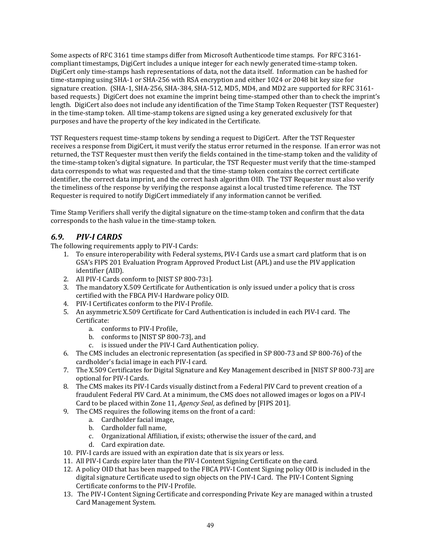Some aspects of RFC 3161 time stamps differ from Microsoft Authenticode time stamps. For RFC 3161compliant timestamps, DigiCert includes a unique integer for each newly generated time-stamp token. DigiCert only time-stamps hash representations of data, not the data itself. Information can be hashed for time-stamping using SHA-1 or SHA-256 with RSA encryption and either 1024 or 2048 bit key size for signature creation. (SHA-1, SHA-256, SHA-384, SHA-512, MD5, MD4, and MD2 are supported for RFC 3161based requests.) DigiCert does not examine the imprint being time-stamped other than to check the imprint's length. DigiCert also does not include any identification of the Time Stamp Token Requester (TST Requester) in the time-stamp token. All time-stamp tokens are signed using a key generated exclusively for that purposes and have the property of the key indicated in the Certificate.

TST Requesters request time-stamp tokens by sending a request to DigiCert. After the TST Requester receives a response from DigiCert, it must verify the status error returned in the response. If an error was not returned, the TST Requester must then verify the fields contained in the time-stamp token and the validity of the time-stamp token's digital signature. In particular, the TST Requester must verify that the time-stamped data corresponds to what was requested and that the time-stamp token contains the correct certificate identifier, the correct data imprint, and the correct hash algorithm OID. The TST Requester must also verify the timeliness of the response by verifying the response against a local trusted time reference. The TST Requester is required to notify DigiCert immediately if any information cannot be verified.

Time Stamp Verifiers shall verify the digital signature on the time-stamp token and confirm that the data corresponds to the hash value in the time-stamp token.

# *6.9. PIV‐I CARDS*

The following requirements apply to PIV-I Cards:

- 1. To ensure interoperability with Federal systems, PIV-I Cards use a smart card platform that is on GSA's FIPS 201 Evaluation Program Approved Product List (APL) and use the PIV application identifier (AID).
- 2. All PIV-I Cards conform to [NIST SP 800-731].
- 3. The mandatory X.509 Certificate for Authentication is only issued under a policy that is cross certified with the FBCA PIV-I Hardware policy OID.
- 4. PIV-I Certificates conform to the PIV-I Profile.
- 5. An asymmetric X.509 Certificate for Card Authentication is included in each PIV-I card. The Certificate:
	- a. conforms to PIV-I Profile,
	- b. conforms to [NIST SP 800-73], and
	- c. is issued under the PIV-I Card Authentication policy.
- 6. The CMS includes an electronic representation (as specified in SP 800-73 and SP 800-76) of the cardholder's facial image in each PIV-I card.
- 7. The X.509 Certificates for Digital Signature and Key Management described in [NIST SP 800-73] are optional for PIV-I Cards.
- 8. The CMS makes its PIV-I Cards visually distinct from a Federal PIV Card to prevent creation of a fraudulent Federal PIV Card. At a minimum, the CMS does not allowed images or logos on a PIV-I Card to be placed within Zone 11, *Agency Seal*, as defined by [FIPS 201].
- 9. The CMS requires the following items on the front of a card:
	- a. Cardholder facial image,
	- b. Cardholder full name,
	- c. Organizational Affiliation, if exists; otherwise the issuer of the card, and
	- d. Card expiration date.
- 10. PIV-I cards are issued with an expiration date that is six vears or less.
- 11. All PIV-I Cards expire later than the PIV-I Content Signing Certificate on the card.
- 12. A policy OID that has been mapped to the FBCA PIV-I Content Signing policy OID is included in the digital signature Certificate used to sign objects on the PIV-I Card. The PIV-I Content Signing Certificate conforms to the PIV-I Profile.
- 13. The PIV-I Content Signing Certificate and corresponding Private Key are managed within a trusted Card Management System.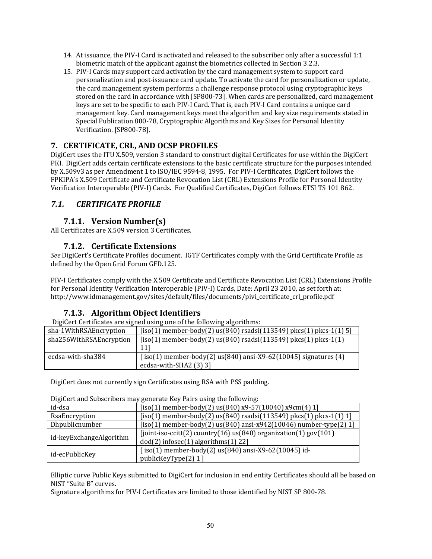- 14. At issuance, the PIV-I Card is activated and released to the subscriber only after a successful 1:1 biometric match of the applicant against the biometrics collected in Section 3.2.3.
- 15. PIV-I Cards may support card activation by the card management system to support card personalization and post-issuance card update. To activate the card for personalization or update, the card management system performs a challenge response protocol using cryptographic keys stored on the card in accordance with [SP800-73]. When cards are personalized, card management keys are set to be specific to each PIV-I Card. That is, each PIV-I Card contains a unique card management key. Card management keys meet the algorithm and key size requirements stated in Special Publication 800-78, Cryptographic Algorithms and Key Sizes for Personal Identity Verification. [SP800-78].

# **7. CERTIFICATE, CRL, AND OCSP PROFILES**

DigiCert uses the ITU X.509, version 3 standard to construct digital Certificates for use within the DigiCert PKI. DigiCert adds certain certificate extensions to the basic certificate structure for the purposes intended by X.509v3 as per Amendment 1 to ISO/IEC 9594-8, 1995. For PIV-I Certificates, DigiCert follows the FPKIPA's X.509 Certificate and Certificate Revocation List (CRL) Extensions Profile for Personal Identity Verification Interoperable (PIV-I) Cards. For Qualified Certificates, DigiCert follows ETSI TS 101 862.

# *7.1. CERTIFICATE PROFILE*

## **7.1.1. Version Number(s)**

All Certificates are X.509 version 3 Certificates.

## **7.1.2. Certificate Extensions**

See DigiCert's Certificate Profiles document. IGTF Certificates comply with the Grid Certificate Profile as defined by the Open Grid Forum GFD.125.

PIV-I Certificates comply with the X.509 Certificate and Certificate Revocation List (CRL) Extensions Profile for Personal Identity Verification Interoperable (PIV-I) Cards, Date: April 23 2010, as set forth at: http://www.idmanagement.gov/sites/default/files/documents/pivi\_certificate\_crl\_profile.pdf 

# **7.1.3. Algorithm Object Identifiers**

DigiCert Certificates are signed using one of the following algorithms:

| sha-1WithRSAEncryption  | $[iso(1)$ member-body(2) us(840) rsadsi(113549) pkcs(1) pkcs-1(1) 5]                                   |
|-------------------------|--------------------------------------------------------------------------------------------------------|
| sha256WithRSAEncryption | $[iso(1)$ member-body(2) us $(840)$ rsadsi(113549) pkcs $(1)$ pkcs-1(1)                                |
| ecdsa-with-sha384       | $[iso(1)$ member-body $(2)$ us $(840)$ ansi-X9-62 $(10045)$ signatures $(4)$<br>ecdsa-with-SHA2 (3) 3] |

DigiCert does not currently sign Certificates using RSA with PSS padding.

DigiCert and Subscribers may generate Key Pairs using the following:

| id-dsa                  | $[iso(1)$ member-body(2) us(840) x9-57(10040) x9cm(4) 1]                                                                  |
|-------------------------|---------------------------------------------------------------------------------------------------------------------------|
| RsaEncryption           | $[iso(1)$ member-body $(2)$ us $(840)$ rsadsi $(113549)$ pkcs $(1)$ pkcs- $1(1)$ 1]                                       |
| Dhpublicnumber          | $[iso(1)$ member-body $(2)$ us $(840)$ ansi-x942 $(10046)$ number-type $(2)$ 1]                                           |
| id-keyExchangeAlgorithm | [joint-iso-ccitt(2) country(16) $us(840)$ organization(1) gov(101)<br>$dod(2)$ infosec $(1)$ algorithms $(1)$ 22]         |
| id-ecPublicKey          | $\left[ \text{iso}(1) \text{ member-body}(2) \text{ us}(840) \text{ ansi-X9-62}(10045) \right]$ id-<br>publicKeyType(2) 1 |

Elliptic curve Public Keys submitted to DigiCert for inclusion in end entity Certificates should all be based on NIST "Suite B" curves.

Signature algorithms for PIV-I Certificates are limited to those identified by NIST SP 800-78.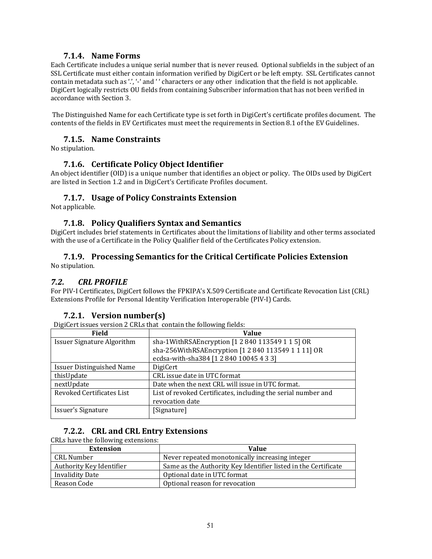#### **7.1.4. Name Forms**

Each Certificate includes a unique serial number that is never reused. Optional subfields in the subject of an SSL Certificate must either contain information verified by DigiCert or be left empty. SSL Certificates cannot contain metadata such as '.', '-' and '' characters or any other indication that the field is not applicable. DigiCert logically restricts OU fields from containing Subscriber information that has not been verified in accordance with Section 3. 

The Distinguished Name for each Certificate type is set forth in DigiCert's certificate profiles document. The contents of the fields in EV Certificates must meet the requirements in Section 8.1 of the EV Guidelines.

#### **7.1.5. Name Constraints**

No stipulation.

#### **7.1.6. Certificate Policy Object Identifier**

An object identifier (OID) is a unique number that identifies an object or policy. The OIDs used by DigiCert are listed in Section 1.2 and in DigiCert's Certificate Profiles document.

#### **7.1.7. Usage of Policy Constraints Extension**

Not applicable.

#### **7.1.8. Policy Qualifiers Syntax and Semantics**

DigiCert includes brief statements in Certificates about the limitations of liability and other terms associated with the use of a Certificate in the Policy Qualifier field of the Certificates Policy extension.

# **7.1.9. Processing Semantics for the Critical Certificate Policies Extension**

No stipulation.

#### *7.2. CRL PROFILE*

For PIV-I Certificates, DigiCert follows the FPKIPA's X.509 Certificate and Certificate Revocation List (CRL) Extensions Profile for Personal Identity Verification Interoperable (PIV-I) Cards.

#### **7.2.1. Version number(s)**

DigiCert issues version 2 CRLs that contain the following fields:

| Field                             | <b>Value</b>                                                  |
|-----------------------------------|---------------------------------------------------------------|
| <b>Issuer Signature Algorithm</b> | sha-1WithRSAEncryption [1 2 840 113549 1 1 5] OR              |
|                                   | sha-256WithRSAEncryption [1 2 840 113549 1 1 11] OR           |
|                                   | ecdsa-with-sha384 [1 2 840 10045 4 3 3]                       |
| <b>Issuer Distinguished Name</b>  | DigiCert                                                      |
| thisUpdate                        | CRL issue date in UTC format                                  |
| nextUpdate                        | Date when the next CRL will issue in UTC format.              |
| Revoked Certificates List         | List of revoked Certificates, including the serial number and |
|                                   | revocation date                                               |
| Issuer's Signature                | [Signature]                                                   |

#### **7.2.2. CRL and CRL Entry Extensions**

#### CRLs have the following extensions:

| <b>Extension</b>         | Value                                                          |
|--------------------------|----------------------------------------------------------------|
| CRL Number               | Never repeated monotonically increasing integer                |
| Authority Key Identifier | Same as the Authority Key Identifier listed in the Certificate |
| <b>Invalidity Date</b>   | Optional date in UTC format                                    |
| Reason Code              | Optional reason for revocation                                 |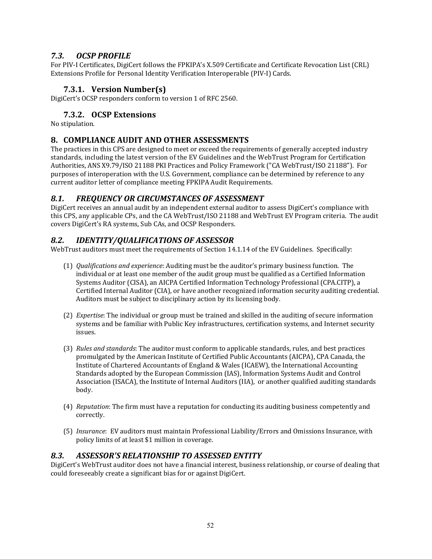# *7.3. OCSP PROFILE*

For PIV-I Certificates, DigiCert follows the FPKIPA's X.509 Certificate and Certificate Revocation List (CRL) Extensions Profile for Personal Identity Verification Interoperable (PIV-I) Cards.

# **7.3.1. Version Number(s)**

DigiCert's OCSP responders conform to version 1 of RFC 2560.

# **7.3.2. OCSP Extensions**

No stipulation.

# **8. COMPLIANCE AUDIT AND OTHER ASSESSMENTS**

The practices in this CPS are designed to meet or exceed the requirements of generally accepted industry standards, including the latest version of the EV Guidelines and the WebTrust Program for Certification Authorities, ANS X9.79/ISO 21188 PKI Practices and Policy Framework ("CA WebTrust/ISO 21188"). For purposes of interoperation with the U.S. Government, compliance can be determined by reference to any current auditor letter of compliance meeting FPKIPA Audit Requirements.

# *8.1. FREQUENCY OR CIRCUMSTANCES OF ASSESSMENT*

DigiCert receives an annual audit by an independent external auditor to assess DigiCert's compliance with this CPS, any applicable CPs, and the CA WebTrust/ISO 21188 and WebTrust EV Program criteria. The audit covers DigiCert's RA systems, Sub CAs, and OCSP Responders.

# *8.2. IDENTITY/QUALIFICATIONS OF ASSESSOR*

WebTrust auditors must meet the requirements of Section 14.1.14 of the EV Guidelines. Specifically:

- (1) *Qualifications and experience*: Auditing must be the auditor's primary business function. The individual or at least one member of the audit group must be qualified as a Certified Information Systems Auditor (CISA), an AICPA Certified Information Technology Professional (CPA.CITP), a Certified Internal Auditor (CIA), or have another recognized information security auditing credential. Auditors must be subject to disciplinary action by its licensing body.
- (2) *Expertise*: The individual or group must be trained and skilled in the auditing of secure information systems and be familiar with Public Key infrastructures, certification systems, and Internet security issues.
- (3) *Rules and standards*: The auditor must conform to applicable standards, rules, and best practices promulgated by the American Institute of Certified Public Accountants (AICPA), CPA Canada, the Institute of Chartered Accountants of England & Wales (ICAEW), the International Accounting Standards adopted by the European Commission (IAS), Information Systems Audit and Control Association (ISACA), the Institute of Internal Auditors (IIA), or another qualified auditing standards body.
- (4) *Reputation*: The firm must have a reputation for conducting its auditing business competently and correctly.
- (5) *Insurance*: EV auditors must maintain Professional Liability/Errors and Omissions Insurance, with policy limits of at least \$1 million in coverage.

# *8.3. ASSESSOR'S RELATIONSHIP TO ASSESSED ENTITY*

DigiCert's WebTrust auditor does not have a financial interest, business relationship, or course of dealing that could foreseeably create a significant bias for or against DigiCert.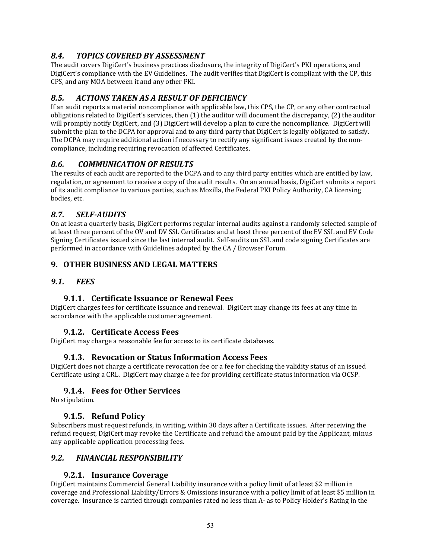# *8.4. TOPICS COVERED BY ASSESSMENT*

The audit covers DigiCert's business practices disclosure, the integrity of DigiCert's PKI operations, and DigiCert's compliance with the EV Guidelines. The audit verifies that DigiCert is compliant with the CP, this CPS, and any MOA between it and any other PKI.

# *8.5. ACTIONS TAKEN AS A RESULT OF DEFICIENCY*

If an audit reports a material noncompliance with applicable law, this CPS, the CP, or any other contractual obligations related to DigiCert's services, then  $(1)$  the auditor will document the discrepancy,  $(2)$  the auditor will promptly notify DigiCert, and (3) DigiCert will develop a plan to cure the noncompliance. DigiCert will submit the plan to the DCPA for approval and to any third party that DigiCert is legally obligated to satisfy. The DCPA may require additional action if necessary to rectify any significant issues created by the noncompliance, including requiring revocation of affected Certificates.

# *8.6. COMMUNICATION OF RESULTS*

The results of each audit are reported to the DCPA and to any third party entities which are entitled by law, regulation, or agreement to receive a copy of the audit results. On an annual basis, DigiCert submits a report of its audit compliance to various parties, such as Mozilla, the Federal PKI Policy Authority, CA licensing bodies, etc.

# *8.7. SELF‐AUDITS*

On at least a quarterly basis, DigiCert performs regular internal audits against a randomly selected sample of at least three percent of the OV and DV SSL Certificates and at least three percent of the EV SSL and EV Code Signing Certificates issued since the last internal audit. Self-audits on SSL and code signing Certificates are performed in accordance with Guidelines adopted by the CA / Browser Forum.

# **9. OTHER BUSINESS AND LEGAL MATTERS**

# *9.1. FEES*

# **9.1.1. Certificate Issuance or Renewal Fees**

DigiCert charges fees for certificate issuance and renewal. DigiCert may change its fees at any time in accordance with the applicable customer agreement.

# **9.1.2. Certificate Access Fees**

DigiCert may charge a reasonable fee for access to its certificate databases.

# **9.1.3. Revocation or Status Information Access Fees**

DigiCert does not charge a certificate revocation fee or a fee for checking the validity status of an issued Certificate using a CRL. DigiCert may charge a fee for providing certificate status information via OCSP.

# **9.1.4. Fees for Other Services**

No stipulation.

# **9.1.5. Refund Policy**

Subscribers must request refunds, in writing, within 30 days after a Certificate issues. After receiving the refund request, DigiCert may revoke the Certificate and refund the amount paid by the Applicant, minus any applicable application processing fees.

# *9.2. FINANCIAL RESPONSIBILITY*

#### **9.2.1. Insurance Coverage**

DigiCert maintains Commercial General Liability insurance with a policy limit of at least \$2 million in coverage and Professional Liability/Errors & Omissions insurance with a policy limit of at least \$5 million in coverage. Insurance is carried through companies rated no less than A- as to Policy Holder's Rating in the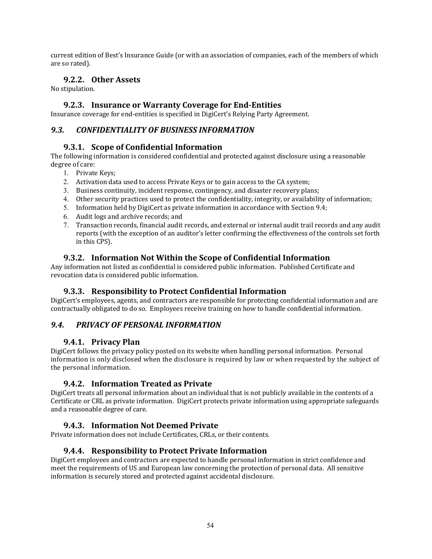current edition of Best's Insurance Guide (or with an association of companies, each of the members of which are so rated).

## **9.2.2. Other Assets**

No stipulation.

#### **9.2.3. Insurance or Warranty Coverage for End‐Entities**

Insurance coverage for end-entities is specified in DigiCert's Relying Party Agreement.

#### *9.3. CONFIDENTIALITY OF BUSINESS INFORMATION*

#### **9.3.1. Scope of Confidential Information**

The following information is considered confidential and protected against disclosure using a reasonable degree of care:

- 1. Private Keys;
- 2. Activation data used to access Private Keys or to gain access to the CA system;
- 3. Business continuity, incident response, contingency, and disaster recovery plans;
- 4. Other security practices used to protect the confidentiality, integrity, or availability of information;
- 5. Information held by DigiCert as private information in accordance with Section 9.4;
- $6.$  Audit logs and archive records; and
- 7. Transaction records, financial audit records, and external or internal audit trail records and any audit reports (with the exception of an auditor's letter confirming the effectiveness of the controls set forth in this CPS).

## **9.3.2. Information Not Within the Scope of Confidential Information**

Any information not listed as confidential is considered public information. Published Certificate and revocation data is considered public information.

#### **9.3.3. Responsibility to Protect Confidential Information**

DigiCert's employees, agents, and contractors are responsible for protecting confidential information and are contractually obligated to do so. Employees receive training on how to handle confidential information.

#### *9.4. PRIVACY OF PERSONAL INFORMATION*

#### **9.4.1. Privacy Plan**

DigiCert follows the privacy policy posted on its website when handling personal information. Personal information is only disclosed when the disclosure is required by law or when requested by the subject of the personal information.

#### **9.4.2. Information Treated as Private**

DigiCert treats all personal information about an individual that is not publicly available in the contents of a Certificate or CRL as private information. DigiCert protects private information using appropriate safeguards and a reasonable degree of care.

# **9.4.3. Information Not Deemed Private**

Private information does not include Certificates, CRLs, or their contents.

#### **9.4.4. Responsibility to Protect Private Information**

DigiCert employees and contractors are expected to handle personal information in strict confidence and meet the requirements of US and European law concerning the protection of personal data. All sensitive information is securely stored and protected against accidental disclosure.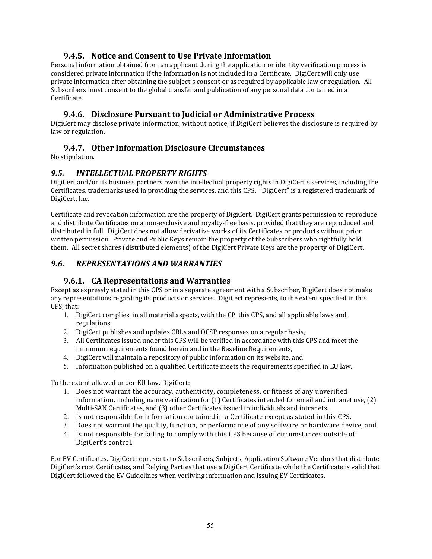## **9.4.5. Notice and Consent to Use Private Information**

Personal information obtained from an applicant during the application or identity verification process is considered private information if the information is not included in a Certificate. DigiCert will only use private information after obtaining the subject's consent or as required by applicable law or regulation. All Subscribers must consent to the global transfer and publication of any personal data contained in a Certificate. 

## **9.4.6. Disclosure Pursuant to Judicial or Administrative Process**

DigiCert may disclose private information, without notice, if DigiCert believes the disclosure is required by law or regulation.

## **9.4.7. Other Information Disclosure Circumstances**

No stipulation.

# *9.5. INTELLECTUAL PROPERTY RIGHTS*

DigiCert and/or its business partners own the intellectual property rights in DigiCert's services, including the Certificates, trademarks used in providing the services, and this CPS. "DigiCert" is a registered trademark of DigiCert, Inc.

Certificate and revocation information are the property of DigiCert. DigiCert grants permission to reproduce and distribute Certificates on a non-exclusive and royalty-free basis, provided that they are reproduced and distributed in full. DigiCert does not allow derivative works of its Certificates or products without prior written permission. Private and Public Keys remain the property of the Subscribers who rightfully hold them. All secret shares (distributed elements) of the DigiCert Private Keys are the property of DigiCert.

# *9.6. REPRESENTATIONS AND WARRANTIES*

#### **9.6.1. CA Representations and Warranties**

Except as expressly stated in this CPS or in a separate agreement with a Subscriber, DigiCert does not make any representations regarding its products or services. DigiCert represents, to the extent specified in this CPS, that:

- 1. DigiCert complies, in all material aspects, with the CP, this CPS, and all applicable laws and regulations,
- 2. DigiCert publishes and updates CRLs and OCSP responses on a regular basis,
- 3. All Certificates issued under this CPS will be verified in accordance with this CPS and meet the minimum requirements found herein and in the Baseline Requirements,
- 4. DigiCert will maintain a repository of public information on its website, and
- 5. Information published on a qualified Certificate meets the requirements specified in EU law.

To the extent allowed under EU law, DigiCert:

- 1. Does not warrant the accuracy, authenticity, completeness, or fitness of any unverified information, including name verification for  $(1)$  Certificates intended for email and intranet use,  $(2)$ Multi-SAN Certificates, and (3) other Certificates issued to individuals and intranets.
- 2. Is not responsible for information contained in a Certificate except as stated in this CPS,
- 3. Does not warrant the quality, function, or performance of any software or hardware device, and
- 4. Is not responsible for failing to comply with this CPS because of circumstances outside of DigiCert's control.

For EV Certificates, DigiCert represents to Subscribers, Subjects, Application Software Vendors that distribute DigiCert's root Certificates, and Relying Parties that use a DigiCert Certificate while the Certificate is valid that DigiCert followed the EV Guidelines when verifying information and issuing EV Certificates.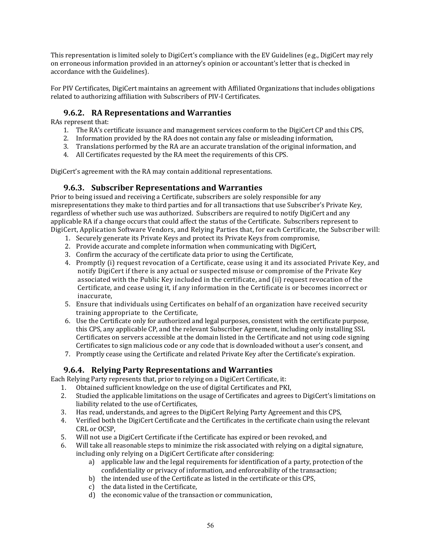This representation is limited solely to DigiCert's compliance with the EV Guidelines (e.g., DigiCert may rely on erroneous information provided in an attorney's opinion or accountant's letter that is checked in accordance with the Guidelines).

For PIV Certificates, DigiCert maintains an agreement with Affiliated Organizations that includes obligations related to authorizing affiliation with Subscribers of PIV-I Certificates.

# **9.6.2. RA Representations and Warranties**

RAs represent that:

- 1. The RA's certificate issuance and management services conform to the DigiCert CP and this CPS,
- 2. Information provided by the RA does not contain any false or misleading information,
- 3. Translations performed by the RA are an accurate translation of the original information, and
- 4. All Certificates requested by the RA meet the requirements of this CPS.

DigiCert's agreement with the RA may contain additional representations.

## **9.6.3. Subscriber Representations and Warranties**

Prior to being issued and receiving a Certificate, subscribers are solely responsible for any misrepresentations they make to third parties and for all transactions that use Subscriber's Private Key, regardless of whether such use was authorized. Subscribers are required to notify DigiCert and any applicable RA if a change occurs that could affect the status of the Certificate. Subscribers represent to DigiCert, Application Software Vendors, and Relying Parties that, for each Certificate, the Subscriber will:

- 1. Securely generate its Private Keys and protect its Private Keys from compromise,
- 2. Provide accurate and complete information when communicating with DigiCert,
- 3. Confirm the accuracy of the certificate data prior to using the Certificate,
- 4. Promptly (i) request revocation of a Certificate, cease using it and its associated Private Key, and notify DigiCert if there is any actual or suspected misuse or compromise of the Private Key associated with the Public Key included in the certificate, and (ii) request revocation of the Certificate, and cease using it, if any information in the Certificate is or becomes incorrect or inaccurate,
- 5. Ensure that individuals using Certificates on behalf of an organization have received security training appropriate to the Certificate.
- 6. Use the Certificate only for authorized and legal purposes, consistent with the certificate purpose, this CPS, any applicable CP, and the relevant Subscriber Agreement, including only installing SSL Certificates on servers accessible at the domain listed in the Certificate and not using code signing Certificates to sign malicious code or any code that is downloaded without a user's consent, and
- 7. Promptly cease using the Certificate and related Private Key after the Certificate's expiration.

# **9.6.4. Relying Party Representations and Warranties**

Each Relying Party represents that, prior to relying on a DigiCert Certificate, it:

- 1. Obtained sufficient knowledge on the use of digital Certificates and PKI,
- 2. Studied the applicable limitations on the usage of Certificates and agrees to DigiCert's limitations on liability related to the use of Certificates,
- 3. Has read, understands, and agrees to the DigiCert Relying Party Agreement and this CPS,
- 4. Verified both the DigiCert Certificate and the Certificates in the certificate chain using the relevant CRL or OCSP.
- 5. Will not use a DigiCert Certificate if the Certificate has expired or been revoked, and
- 6. Will take all reasonable steps to minimize the risk associated with relying on a digital signature, including only relying on a DigiCert Certificate after considering:
	- a) applicable law and the legal requirements for identification of a party, protection of the confidentiality or privacy of information, and enforceability of the transaction;
	- b) the intended use of the Certificate as listed in the certificate or this CPS,
	- c) the data listed in the Certificate.
	- d) the economic value of the transaction or communication,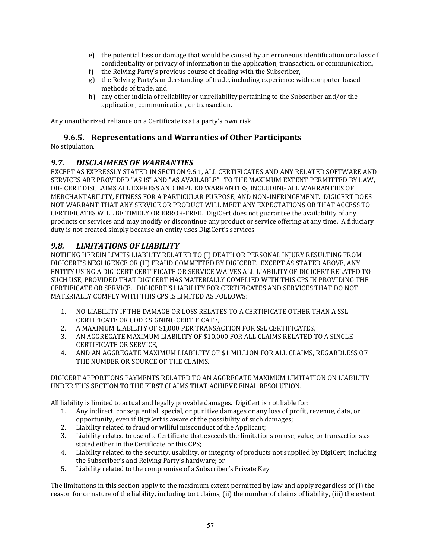- e) the potential loss or damage that would be caused by an erroneous identification or a loss of confidentiality or privacy of information in the application, transaction, or communication,
- f) the Relying Party's previous course of dealing with the Subscriber,
- g) the Relying Party's understanding of trade, including experience with computer-based methods of trade, and
- h) any other indicia of reliability or unreliability pertaining to the Subscriber and/or the application, communication, or transaction.

Any unauthorized reliance on a Certificate is at a party's own risk.

#### **9.6.5. Representations and Warranties of Other Participants**

No stipulation.

#### *9.7. DISCLAIMERS OF WARRANTIES*

EXCEPT AS EXPRESSLY STATED IN SECTION 9.6.1, ALL CERTIFICATES AND ANY RELATED SOFTWARE AND SERVICES ARE PROVIDED "AS IS" AND "AS AVAILABLE". TO THE MAXIMUM EXTENT PERMITTED BY LAW. DIGICERT DISCLAIMS ALL EXPRESS AND IMPLIED WARRANTIES, INCLUDING ALL WARRANTIES OF MERCHANTABILITY, FITNESS FOR A PARTICULAR PURPOSE, AND NON-INFRINGEMENT. DIGICERT DOES NOT WARRANT THAT ANY SERVICE OR PRODUCT WILL MEET ANY EXPECTATIONS OR THAT ACCESS TO CERTIFICATES WILL BE TIMELY OR ERROR-FREE. DigiCert does not guarantee the availability of any products or services and may modify or discontinue any product or service offering at any time. A fiduciary duty is not created simply because an entity uses DigiCert's services.

#### *9.8. LIMITATIONS OF LIABILITY*

NOTHING HEREIN LIMITS LIABILTY RELATED TO (I) DEATH OR PERSONAL INJURY RESULTING FROM DIGICERT'S NEGLIGENCE OR (II) FRAUD COMMITTED BY DIGICERT. EXCEPT AS STATED ABOVE, ANY ENTITY USING A DIGICERT CERTIFICATE OR SERVICE WAIVES ALL LIABILITY OF DIGICERT RELATED TO SUCH USE, PROVIDED THAT DIGICERT HAS MATERIALLY COMPLIED WITH THIS CPS IN PROVIDING THE CERTIFICATE OR SERVICE. DIGICERT'S LIABILITY FOR CERTIFICATES AND SERVICES THAT DO NOT MATERIALLY COMPLY WITH THIS CPS IS LIMITED AS FOLLOWS:

- 1. NO LIABILITY IF THE DAMAGE OR LOSS RELATES TO A CERTIFICATE OTHER THAN A SSL CERTIFICATE OR CODE SIGNING CERTIFICATE.
- 2. A MAXIMUM LIABILITY OF \$1,000 PER TRANSACTION FOR SSL CERTIFICATES,
- 3. AN AGGREGATE MAXIMUM LIABILITY OF \$10,000 FOR ALL CLAIMS RELATED TO A SINGLE CERTIFICATE OR SERVICE.
- 4. AND AN AGGREGATE MAXIMUM LIABILITY OF \$1 MILLION FOR ALL CLAIMS, REGARDLESS OF THE NUMBER OR SOURCE OF THE CLAIMS.

#### DIGICERT APPORTIONS PAYMENTS RELATED TO AN AGGREGATE MAXIMUM LIMITATION ON LIABILITY UNDER THIS SECTION TO THE FIRST CLAIMS THAT ACHIEVE FINAL RESOLUTION.

All liability is limited to actual and legally provable damages. DigiCert is not liable for:

- 1. Any indirect, consequential, special, or punitive damages or any loss of profit, revenue, data, or opportunity, even if DigiCert is aware of the possibility of such damages;
- 2. Liability related to fraud or willful misconduct of the Applicant;
- 3. Liability related to use of a Certificate that exceeds the limitations on use, value, or transactions as stated either in the Certificate or this CPS;
- 4. Liability related to the security, usability, or integrity of products not supplied by DigiCert, including the Subscriber's and Relying Party's hardware; or
- 5. Liability related to the compromise of a Subscriber's Private Key.

The limitations in this section apply to the maximum extent permitted by law and apply regardless of (i) the reason for or nature of the liability, including tort claims, (ii) the number of claims of liability, (iii) the extent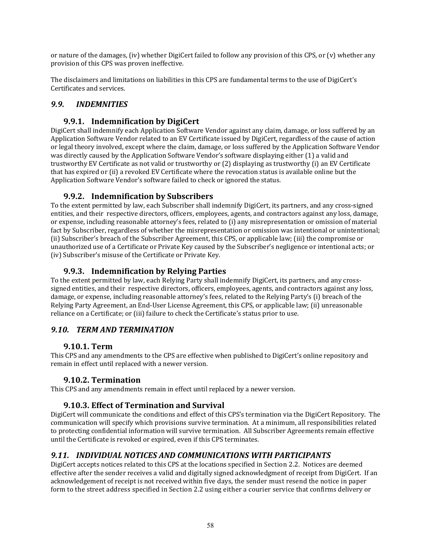or nature of the damages, (iv) whether DigiCert failed to follow any provision of this CPS, or (v) whether any provision of this CPS was proven ineffective.

The disclaimers and limitations on liabilities in this CPS are fundamental terms to the use of DigiCert's Certificates and services.

# *9.9. INDEMNITIES*

# **9.9.1. Indemnification by DigiCert**

DigiCert shall indemnify each Application Software Vendor against any claim, damage, or loss suffered by an Application Software Vendor related to an EV Certificate issued by DigiCert, regardless of the cause of action or legal theory involved, except where the claim, damage, or loss suffered by the Application Software Vendor was directly caused by the Application Software Vendor's software displaying either (1) a valid and trustworthy EV Certificate as not valid or trustworthy or (2) displaying as trustworthy (i) an EV Certificate that has expired or (ii) a revoked EV Certificate where the revocation status is available online but the Application Software Vendor's software failed to check or ignored the status.

# **9.9.2. Indemnification by Subscribers**

To the extent permitted by law, each Subscriber shall indemnify DigiCert, its partners, and any cross-signed entities, and their respective directors, officers, employees, agents, and contractors against any loss, damage, or expense, including reasonable attorney's fees, related to (i) any misrepresentation or omission of material fact by Subscriber, regardless of whether the misrepresentation or omission was intentional or unintentional; (ii) Subscriber's breach of the Subscriber Agreement, this CPS, or applicable law; (iii) the compromise or unauthorized use of a Certificate or Private Key caused by the Subscriber's negligence or intentional acts; or (iv) Subscriber's misuse of the Certificate or Private Key.

# **9.9.3. Indemnification by Relying Parties**

To the extent permitted by law, each Relying Party shall indemnify DigiCert, its partners, and any crosssigned entities, and their respective directors, officers, employees, agents, and contractors against any loss, damage, or expense, including reasonable attorney's fees, related to the Relying Party's (i) breach of the Relying Party Agreement, an End-User License Agreement, this CPS, or applicable law; (ii) unreasonable reliance on a Certificate; or (iii) failure to check the Certificate's status prior to use.

# *9.10. TERM AND TERMINATION*

# **9.10.1. Term**

This CPS and any amendments to the CPS are effective when published to DigiCert's online repository and remain in effect until replaced with a newer version.

# **9.10.2. Termination**

This CPS and any amendments remain in effect until replaced by a newer version.

# **9.10.3. Effect of Termination and Survival**

DigiCert will communicate the conditions and effect of this CPS's termination via the DigiCert Repository. The communication will specify which provisions survive termination. At a minimum, all responsibilities related to protecting confidential information will survive termination. All Subscriber Agreements remain effective until the Certificate is revoked or expired, even if this CPS terminates.

# *9.11. INDIVIDUAL NOTICES AND COMMUNICATIONS WITH PARTICIPANTS*

DigiCert accepts notices related to this CPS at the locations specified in Section 2.2. Notices are deemed effective after the sender receives a valid and digitally signed acknowledgment of receipt from DigiCert. If an acknowledgement of receipt is not received within five days, the sender must resend the notice in paper form to the street address specified in Section 2.2 using either a courier service that confirms delivery or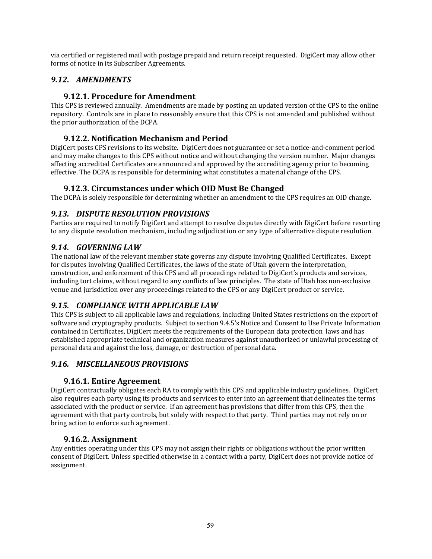via certified or registered mail with postage prepaid and return receipt requested. DigiCert may allow other forms of notice in its Subscriber Agreements.

# *9.12. AMENDMENTS*

# **9.12.1. Procedure for Amendment**

This CPS is reviewed annually. Amendments are made by posting an updated version of the CPS to the online repository. Controls are in place to reasonably ensure that this CPS is not amended and published without the prior authorization of the DCPA.

## **9.12.2. Notification Mechanism and Period**

DigiCert posts CPS revisions to its website. DigiCert does not guarantee or set a notice-and-comment period and may make changes to this CPS without notice and without changing the version number. Major changes affecting accredited Certificates are announced and approved by the accrediting agency prior to becoming effective. The DCPA is responsible for determining what constitutes a material change of the CPS.

## **9.12.3. Circumstances under which OID Must Be Changed**

The DCPA is solely responsible for determining whether an amendment to the CPS requires an OID change.

## *9.13. DISPUTE RESOLUTION PROVISIONS*

Parties are required to notify DigiCert and attempt to resolve disputes directly with DigiCert before resorting to any dispute resolution mechanism, including adjudication or any type of alternative dispute resolution.

## *9.14. GOVERNING LAW*

The national law of the relevant member state governs any dispute involving Qualified Certificates. Except for disputes involving Qualified Certificates, the laws of the state of Utah govern the interpretation, construction, and enforcement of this CPS and all proceedings related to DigiCert's products and services, including tort claims, without regard to any conflicts of law principles. The state of Utah has non-exclusive venue and jurisdiction over any proceedings related to the CPS or any DigiCert product or service.

# *9.15. COMPLIANCE WITH APPLICABLE LAW*

This CPS is subject to all applicable laws and regulations, including United States restrictions on the export of software and cryptography products. Subject to section 9.4.5's Notice and Consent to Use Private Information contained in Certificates, DigiCert meets the requirements of the European data protection laws and has established appropriate technical and organization measures against unauthorized or unlawful processing of personal data and against the loss, damage, or destruction of personal data.

# *9.16. MISCELLANEOUS PROVISIONS*

#### **9.16.1. Entire Agreement**

DigiCert contractually obligates each RA to comply with this CPS and applicable industry guidelines. DigiCert also requires each party using its products and services to enter into an agreement that delineates the terms associated with the product or service. If an agreement has provisions that differ from this CPS, then the agreement with that party controls, but solely with respect to that party. Third parties may not rely on or bring action to enforce such agreement.

#### **9.16.2. Assignment**

Any entities operating under this CPS may not assign their rights or obligations without the prior written consent of DigiCert. Unless specified otherwise in a contact with a party, DigiCert does not provide notice of assignment.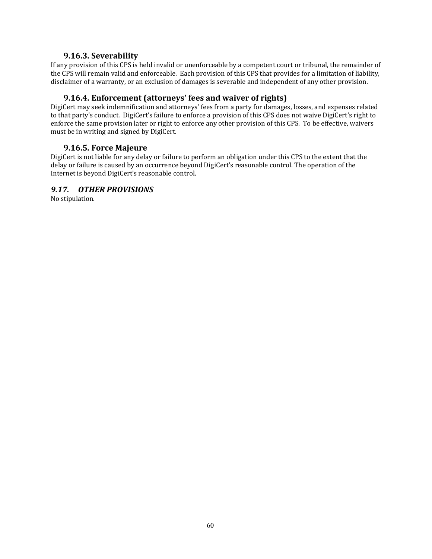#### **9.16.3. Severability**

If any provision of this CPS is held invalid or unenforceable by a competent court or tribunal, the remainder of the CPS will remain valid and enforceable. Each provision of this CPS that provides for a limitation of liability, disclaimer of a warranty, or an exclusion of damages is severable and independent of any other provision.

#### **9.16.4. Enforcement (attorneys' fees and waiver of rights)**

DigiCert may seek indemnification and attorneys' fees from a party for damages, losses, and expenses related to that party's conduct. DigiCert's failure to enforce a provision of this CPS does not waive DigiCert's right to enforce the same provision later or right to enforce any other provision of this CPS. To be effective, waivers must be in writing and signed by DigiCert.

#### **9.16.5. Force Majeure**

DigiCert is not liable for any delay or failure to perform an obligation under this CPS to the extent that the delay or failure is caused by an occurrence beyond DigiCert's reasonable control. The operation of the Internet is beyond DigiCert's reasonable control.

#### *9.17. OTHER PROVISIONS*

No stipulation.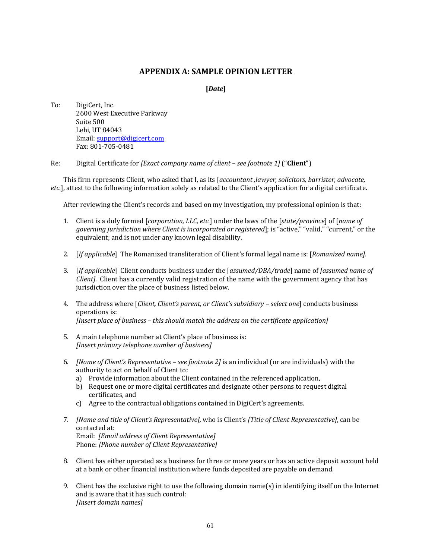#### **APPENDIX A: SAMPLE OPINION LETTER**

#### **[***Date***]**

To: DigiCert, Inc. 2600 West Executive Parkway Suite 500 Lehi, UT 84043 Email: support@digicert.com Fax: 801‐705‐0481 

Re: Digital Certificate for *[Exact company name of client – see footnote 1]* ("**Client**")

This firm represents Client, who asked that I, as its [*accountant ,lawyer, solicitors, barrister, advocate, etc.*], attest to the following information solely as related to the Client's application for a digital certificate.

After reviewing the Client's records and based on my investigation, my professional opinion is that:

- 1. Client is a duly formed [*corporation, LLC, etc.*] under the laws of the [*state/province*] of [*name of governing jurisdiction where Client is incorporated or registered*]; is "active," "valid," "current," or the equivalent; and is not under any known legal disability.
- 2. [*If applicable*] The Romanized transliteration of Client's formal legal name is: [*Romanized name]*.
- 3. [*If applicable*] Client conducts business under the [*assumed/DBA/trade*] name of *[assumed name of Client]*. Client has a currently valid registration of the name with the government agency that has jurisdiction over the place of business listed below.
- 4. The address where [*Client, Client's parent, or Client's subsidiary – select one*] conducts business operations is: *[Insert place of business – this should match the address on the certificate application]*
- 5. A main telephone number at Client's place of business is: *[Insert primary telephone number of business]*
- 6. *[Name of Client's Representative – see footnote 2]* is an individual (or are individuals) with the authority to act on behalf of Client to:
	- a) Provide information about the Client contained in the referenced application,
	- b) Request one or more digital certificates and designate other persons to request digital certificates, and
	- c) Agree to the contractual obligations contained in DigiCert's agreements.
- 7. *[Name and title of Client's Representative],* who is Client's *[Title of Client Representative]*, can be contacted at: Email: *[Email address of Client Representative]* Phone: *[Phone number of Client Representative]*
- 8. Client has either operated as a business for three or more years or has an active deposit account held at a bank or other financial institution where funds deposited are payable on demand.
- 9. Client has the exclusive right to use the following domain name(s) in identifying itself on the Internet and is aware that it has such control: *[Insert domain names]*